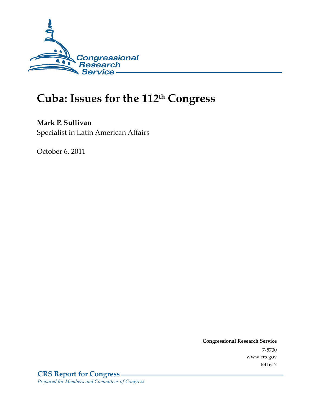

# **Cuba: Issues for the 112th Congress**

**Mark P. Sullivan**  Specialist in Latin American Affairs

October 6, 2011

**Congressional Research Service**  7-5700 www.crs.gov R41617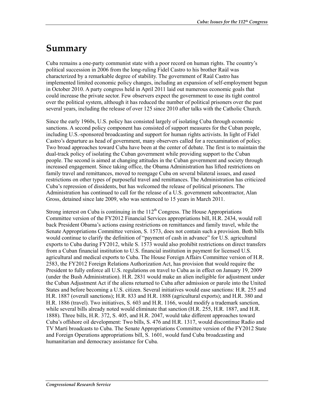# **Summary**

Cuba remains a one-party communist state with a poor record on human rights. The country's political succession in 2006 from the long-ruling Fidel Castro to his brother Raúl was characterized by a remarkable degree of stability. The government of Raúl Castro has implemented limited economic policy changes, including an expansion of self-employment begun in October 2010. A party congress held in April 2011 laid out numerous economic goals that could increase the private sector. Few observers expect the government to ease its tight control over the political system, although it has reduced the number of political prisoners over the past several years, including the release of over 125 since 2010 after talks with the Catholic Church.

Since the early 1960s, U.S. policy has consisted largely of isolating Cuba through economic sanctions. A second policy component has consisted of support measures for the Cuban people, including U.S.-sponsored broadcasting and support for human rights activists. In light of Fidel Castro's departure as head of government, many observers called for a reexamination of policy. Two broad approaches toward Cuba have been at the center of debate. The first is to maintain the dual-track policy of isolating the Cuban government while providing support to the Cuban people. The second is aimed at changing attitudes in the Cuban government and society through increased engagement. Since taking office, the Obama Administration has lifted restrictions on family travel and remittances, moved to reengage Cuba on several bilateral issues, and eased restrictions on other types of purposeful travel and remittances. The Administration has criticized Cuba's repression of dissidents, but has welcomed the release of political prisoners. The Administration has continued to call for the release of a U.S. government subcontractor, Alan Gross, detained since late 2009, who was sentenced to 15 years in March 2011.

Strong interest on Cuba is continuing in the  $112<sup>th</sup>$  Congress. The House Appropriations Committee version of the FY2012 Financial Services appropriations bill, H.R. 2434, would roll back President Obama's actions easing restrictions on remittances and family travel, while the Senate Appropriations Committee version, S. 1573, does not contain such a provision. Both bills would continue to clarify the definition of "payment of cash in advance" for U.S. agricultural exports to Cuba during FY2012, while S. 1573 would also prohibit restrictions on direct transfers from a Cuban financial institution to U.S. financial institution in payment for licensed U.S. agricultural and medical exports to Cuba. The House Foreign Affairs Committee version of H.R. 2583, the FY2012 Foreign Relations Authorization Act, has provision that would require the President to fully enforce all U.S. regulations on travel to Cuba as in effect on January 19, 2009 (under the Bush Administration). H.R. 2831 would make an alien ineligible for adjustment under the Cuban Adjustment Act if the aliens returned to Cuba after admission or parole into the United States and before becoming a U.S. citizen. Several initiatives would ease sanctions: H.R. 255 and H.R. 1887 (overall sanctions); H.R. 833 and H.R. 1888 (agricultural exports); and H.R. 380 and H.R. 1886 (travel). Two initiatives, S. 603 and H.R. 1166, would modify a trademark sanction, while several bills already noted would eliminate that sanction (H.R. 255, H.R. 1887, and H.R. 1888). Three bills, H.R. 372, S. 405, and H.R. 2047, would take different approaches toward Cuba's offshore oil development: Two bills, S. 476 and H.R. 1317, would discontinue Radio and TV Martí broadcasts to Cuba. The Senate Appropriations Committee version of the FY2012 State and Foreign Operations appropriations bill, S. 1601, would fund Cuba broadcasting and humanitarian and democracy assistance for Cuba.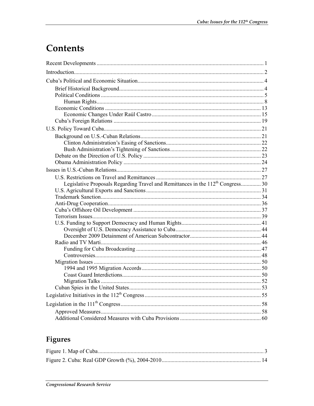# Contents

| Legislative Proposals Regarding Travel and Remittances in the 112 <sup>th</sup> Congress 30 |  |
|---------------------------------------------------------------------------------------------|--|
|                                                                                             |  |
|                                                                                             |  |
|                                                                                             |  |
|                                                                                             |  |
|                                                                                             |  |
|                                                                                             |  |
|                                                                                             |  |
|                                                                                             |  |
|                                                                                             |  |
|                                                                                             |  |
|                                                                                             |  |
|                                                                                             |  |
|                                                                                             |  |
|                                                                                             |  |
|                                                                                             |  |
|                                                                                             |  |
|                                                                                             |  |
|                                                                                             |  |
|                                                                                             |  |
|                                                                                             |  |

## Figures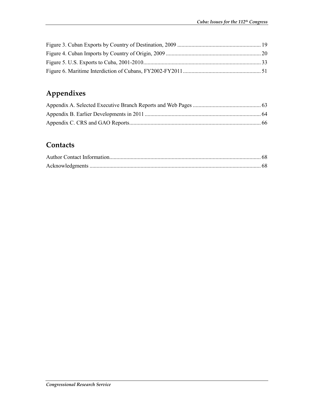# **Appendixes**

## **Contacts**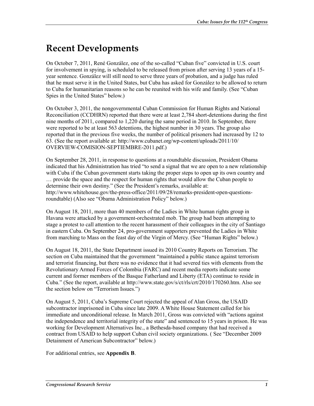# **Recent Developments**

On October 7, 2011, René González, one of the so-called "Cuban five" convicted in U.S. court for involvement in spying, is scheduled to be released from prison after serving 13 years of a 15 year sentence. González will still need to serve three years of probation, and a judge has ruled that he must serve it in the United States, but Cuba has asked for González to be allowed to return to Cuba for humanitarian reasons so he can be reunited with his wife and family. (See "Cuban Spies in the United States" below.)

On October 3, 2011, the nongovernmental Cuban Commission for Human Rights and National Reconciliation (CCDHRN) reported that there were at least 2,784 short-detentions during the first nine months of 2011, compared to 1,220 during the same period in 2010. In September, there were reported to be at least 563 detentions, the highest number in 30 years. The group also reported that in the previous five weeks, the number of political prisoners had increased by 12 to 63. (See the report available at: http://www.cubanet.org/wp-content/uploads/2011/10/ OVERVIEW-COMISION-SEPTIEMBRE-2011.pdf.)

On September 28, 2011, in response to questions at a roundtable discussion, President Obama indicated that his Administration has tried "to send a signal that we are open to a new relationship with Cuba if the Cuban government starts taking the proper steps to open up its own country and … provide the space and the respect for human rights that would allow the Cuban people to determine their own destiny." (See the President's remarks, available at: http://www.whitehouse.gov/the-press-office/2011/09/28/remarks-president-open-questionsroundtable) (Also see "Obama Administration Policy" below.)

On August 18, 2011, more than 40 members of the Ladies in White human rights group in Havana were attacked by a government-orchestrated mob. The group had been attempting to stage a protest to call attention to the recent harassment of their colleagues in the city of Santiago in eastern Cuba. On September 24, pro-government supporters prevented the Ladies in White from marching to Mass on the feast day of the Virgin of Mercy. (See "Human Rights" below.)

On August 18, 2011, the State Department issued its 2010 Country Reports on Terrorism. The section on Cuba maintained that the government "maintained a public stance against terrorism and terrorist financing, but there was no evidence that it had severed ties with elements from the Revolutionary Armed Forces of Colombia (FARC) and recent media reports indicate some current and former members of the Basque Fatherland and Liberty (ETA) continue to reside in Cuba." (See the report, available at http://www.state.gov/s/ct/rls/crt/2010/170260.htm. Also see the section below on "Terrorism Issues.")

On August 5, 2011, Cuba's Supreme Court rejected the appeal of Alan Gross, the USAID subcontractor imprisoned in Cuba since late 2009. A White House Statement called for his immediate and unconditional release. In March 2011, Gross was convicted with "actions against the independence and territorial integrity of the state" and sentenced to 15 years in prison. He was working for Development Alternatives Inc., a Bethesda-based company that had received a contract from USAID to help support Cuban civil society organizations. ( See "December 2009 Detainment of American Subcontractor" below.)

For additional entries, see **Appendix B**.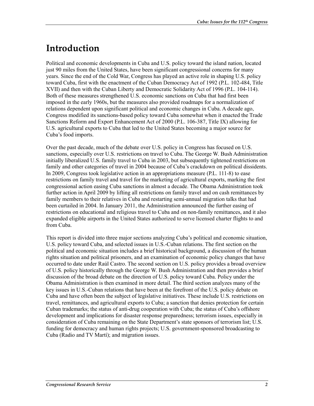# **Introduction**

Political and economic developments in Cuba and U.S. policy toward the island nation, located just 90 miles from the United States, have been significant congressional concerns for many years. Since the end of the Cold War, Congress has played an active role in shaping U.S. policy toward Cuba, first with the enactment of the Cuban Democracy Act of 1992 (P.L. 102-484, Title XVII) and then with the Cuban Liberty and Democratic Solidarity Act of 1996 (P.L. 104-114). Both of these measures strengthened U.S. economic sanctions on Cuba that had first been imposed in the early 1960s, but the measures also provided roadmaps for a normalization of relations dependent upon significant political and economic changes in Cuba. A decade ago, Congress modified its sanctions-based policy toward Cuba somewhat when it enacted the Trade Sanctions Reform and Export Enhancement Act of 2000 (P.L. 106-387, Title IX) allowing for U.S. agricultural exports to Cuba that led to the United States becoming a major source for Cuba's food imports.

Over the past decade, much of the debate over U.S. policy in Congress has focused on U.S. sanctions, especially over U.S. restrictions on travel to Cuba. The George W. Bush Administration initially liberalized U.S. family travel to Cuba in 2003, but subsequently tightened restrictions on family and other categories of travel in 2004 because of Cuba's crackdown on political dissidents. In 2009, Congress took legislative action in an appropriations measure (P.L. 111-8) to ease restrictions on family travel and travel for the marketing of agricultural exports, marking the first congressional action easing Cuba sanctions in almost a decade. The Obama Administration took further action in April 2009 by lifting all restrictions on family travel and on cash remittances by family members to their relatives in Cuba and restarting semi-annual migration talks that had been curtailed in 2004. In January 2011, the Administration announced the further easing of restrictions on educational and religious travel to Cuba and on non-family remittances, and it also expanded eligible airports in the United States authorized to serve licensed charter flights to and from Cuba.

This report is divided into three major sections analyzing Cuba's political and economic situation, U.S. policy toward Cuba, and selected issues in U.S.-Cuban relations. The first section on the political and economic situation includes a brief historical background, a discussion of the human rights situation and political prisoners, and an examination of economic policy changes that have occurred to date under Raúl Castro. The second section on U.S. policy provides a broad overview of U.S. policy historically through the George W. Bush Administration and then provides a brief discussion of the broad debate on the direction of U.S. policy toward Cuba. Policy under the Obama Administration is then examined in more detail. The third section analyzes many of the key issues in U.S.-Cuban relations that have been at the forefront of the U.S. policy debate on Cuba and have often been the subject of legislative initiatives. These include U.S. restrictions on travel, remittances, and agricultural exports to Cuba; a sanction that denies protection for certain Cuban trademarks; the status of anti-drug cooperation with Cuba; the status of Cuba's offshore development and implications for disaster response preparedness; terrorism issues, especially in consideration of Cuba remaining on the State Department's state sponsors of terrorism list; U.S. funding for democracy and human rights projects; U.S. government-sponsored broadcasting to Cuba (Radio and TV Martí); and migration issues.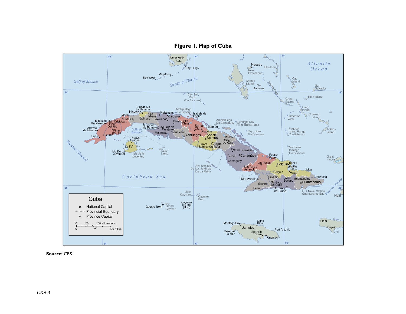

#### **Figure 1. Map of Cuba**

**Source:** CRS.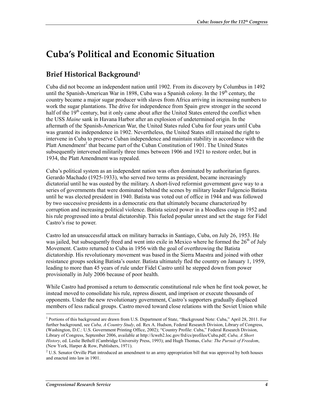# **Cuba's Political and Economic Situation**

## **Brief Historical Background1**

Cuba did not become an independent nation until 1902. From its discovery by Columbus in 1492 until the Spanish-American War in 1898, Cuba was a Spanish colony. In the  $19<sup>th</sup>$  century, the country became a major sugar producer with slaves from Africa arriving in increasing numbers to work the sugar plantations. The drive for independence from Spain grew stronger in the second half of the  $19<sup>th</sup>$  century, but it only came about after the United States entered the conflict when the USS *Maine* sank in Havana Harbor after an explosion of undetermined origin. In the aftermath of the Spanish-American War, the United States ruled Cuba for four years until Cuba was granted its independence in 1902. Nevertheless, the United States still retained the right to intervene in Cuba to preserve Cuban independence and maintain stability in accordance with the Platt Amendment<sup>2</sup> that became part of the Cuban Constitution of 1901. The United States subsequently intervened militarily three times between 1906 and 1921 to restore order, but in 1934, the Platt Amendment was repealed.

Cuba's political system as an independent nation was often dominated by authoritarian figures. Gerardo Machado (1925-1933), who served two terms as president, became increasingly dictatorial until he was ousted by the military. A short-lived reformist government gave way to a series of governments that were dominated behind the scenes by military leader Fulgencio Batista until he was elected president in 1940. Batista was voted out of office in 1944 and was followed by two successive presidents in a democratic era that ultimately became characterized by corruption and increasing political violence. Batista seized power in a bloodless coup in 1952 and his rule progressed into a brutal dictatorship. This fueled popular unrest and set the stage for Fidel Castro's rise to power.

Castro led an unsuccessful attack on military barracks in Santiago, Cuba, on July 26, 1953. He was jailed, but subsequently freed and went into exile in Mexico where he formed the  $26<sup>th</sup>$  of July Movement. Castro returned to Cuba in 1956 with the goal of overthrowing the Batista dictatorship. His revolutionary movement was based in the Sierra Maestra and joined with other resistance groups seeking Batista's ouster. Batista ultimately fled the country on January 1, 1959, leading to more than 45 years of rule under Fidel Castro until he stepped down from power provisionally in July 2006 because of poor health.

While Castro had promised a return to democratic constitutional rule when he first took power, he instead moved to consolidate his rule, repress dissent, and imprison or execute thousands of opponents. Under the new revolutionary government, Castro's supporters gradually displaced members of less radical groups. Castro moved toward close relations with the Soviet Union while

<sup>1&</sup>lt;br><sup>1</sup> Portions of this background are drawn from U.S. Department of State, "Background Note: Cuba," April 28, 2011. For further background, see *Cuba, A Country Study*, ed. Rex A. Hudson, Federal Research Division, Library of Congress, (Washington, D.C.: U.S. Government Printing Office, 2002); "Country Profile: Cuba," Federal Research Division, Library of Congress, September 2006, available at http://lcweb2.loc.gov/frd/cs/profiles/Cuba.pdf; *Cuba, A Short History*, ed. Leslie Bethell (Cambridge University Press, 1993); and Hugh Thomas, *Cuba: The Pursuit of Freedom*, (New York, Harper & Row, Publishers, 1971).

 $2^2$  U.S. Senator Orville Platt introduced an amendment to an army appropriation bill that was approved by both houses and enacted into law in 1901.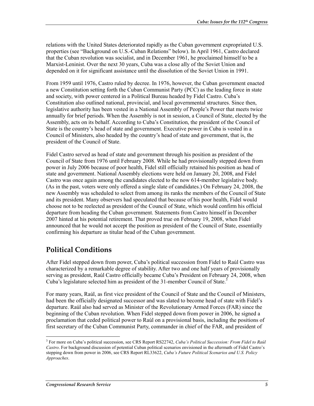relations with the United States deteriorated rapidly as the Cuban government expropriated U.S. properties (see "Background on U.S.-Cuban Relations" below). In April 1961, Castro declared that the Cuban revolution was socialist, and in December 1961, he proclaimed himself to be a Marxist-Leninist. Over the next 30 years, Cuba was a close ally of the Soviet Union and depended on it for significant assistance until the dissolution of the Soviet Union in 1991.

From 1959 until 1976, Castro ruled by decree. In 1976, however, the Cuban government enacted a new Constitution setting forth the Cuban Communist Party (PCC) as the leading force in state and society, with power centered in a Political Bureau headed by Fidel Castro. Cuba's Constitution also outlined national, provincial, and local governmental structures. Since then, legislative authority has been vested in a National Assembly of People's Power that meets twice annually for brief periods. When the Assembly is not in session, a Council of State, elected by the Assembly, acts on its behalf. According to Cuba's Constitution, the president of the Council of State is the country's head of state and government. Executive power in Cuba is vested in a Council of Ministers, also headed by the country's head of state and government, that is, the president of the Council of State.

Fidel Castro served as head of state and government through his position as president of the Council of State from 1976 until February 2008. While he had provisionally stepped down from power in July 2006 because of poor health, Fidel still officially retained his position as head of state and government. National Assembly elections were held on January 20, 2008, and Fidel Castro was once again among the candidates elected to the now 614-member legislative body. (As in the past, voters were only offered a single slate of candidates.) On February 24, 2008, the new Assembly was scheduled to select from among its ranks the members of the Council of State and its president. Many observers had speculated that because of his poor health, Fidel would choose not to be reelected as president of the Council of State, which would confirm his official departure from heading the Cuban government. Statements from Castro himself in December 2007 hinted at his potential retirement. That proved true on February 19, 2008, when Fidel announced that he would not accept the position as president of the Council of State, essentially confirming his departure as titular head of the Cuban government.

## **Political Conditions**

After Fidel stepped down from power, Cuba's political succession from Fidel to Raúl Castro was characterized by a remarkable degree of stability. After two and one half years of provisionally serving as president, Raúl Castro officially became Cuba's President on February 24, 2008, when Cuba's legislature selected him as president of the 31-member Council of State.<sup>3</sup>

For many years, Raúl, as first vice president of the Council of State and the Council of Ministers, had been the officially designated successor and was slated to become head of state with Fidel's departure. Raúl also had served as Minister of the Revolutionary Armed Forces (FAR) since the beginning of the Cuban revolution. When Fidel stepped down from power in 2006, he signed a proclamation that ceded political power to Raúl on a provisional basis, including the positions of first secretary of the Cuban Communist Party, commander in chief of the FAR, and president of

<sup>3</sup> For more on Cuba's political succession, see CRS Report RS22742, *Cuba's Political Succession: From Fidel to Raúl Castro*. For background discussion of potential Cuban political scenarios envisioned in the aftermath of Fidel Castro's stepping down from power in 2006, see CRS Report RL33622, *Cuba's Future Political Scenarios and U.S. Policy Approaches*.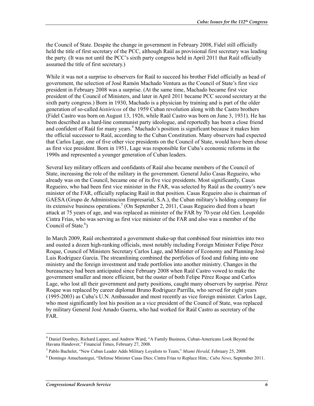the Council of State. Despite the change in government in February 2008, Fidel still officially held the title of first secretary of the PCC, although Raúl as provisional first secretary was leading the party. (It was not until the PCC's sixth party congress held in April 2011 that Raúl officially assumed the title of first secretary.)

While it was not a surprise to observers for Raúl to succeed his brother Fidel officially as head of government, the selection of José Ramón Machado Ventura as the Council of State's first vice president in February 2008 was a surprise. (At the same time, Machado became first vice president of the Council of Ministers, and later in April 2011 became PCC second secretary at the sixth party congress.) Born in 1930, Machado is a physician by training and is part of the older generation of so-called *históricos* of the 1959 Cuban revolution along with the Castro brothers (Fidel Castro was born on August 13, 1926, while Raúl Castro was born on June 3, 1931). He has been described as a hard-line communist party ideologue, and reportedly has been a close friend and confident of Raúl for many years.<sup>4</sup> Machado's position is significant because it makes him the official successor to Raúl, according to the Cuban Constitution. Many observers had expected that Carlos Lage, one of five other vice presidents on the Council of State, would have been chose as first vice president. Born in 1951, Lage was responsible for Cuba's economic reforms in the 1990s and represented a younger generation of Cuban leaders.

Several key military officers and confidants of Raúl also became members of the Council of State, increasing the role of the military in the government. General Julio Casas Regueiro, who already was on the Council, became one of its five vice presidents. Most significantly, Casas Regueiro, who had been first vice minister in the FAR, was selected by Raúl as the country's new minister of the FAR, officially replacing Raúl in that position. Casas Regueiro also is chairman of GAESA (Grupo de Administracion Empresarial, S.A.), the Cuban military's holding company for its extensive business operations.<sup>5</sup> (On September 2, 2011, Casas Regueiro died from a heart attack at 75 years of age, and was replaced as minister of the FAR by 70-year old Gen. Leopoldo Cintra Frías, who was serving as first vice minister of the FAR and also was a member of the Council of State. $6$ )

In March 2009, Raúl orchestrated a government shake-up that combined four ministries into two and ousted a dozen high-ranking officials, most notably including Foreign Minister Felipe Pérez Roque, Council of Ministers Secretary Carlos Lage, and Minister of Economy and Planning José Luis Rodriguez García. The streamlining combined the portfolios of food and fishing into one ministry and the foreign investment and trade portfolios into another ministry. Changes in the bureaucracy had been anticipated since February 2008 when Raúl Castro vowed to make the government smaller and more efficient, but the ouster of both Felipe Pérez Roque and Carlos Lage, who lost all their government and party positions, caught many observers by surprise. Pérez Roque was replaced by career diplomat Bruno Rodriguez Parrilla, who served for eight years (1995-2003) as Cuba's U.N. Ambassador and most recently as vice foreign minister. Carlos Lage, who most significantly lost his position as a vice president of the Council of State, was replaced by military General José Amado Guerra, who had worked for Raúl Castro as secretary of the FAR.

<sup>4</sup> Daniel Dombey, Richard Lapper, and Andrew Ward, "A Family Business, Cuban-Americans Look Beyond the Havana Handover," Financial Times, February 27, 2008.

<sup>5</sup> Pablo Bachelet, "New Cuban Leader Adds Military Loyalists to Team," *Miami Herald*, February 25, 2008.

<sup>6</sup> Domingo Amuchastegui, "Defense Minister Casas Dies; Cintra Frías to Replace Him,: *Cuba News*, September 2011.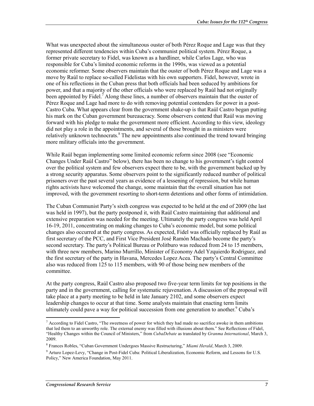What was unexpected about the simultaneous ouster of both Pérez Roque and Lage was that they represented different tendencies within Cuba's communist political system. Pérez Roque, a former private secretary to Fidel, was known as a hardliner, while Carlos Lage, who was responsible for Cuba's limited economic reforms in the 1990s, was viewed as a potential economic reformer. Some observers maintain that the ouster of both Pérez Roque and Lage was a move by Raúl to replace so-called Fidelistas with his own supporters. Fidel, however, wrote in one of his reflections in the Cuban press that both officials had been seduced by ambitions for power, and that a majority of the other officials who were replaced by Raúl had not originally been appointed by Fidel.<sup>7</sup> Along these lines, a number of observers maintain that the ouster of Pérez Roque and Lage had more to do with removing potential contenders for power in a post-Castro Cuba. What appears clear from the government shake-up is that Raúl Castro began putting his mark on the Cuban government bureaucracy. Some observers contend that Raúl was moving forward with his pledge to make the government more efficient. According to this view, ideology did not play a role in the appointments, and several of those brought in as ministers were relatively unknown technocrats.<sup>8</sup> The new appointments also continued the trend toward bringing more military officials into the government.

While Raúl began implementing some limited economic reform since 2008 (see "Economic Changes Under Raúl Castro" below), there has been no change to his government's tight control over the political system and few observers expect there to be, with the government backed up by a strong security apparatus. Some observers point to the significantly reduced number of political prisoners over the past several years as evidence of a lessening of repression, but while human rights activists have welcomed the change, some maintain that the overall situation has not improved, with the government resorting to short-term detentions and other forms of intimidation.

The Cuban Communist Party's sixth congress was expected to be held at the end of 2009 (the last was held in 1997), but the party postponed it, with Raúl Castro maintaining that additional and extensive preparation was needed for the meeting. Ultimately the party congress was held April 16-19, 2011, concentrating on making changes to Cuba's economic model, but some political changes also occurred at the party congress. As expected, Fidel was officially replaced by Raúl as first secretary of the PCC, and First Vice President José Ramón Machado become the party's second secretary. The party's Political Bureau or Politburo was reduced from 24 to 15 members, with three new members, Marino Murrillo, Minister of Economy Adel Yzquierdo Rodriguez, and the first secretary of the party in Havana, Mercedes Lopez Acea. The party's Central Committee also was reduced from 125 to 115 members, with 90 of those being new members of the committee.

At the party congress, Raúl Castro also proposed two five-year term limits for top positions in the party and in the government, calling for systematic rejuvenation. A discussion of the proposal will take place at a party meeting to be held in late January 2102, and some observers expect leadership changes to occur at that time. Some analysts maintain that enacting term limits ultimately could pave a way for political succession from one generation to another.<sup>9</sup> Cuba's

 $^7$  According to Fidel Castro, "The sweetness of power for which they had made no sacrifice awoke in them ambitions that led them to an unworthy role. The external enemy was filled with illusions about them." See Reflections of Fidel, "Healthy Changes within the Council of Ministers," from *CubaDebate* as translated by *Granma International*, March 3, 2009.

<sup>8</sup> Frances Robles, "Cuban Government Undergoes Massive Restructuring," *Miami Herald*, March 3, 2009.

<sup>&</sup>lt;sup>9</sup> Arturo Lopez-Levy, "Change in Post-Fidel Cuba: Political Liberalization, Economic Reform, and Lessons for U.S. Policy," New America Foundation, May 2011.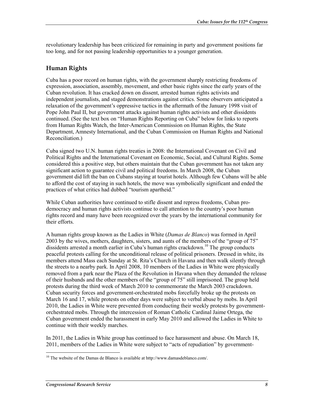revolutionary leadership has been criticized for remaining in party and government positions far too long, and for not passing leadership opportunities to a younger generation.

### **Human Rights**

Cuba has a poor record on human rights, with the government sharply restricting freedoms of expression, association, assembly, movement, and other basic rights since the early years of the Cuban revolution. It has cracked down on dissent, arrested human rights activists and independent journalists, and staged demonstrations against critics. Some observers anticipated a relaxation of the government's oppressive tactics in the aftermath of the January 1998 visit of Pope John Paul II, but government attacks against human rights activists and other dissidents continued. (See the text box on "Human Rights Reporting on Cuba" below for links to reports from Human Rights Watch, the Inter-American Commission on Human Rights, the State Department, Amnesty International, and the Cuban Commission on Human Rights and National Reconciliation.)

Cuba signed two U.N. human rights treaties in 2008: the International Covenant on Civil and Political Rights and the International Covenant on Economic, Social, and Cultural Rights. Some considered this a positive step, but others maintain that the Cuban government has not taken any significant action to guarantee civil and political freedoms. In March 2008, the Cuban government did lift the ban on Cubans staying at tourist hotels. Although few Cubans will be able to afford the cost of staying in such hotels, the move was symbolically significant and ended the practices of what critics had dubbed "tourism apartheid."

While Cuban authorities have continued to stifle dissent and repress freedoms, Cuban prodemocracy and human rights activists continue to call attention to the country's poor human rights record and many have been recognized over the years by the international community for their efforts.

A human rights group known as the Ladies in White (*Damas de Blanco*) was formed in April 2003 by the wives, mothers, daughters, sisters, and aunts of the members of the "group of 75" dissidents arrested a month earlier in Cuba's human rights crackdown.<sup>10</sup> The group conducts peaceful protests calling for the unconditional release of political prisoners. Dressed in white, its members attend Mass each Sunday at St. Rita's Church in Havana and then walk silently through the streets to a nearby park. In April 2008, 10 members of the Ladies in White were physically removed from a park near the Plaza of the Revolution in Havana when they demanded the release of their husbands and the other members of the "group of 75" still imprisoned. The group held protests during the third week of March 2010 to commemorate the March 2003 crackdown. Cuban security forces and government-orchestrated mobs forcefully broke up the protests on March 16 and 17, while protests on other days were subject to verbal abuse by mobs. In April 2010, the Ladies in White were prevented from conducting their weekly protests by governmentorchestrated mobs. Through the intercession of Roman Catholic Cardinal Jaime Ortega, the Cuban government ended the harassment in early May 2010 and allowed the Ladies in White to continue with their weekly marches.

In 2011, the Ladies in White group has continued to face harassment and abuse. On March 18, 2011, members of the Ladies in White were subject to "acts of repudiation" by government-

<sup>&</sup>lt;u>.</u> <sup>10</sup> The website of the Damas de Blanco is available at http://www.damasdeblanco.com/.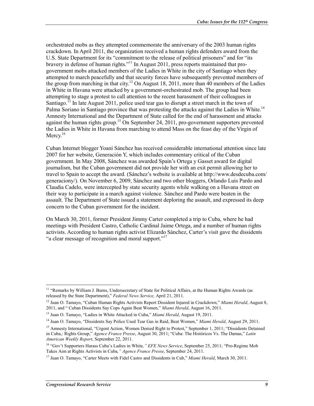orchestrated mobs as they attempted commemorate the anniversary of the 2003 human rights crackdown. In April 2011, the organization received a human rights defenders award from the U.S. State Department for its "commitment to the release of political prisoners" and for "its bravery in defense of human rights. $11$  In August 2011, press reports maintained that progovernment mobs attacked members of the Ladies in White in the city of Santiago when they attempted to march peacefully and that security forces have subsequently prevented members of the group from marching in that city.<sup>12</sup> On August 18, 2011, more than 40 members of the Ladies in White in Havana were attacked by a government-orchestrated mob. The group had been attempting to stage a protest to call attention to the recent harassment of their colleagues in Santiago.<sup>13</sup> In late August 2011, police used tear gas to disrupt a street march in the town of Palma Soriano in Santiago province that was protesting the attacks against the Ladies in White.<sup>14</sup> Amnesty International and the Department of State called for the end of harassment and attacks against the human rights group.<sup>15</sup> On September 24, 2011, pro-government supporters prevented the Ladies in White in Havana from marching to attend Mass on the feast day of the Virgin of Mercy.<sup>16</sup>

Cuban Internet blogger Yoaní Sánchez has received considerable international attention since late 2007 for her website, Generación Y, which includes commentary critical of the Cuban government. In May 2008, Sánchez was awarded Spain's Ortega y Gasset award for digital journalism, but the Cuban government did not provide her with an exit permit allowing her to travel to Spain to accept the award. (Sánchez's website is available at http://www.desdecuba.com/ generaciony/). On November 6, 2009, Sánchez and two other bloggers, Orlando Luis Pardo and Claudia Cadelo, were intercepted by state security agents while walking on a Havana street on their way to participate in a march against violence. Sánchez and Pardo were beaten in the assault. The Department of State issued a statement deploring the assault, and expressed its deep concern to the Cuban government for the incident.

On March 30, 2011, former President Jimmy Carter completed a trip to Cuba, where he had meetings with President Castro, Catholic Cardinal Jaime Ortega, and a number of human rights activists. According to human rights activist Elizardo Sánchez, Carter's visit gave the dissidents "a clear message of recognition and moral support."<sup>17</sup>

<sup>&</sup>lt;sup>11</sup> "Remarks by William J. Burns, Undersecretary of State for Political Affairs, at the Human Rights Awards (as released by the State Department)," *Federal News Service,* April 21, 2011.

<sup>12</sup> Juan O. Tamayo, "Cuban Human Rights Activists Report Dissident Injured in Crackdown," *Miami Herald*, August 8, 2011, and " Cuban Dissidents Say Cops Again Beat Women," *Miami Herald*, August 16, 2011.

<sup>13</sup> Juan O. Tamayo, "Ladies in White Attacked in Cuba," *Miami Herald*, August 19, 2011.

<sup>14</sup> Juan O. Tamayo, "Dissidents Say Police Used Tear Gas in Raid, Beat Women," *Miami Herald*, August 29, 2011.

<sup>&</sup>lt;sup>15</sup> Amnesty International, "Urgent Action, Women Denied Right to Protest," September 1, 2011; "Dissidents Detained in Cuba,: Rights Group," *Agence France Presse*, August 30, 2011; "Cuba: The Históricos Vs. The Damas," *Latin American Weekly Report*, September 22, 2011.

<sup>16 &</sup>quot;Gov't Supporters Harass Cuba's Ladies in White*," EFE News Service*, September 25, 2011; "Pro-Regime Mob Takes Aim at Rights Activists in Cuba*," Agence France Presse*, September 24, 2011.

<sup>17</sup> Juan O. Tamayo, "Carter Meets with Fidel Castro and Dissidents in Cub," *Miami Herald*, March 30, 2011.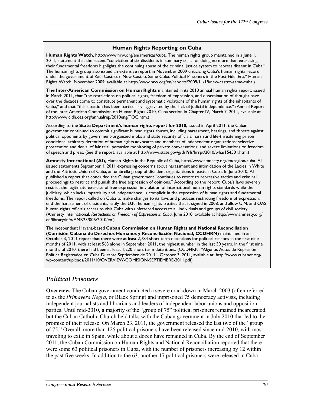#### **Human Rights Reporting on Cuba**

**Human Rights Watch**, http://www.hrw.org/en/americas/cuba. The human rights group maintained in a June 1, 2011, statement that the recent "conviction of six dissidents in summary trials for doing no more than exercising their fundamental freedoms highlights the continuing abuse of the criminal justice system to repress dissent in Cuba." The human rights group also issued an extensive report in November 2009 criticizing Cuba's human rights record under the government of Raúl Castro. ("New Castro, Same Cuba: Political Prisoners in the Post-Fidel Era," Human Rights Watch, November 2009, available at http://www.hrw.org/en/reports/2009/11/18/new-castro-same-cuba.)

**The Inter-American Commission on Human Rights** maintained in its 2010 annual human rights report, issued in March 2011, that "the restrictions on political rights, freedom of expression, and dissemination of thought have over the decades come to constitute permanent and systematic violations of the human rights of the inhabitants of Cuba," and that "this situation has been particularly aggravated by the lack of judicial independence." (Annual Report of the Inter-American Commission on Human Rights 2010, Cuba section in Chapter IV, March 7, 2011, available at http://www.cidh.oas.org/annualrep/2010eng/TOC.htm.)

According to the **State Department's human rights report for 2010**, issued in April 2011, the Cuban government continued to commit significant human rights abuses, including harassment, beatings, and threats against political opponents by government-organized mobs and state security officials; harsh and life-threatening prison conditions; arbitrary detention of human rights advocates and members of independent organizations; selective prosecution and denial of fair trial; pervasive monitoring of private conversations; and severe limitations on freedom of speech and press. (See the report, available at http://www.state.gov/g/drl/rls/hrrpt/2010/wha/154501.htm.)

**Amnesty International (AI),** Human Rights in the Republic of Cuba, http://www.amnesty.org/en/region/cuba. AI issued statements September 1, 2011 expressing concerns about harassment and intimidation of the Ladies in White and the Patriotic Union of Cuba, an umbrella group of dissident organizations in eastern Cuba. In June 2010, AI published a report that concluded the Cuban government "continues to resort to repressive tactics and criminal proceedings to restrict and punish the free expression of opinions." According to the report, Cuba's laws severely restrict the legitimate exercise of free expression in violation of international human rights standards while the judiciary, which lacks impartiality and independence, is complicit in the repression of human rights and fundamental freedoms. The report called on Cuba to make changes to its laws and practices restricting freedom of expression, end the harassment of dissidents, ratify the U.N. human rights treaties that it signed in 2008, and allow U.N. and OAS human rights officials access to visit Cuba with unfettered access to all individuals and groups of civil society. (Amnesty International, *Restrictions on Freedom of Expression in Cuba*, June 2010, available at http://www.amnesty.org/ en/library/info/AMR25/005/2010/en.)

The independent Havana-based **Cuban Commission on Human Rights and National Reconciliation (Comisión Cubana de Derechos Humanos y Reconciliación Nacional, CCDHRN)** maintained in an October 3, 2011 report that there were at least 2,784 short-term detentions for political reasons in the first nine months of 2011, with at least 563 alone in September 2011, the highest number in the last 30 years. In the first nine months of 2010, there had been at least 1,220 short term detentions. (CCDHRN, "Algunos Actos de Represión Política Registrados en Cuba Durante Septiembre de 2011," October 3, 2011, available at: http://www.cubanet.org/ wp-content/uploads/2011/10/OVERVIEW-COMISION-SEPTIEMBRE-2011.pdf)

### *Political Prisoners*

**Overview***.* The Cuban government conducted a severe crackdown in March 2003 (often referred to as the *Primavera Negra*, or Black Spring) and imprisoned 75 democracy activists, including independent journalists and librarians and leaders of independent labor unions and opposition parties. Until mid-2010, a majority of the "group of 75" political prisoners remained incarcerated, but the Cuban Catholic Church held talks with the Cuban government in July 2010 that led to the promise of their release. On March 23, 2011, the government released the last two of the "group of 75." Overall, more than 125 political prisoners have been released since mid-2010, with most traveling to exile in Spain, while about a dozen have remained in Cuba. By the end of September 2011, the Cuban Commission on Human Rights and National Reconciliation reported that there were some 63 political prisoners in Cuba, with the number of prisoners increasing by 12 within the past five weeks. In addition to the 63, another 17 political prisoners were released in Cuba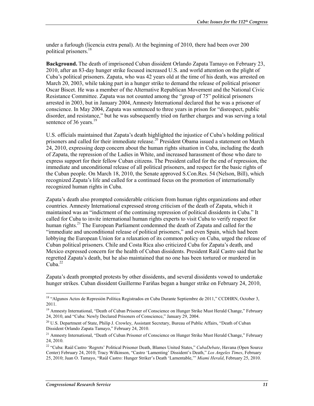under a furlough (licencia extra penal). At the beginning of 2010, there had been over 200 political prisoners.18

**Background.** The death of imprisoned Cuban dissident Orlando Zapata Tamayo on February 23, 2010, after an 83-day hunger strike focused increased U.S. and world attention on the plight of Cuba's political prisoners. Zapata, who was 42 years old at the time of his death, was arrested on March 20, 2003, while taking part in a hunger strike to demand the release of political prisoner Oscar Biscet. He was a member of the Alternative Republican Movement and the National Civic Resistance Committee. Zapata was not counted among the "group of 75" political prisoners arrested in 2003, but in January 2004, Amnesty International declared that he was a prisoner of conscience. In May 2004, Zapata was sentenced to three years in prison for "disrespect, public disorder, and resistance," but he was subsequently tried on further charges and was serving a total sentence of 36 years. $19$ 

U.S. officials maintained that Zapata's death highlighted the injustice of Cuba's holding political prisoners and called for their immediate release.<sup>20</sup> President Obama issued a statement on March 24, 2010, expressing deep concern about the human rights situation in Cuba, including the death of Zapata, the repression of the Ladies in White, and increased harassment of those who dare to express support for their fellow Cuban citizens. The President called for the end of repression, the immediate and unconditional release of all political prisoners, and respect for the basic rights of the Cuban people. On March 18, 2010, the Senate approved S.Con.Res. 54 (Nelson, Bill), which recognized Zapata's life and called for a continued focus on the promotion of internationally recognized human rights in Cuba.

Zapata's death also prompted considerable criticism from human rights organizations and other countries. Amnesty International expressed strong criticism of the death of Zapata, which it maintained was an "indictment of the continuing repression of political dissidents in Cuba." It called for Cuba to invite international human rights experts to visit Cuba to verify respect for human rights.<sup>21</sup> The European Parliament condemned the death of Zapata and called for the "immediate and unconditional release of political prisoners," and even Spain, which had been lobbying the European Union for a relaxation of its common policy on Cuba, urged the release of Cuban political prisoners. Chile and Costa Rica also criticized Cuba for Zapata's death, and Mexico expressed concern for the health of Cuban dissidents. President Raúl Castro said that he regretted Zapata's death, but he also maintained that no one has been tortured or murdered in  $Cuba$ <sup>22</sup>

Zapata's death prompted protests by other dissidents, and several dissidents vowed to undertake hunger strikes. Cuban dissident Guillermo Fariñas began a hunger strike on February 24, 2010,

<u>.</u>

<sup>&</sup>lt;sup>18</sup> "Algunos Actos de Represión Política Registrados en Cuba Durante Septiembre de 2011," CCDHRN, October 3, 2011.

<sup>&</sup>lt;sup>19</sup> Amnesty International, "Death of Cuban Prisoner of Conscience on Hunger Strike Must Herald Change," February 24, 2010, and "Cuba: Newly Declared Prisoners of Conscience," January 29, 2004.

<sup>&</sup>lt;sup>20</sup> U.S. Department of State, Philip J. Crowley, Assistant Secretary, Bureau of Public Affairs, "Death of Cuban Dissident Orlando Zapata Tamayo," February 24, 2010.

<sup>&</sup>lt;sup>21</sup> Amnesty International, "Death of Cuban Prisoner of Conscience on Hunger Strike Must Herald Change," February 24, 2010.

<sup>22 &</sup>quot;Cuba: Raúl Castro 'Regrets' Political Prisoner Death, Blames United States," *CubaDebate*, Havana (Open Source Center) February 24, 2010; Tracy Wilkinson, "Castro 'Lamenting' Dissident's Death," *Los Angeles Times*, February 25, 2010; Juan O. Tamayo, "Raúl Castro: Hunger Striker's Death 'Lamentable,'" *Miami Herald*, February 25, 2010.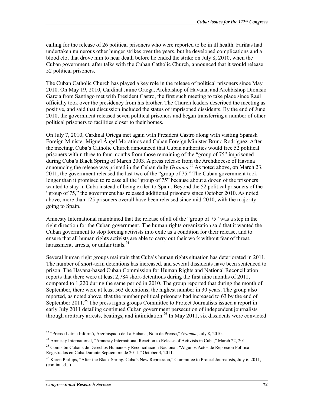calling for the release of 26 political prisoners who were reported to be in ill health. Fariñas had undertaken numerous other hunger strikes over the years, but he developed complications and a blood clot that drove him to near death before he ended the strike on July 8, 2010, when the Cuban government, after talks with the Cuban Catholic Church, announced that it would release 52 political prisoners.

The Cuban Catholic Church has played a key role in the release of political prisoners since May 2010. On May 19, 2010, Cardinal Jaime Ortega, Archbishop of Havana, and Archbishop Dionisio Garcia from Santiago met with President Castro, the first such meeting to take place since Raúl officially took over the presidency from his brother. The Church leaders described the meeting as positive, and said that discussion included the status of imprisoned dissidents. By the end of June 2010, the government released seven political prisoners and began transferring a number of other political prisoners to facilities closer to their homes.

On July 7, 2010, Cardinal Ortega met again with President Castro along with visiting Spanish Foreign Minister Miguel Ángel Moratinos and Cuban Foreign Minister Bruno Rodríguez. After the meeting, Cuba's Catholic Church announced that Cuban authorities would free 52 political prisoners within three to four months from those remaining of the "group of 75" imprisoned during Cuba's Black Spring of March 2003. A press release from the Archdiocese of Havana announcing the release was printed in the Cuban daily *Granma*. 23 As noted above, on March 23, 2011, the government released the last two of the "group of 75." The Cuban government took longer than it promised to release all the "group of 75" because about a dozen of the prisoners wanted to stay in Cuba instead of being exiled to Spain. Beyond the 52 political prisoners of the "group of 75," the government has released additional prisoners since October 2010. As noted above, more than 125 prisoners overall have been released since mid-2010, with the majority going to Spain.

Amnesty International maintained that the release of all of the "group of 75" was a step in the right direction for the Cuban government. The human rights organization said that it wanted the Cuban government to stop forcing activists into exile as a condition for their release, and to ensure that all human rights activists are able to carry out their work without fear of threat, harassment, arrests, or unfair trials. $^{24}$ 

Several human right groups maintain that Cuba's human rights situation has deteriorated in 2011. The number of short-term detentions has increased, and several dissidents have been sentenced to prison. The Havana-based Cuban Commission for Human Rights and National Reconciliation reports that there were at least 2,784 short-detentions during the first nine months of 2011, compared to 1,220 during the same period in 2010. The group reported that during the month of September, there were at least 563 detentions, the highest number in 30 years. The group also reported, as noted above, that the number political prisoners had increased to 63 by the end of September 2011.<sup>25</sup> The press rights groups Committee to Protect Journalists issued a report in early July 2011 detailing continued Cuban government persecution of independent journalists through arbitrary arrests, beatings, and intimidation.<sup>26</sup> In May 2011, six dissidents were convicted

<sup>23 &</sup>quot;Prensa Latina Informó, Arzobispado de La Habana, Nota de Prensa," *Granma*, July 8, 2010.

<sup>&</sup>lt;sup>24</sup> Amnesty International, "Amnesty International Reaction to Release of Activists in Cuba," March 22, 2011.

<sup>25</sup> Comisión Cubana de Derechos Humanos y Reconciliación Nacional, "Algunos Actos de Represión Política Registrados en Cuba Durante Septiembre de 2011," October 3, 2011.

<sup>&</sup>lt;sup>26</sup> Karen Phillips, "After the Black Spring, Cuba's New Repression," Committee to Protect Journalists, July 6, 2011, (continued...)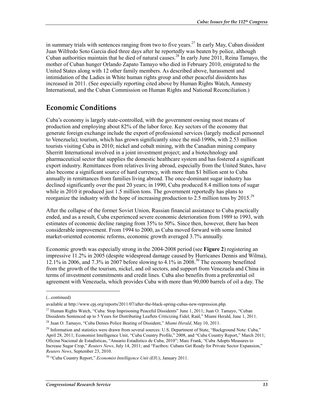in summary trials with sentences ranging from two to five years.<sup>27</sup> In early May, Cuban dissident Juan Wilfredo Soto Garcia died three days after he reportedly was beaten by police, although Cuban authorities maintain that he died of natural causes.<sup>28</sup> In early June 2011, Reina Tamayo, the mother of Cuban hunger Orlando Zapato Tamayo who died in February 2010, emigrated to the United States along with 12 other family members. As described above, harassment and intimidation of the Ladies in White human rights group and other peaceful dissidents has increased in 2011. (See especially reporting cited above by Human Rights Watch, Amnesty International, and the Cuban Commission on Human Rights and National Reconciliation.)

### **Economic Conditions**

Cuba's economy is largely state-controlled, with the government owning most means of production and employing about 82% of the labor force. Key sectors of the economy that generate foreign exchange include the export of professional services (largely medical personnel to Venezuela); tourism, which has grown significantly since the mid-1990s, with 2.53 million tourists visiting Cuba in 2010; nickel and cobalt mining, with the Canadian mining company Sherritt International involved in a joint investment project; and a biotechnology and pharmaceutical sector that supplies the domestic healthcare system and has fostered a significant export industry. Remittances from relatives living abroad, especially from the United States, have also become a significant source of hard currency, with more than \$1 billion sent to Cuba annually in remittances from families living abroad. The once-dominant sugar industry has declined significantly over the past 20 years; in 1990, Cuba produced 8.4 million tons of sugar while in 2010 it produced just 1.5 million tons. The government reportedly has plans to reorganize the industry with the hope of increasing production to  $2.5$  million tons by  $2015.^{29}$ 

After the collapse of the former Soviet Union, Russian financial assistance to Cuba practically ended, and as a result, Cuba experienced severe economic deterioration from 1989 to 1993, with estimates of economic decline ranging from 35% to 50%. Since then, however, there has been considerable improvement. From 1994 to 2000, as Cuba moved forward with some limited market-oriented economic reforms, economic growth averaged 3.7% annually.

Economic growth was especially strong in the 2004-2008 period (see **Figure 2**) registering an impressive 11.2% in 2005 (despite widespread damage caused by Hurricanes Dennis and Wilma), 12.1% in 2006, and 7.3% in 2007 before slowing to 4.1% in 2008.30 The economy benefitted from the growth of the tourism, nickel, and oil sectors, and support from Venezuela and China in terms of investment commitments and credit lines. Cuba also benefits from a preferential oil agreement with Venezuela, which provides Cuba with more than 90,000 barrels of oil a day. The

 $\overline{a}$ 

<sup>(...</sup>continued)

available at http://www.cpj.org/reports/2011/07/after-the-black-spring-cubas-new-repression.php.

<sup>&</sup>lt;sup>27</sup> Human Rights Watch, "Cuba: Stop Imprisoning Peaceful Dissidents" June 1, 2011; Juan O. Tamayo, "Cuban" Dissidents Sentenced up to 5 Years for Distributing Leaflets Criticizing Fidel, Raúl," Miami Herald, June 1, 2011.

<sup>28</sup> Juan O. Tamayo, "Cuba Denies Police Beating of Dissident," *Miami Herald*, May 10, 2011.

<sup>&</sup>lt;sup>29</sup> Information and statistics were drawn from several sources: U.S. Department of State, "Background Note: Cuba," April 28, 2011; Economist Intelligence Unit, "Cuba Country Profile," 2008, and "Cuba Country Report," March 2011; Oficina Nacional de Estadísticas, "Anuario Estadístico de Cuba, 2010"; Marc Frank, "Cuba Adopts Measures to Increase Sugar Crop," *Reuters News*, July 14, 2011; and "Factbox: Cubans Get Ready for Private Sector Expansion," *Reuters News*, September 23, 2010.

<sup>30 &</sup>quot;Cuba Country Report," *Economist Intelligence Unit (EIU)*, January 2011.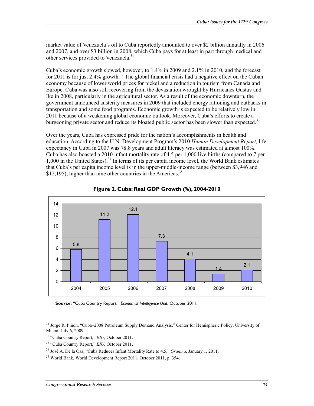market value of Venezuela's oil to Cuba reportedly amounted to over \$2 billion annually in 2006 and 2007, and over \$3 billion in 2008, which Cuba pays for at least in part through medical and other services provided to Venezuela.<sup>31</sup>

Cuba's economic growth slowed, however, to 1.4% in 2009 and 2.1% in 2010, and the forecast for 2011 is for just 2.4% growth.<sup>32</sup> The global financial crisis had a negative effect on the Cuban economy because of lower world prices for nickel and a reduction in tourism from Canada and Europe. Cuba was also still recovering from the devastation wrought by Hurricanes Gustav and Ike in 2008, particularly in the agricultural sector. As a result of the economic downturn, the government announced austerity measures in 2009 that included energy rationing and cutbacks in transportation and some food programs. Economic growth is expected to be relatively low in 2011 because of a weakening global economic outlook. Moreover, Cuba's efforts to create a burgeoning private sector and reduce its bloated public sector has been slower than expected.<sup>33</sup>

Over the years, Cuba has expressed pride for the nation's accomplishments in health and education. According to the U.N. Development Program's 2010 *Human Development Report,* life expectancy in Cuba in 2007 was 78.8 years and adult literacy was estimated at almost 100%. Cuba has also boasted a 2010 infant mortality rate of 4.5 per 1,000 live births (compared to 7 per 1,000 in the United States).34 In terms of its per capita income level, the World Bank estimates that Cuba's per capita income level is in the upper-middle-income range (between \$3,946 and  $$12,195$ ), higher than nine other countries in the Americas.<sup>35</sup>





**Source:** "Cuba Country Report," *Economist Intelligence Unit*, October 2011.

<sup>&</sup>lt;sup>31</sup> Jorge R. Piñon, "Cuba–2008 Petroleum Supply Demand Analysis," Center for Hemispheric Policy, University of Miami, July 6, 2009.

<sup>32 &</sup>quot;Cuba Country Report," *EIU*, October 2011.

<sup>33 &</sup>quot;Cuba Country Report," *EIU*, October 2011.

<sup>34</sup> José A. De la Osa, "Cuba Reduces Infant Mortality Rate to 4.5," *Granma*, January 1, 2011.

<sup>35</sup> World Bank, World Development Report 2011, October 2011, p. 354.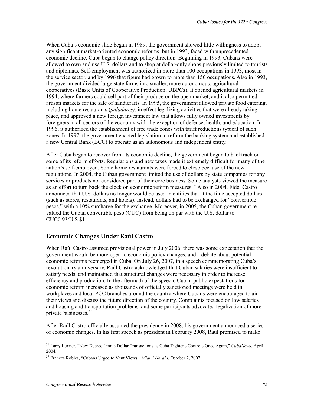When Cuba's economic slide began in 1989, the government showed little willingness to adopt any significant market-oriented economic reforms, but in 1993, faced with unprecedented economic decline, Cuba began to change policy direction. Beginning in 1993, Cubans were allowed to own and use U.S. dollars and to shop at dollar-only shops previously limited to tourists and diplomats. Self-employment was authorized in more than 100 occupations in 1993, most in the service sector, and by 1996 that figure had grown to more than 150 occupations. Also in 1993, the government divided large state farms into smaller, more autonomous, agricultural cooperatives (Basic Units of Cooperative Production, UBPCs). It opened agricultural markets in 1994, where farmers could sell part of their produce on the open market, and it also permitted artisan markets for the sale of handicrafts. In 1995, the government allowed private food catering, including home restaurants (*paladares)*, in effect legalizing activities that were already taking place, and approved a new foreign investment law that allows fully owned investments by foreigners in all sectors of the economy with the exception of defense, health, and education. In 1996, it authorized the establishment of free trade zones with tariff reductions typical of such zones. In 1997, the government enacted legislation to reform the banking system and established a new Central Bank (BCC) to operate as an autonomous and independent entity.

After Cuba began to recover from its economic decline, the government began to backtrack on some of its reform efforts. Regulations and new taxes made it extremely difficult for many of the nation's self-employed. Some home restaurants were forced to close because of the new regulations. In 2004, the Cuban government limited the use of dollars by state companies for any services or products not considered part of their core business. Some analysts viewed the measure as an effort to turn back the clock on economic reform measures.36 Also in 2004, Fidel Castro announced that U.S. dollars no longer would be used in entities that at the time accepted dollars (such as stores, restaurants, and hotels). Instead, dollars had to be exchanged for "convertible pesos," with a 10% surcharge for the exchange. Moreover, in 2005, the Cuban government revalued the Cuban convertible peso (CUC) from being on par with the U.S. dollar to CUC0.93/U.S.\$1.

### **Economic Changes Under Raúl Castro**

When Raúl Castro assumed provisional power in July 2006, there was some expectation that the government would be more open to economic policy changes, and a debate about potential economic reforms reemerged in Cuba. On July 26, 2007, in a speech commemorating Cuba's revolutionary anniversary, Raúl Castro acknowledged that Cuban salaries were insufficient to satisfy needs, and maintained that structural changes were necessary in order to increase efficiency and production. In the aftermath of the speech, Cuban public expectations for economic reform increased as thousands of officially sanctioned meetings were held in workplaces and local PCC branches around the country where Cubans were encouraged to air their views and discuss the future direction of the country. Complaints focused on low salaries and housing and transportation problems, and some participants advocated legalization of more private businesses.37

After Raúl Castro officially assumed the presidency in 2008, his government announced a series of economic changes. In his first speech as president in February 2008, Raúl promised to make

<sup>36</sup> Larry Luxner, "New Decree Limits Dollar Transactions as Cuba Tightens Controls Once Again," *CubaNews*, April 2004.

<sup>37</sup> Frances Robles, "Cubans Urged to Vent Views," *Miami Herald*, October 2, 2007.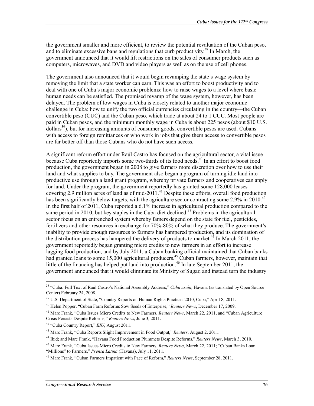the government smaller and more efficient, to review the potential revaluation of the Cuban peso, and to eliminate excessive bans and regulations that curb productivity.<sup>38</sup> In March, the government announced that it would lift restrictions on the sales of consumer products such as computers, microwaves, and DVD and video players as well as on the use of cell phones.

The government also announced that it would begin revamping the state's wage system by removing the limit that a state worker can earn. This was an effort to boost productivity and to deal with one of Cuba's major economic problems: how to raise wages to a level where basic human needs can be satisfied. The promised revamp of the wage system, however, has been delayed. The problem of low wages in Cuba is closely related to another major economic challenge in Cuba: how to unify the two official currencies circulating in the country—the Cuban convertible peso (CUC) and the Cuban peso, which trade at about 24 to 1 CUC. Most people are paid in Cuban pesos, and the minimum monthly wage in Cuba is about 225 pesos (about \$10 U.S. dollars<sup>39</sup>), but for increasing amounts of consumer goods, convertible pesos are used. Cubans with access to foreign remittances or who work in jobs that give them access to convertible pesos are far better off than those Cubans who do not have such access.

A significant reform effort under Raúl Castro has focused on the agricultural sector, a vital issue because Cuba reportedly imports some two-thirds of its food needs.<sup>40</sup> In an effort to boost food production, the government began in 2008 to give farmers more discretion over how to use their land and what supplies to buy. The government also began a program of turning idle land into productive use through a land grant program, whereby private farmers and cooperatives can apply for land. Under the program, the government reportedly has granted some 128,000 leases covering 2.9 million acres of land as of mid-2011.<sup>41</sup> Despite these efforts, overall food production has been significantly below targets, with the agriculture sector contracting some 2.9% in 2010.<sup>42</sup> In the first half of 2011, Cuba reported a 6.1% increase in agricultural production compared to the same period in 2010, but key staples in the Cuba diet declined.<sup>43</sup> Problems in the agricultural sector focus on an entrenched system whereby famers depend on the state for fuel, pesticides, fertilizers and other resources in exchange for 70%-80% of what they produce. The government's inability to provide enough resources to farmers has hampered production, and its domination of the distribution process has hampered the delivery of products to market.<sup>44</sup> In March 2011, the government reportedly began granting micro credits to new farmers in an effort to increase lagging food production, and by July 2011, a Cuban banking official maintained that Cuban banks had granted loans to some 15,000 agricultural producers.<sup>45</sup> Cuban farmers, however, maintain that little of the financing has helped put land into production.<sup>46</sup> In late September 2011, the government announced that it would eliminate its Ministry of Sugar, and instead turn the industry

<sup>38 &</sup>quot;Cuba: Full Text of Raúl Castro's National Assembly Address," *Cubavisión*, Havana (as translated by Open Source Center) February 24, 2008.

<sup>&</sup>lt;sup>39</sup> U.S. Department of State, "Country Reports on Human Rights Practices 2010, Cuba," April 8, 2011.

<sup>40</sup> Helen Popper, "Cuban Farm Reforms Sow Seeds of Enterprise," *Reuters News*, December 17, 2009.

<sup>41</sup> Marc Frank, "Cuba Issues Micro Credits to New Farmers, *Reuters News*, March 22, 2011, and "Cuban Agriculture Crisis Persists Despite Reforms," *Reuters News*, June 3, 2011.

<sup>42 &</sup>quot;Cuba Country Report," *EIU*, August 2011.

<sup>43</sup> Marc Frank, "Cuba Reports Slight Improvement in Food Output," *Reuters*, August 2, 2011.

<sup>44</sup> Ibid; and Marc Frank, "Havana Food Production Plummets Despite Reforms," *Reuters News*, March 3, 2010.

<sup>45</sup> Marc Frank, "Cuba Issues Micro Credits to New Farmers, *Reuters News*, March 22, 2011; "Cuban Banks Loan "Millions" to Farmers," *Prensa Latina* (Havana), July 11, 2011.

<sup>46</sup> Marc Frank, "Cuban Farmers Impatient with Pace of Reform," *Reuters News*, September 28, 2011.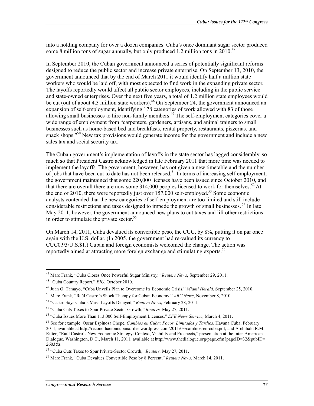into a holding company for over a dozen companies. Cuba's once dominant sugar sector produced some 8 million tons of sugar annually, but only produced 1.2 million tons in  $2010^{47}$ 

In September 2010, the Cuban government announced a series of potentially significant reforms designed to reduce the public sector and increase private enterprise. On September 13, 2010, the government announced that by the end of March 2011 it would identify half a million state workers who would be laid off, with most expected to find work in the expanding private sector. The layoffs reportedly would affect all public sector employees, including in the public service and state-owned enterprises. Over the next five years, a total of 1.2 million state employees would be cut (out of about 4.3 million state workers).<sup>48</sup> On September 24, the government announced an expansion of self-employment, identifying 178 categories of work allowed with 83 of those allowing small businesses to hire non-family members.<sup>49</sup> The self-employment categories cover a wide range of employment from "carpenters, gardeners, artisans, and animal trainers to small businesses such as home-based bed and breakfasts, rental property, restaurants, pizzerias, and snack shops.<sup>550</sup> New tax provisions would generate income for the government and include a new sales tax and social security tax.

The Cuban government's implementation of layoffs in the state sector has lagged considerably, so much so that President Castro acknowledged in late February 2011 that more time was needed to implement the layoffs. The government, however, has not given a new timetable and the number of jobs that have been cut to date has not been released.<sup>51</sup> In terms of increasing self-employment, the government maintained that some 220,000 licenses have been issued since October 2010, and that there are overall there are now some  $314,000$  peoples licensed to work for themselves.<sup>52</sup> At the end of 2010, there were reportedly just over  $157,000$  self-employed.<sup>53</sup> Some economic analysts contended that the new categories of self-employment are too limited and still include considerable restrictions and taxes designed to impede the growth of small businesses. 54 In late May 2011, however, the government announced new plans to cut taxes and lift other restrictions in order to stimulate the private sector. $55$ 

On March 14, 2011, Cuba devalued its convertible peso, the CUC, by 8%, putting it on par once again with the U.S. dollar. (In 2005, the government had re-valued its currency to CUC0.93/U.S.\$1.) Cuban and foreign economists welcomed the change. The action was reportedly aimed at attracting more foreign exchange and stimulating exports.<sup>56</sup>

<sup>&</sup>lt;u>.</u> 47 Marc Frank, "Cuba Closes Once Powerful Sugar Ministry," *Reuters News*, September 29, 2011.

<sup>48 &</sup>quot;Cuba Country Report," *EIU*, October 2010.

<sup>49</sup> Juan O. Tamayo, "Cuba Unveils Plan to Overcome Its Economic Crisis," *Miami Herald*, September 25, 2010.

<sup>50</sup> Marc Frank, "Raúl Castro's Shock Therapy for Cuban Economy," *ABC News*, November 8, 2010.

<sup>51 &</sup>quot;Castro Says Cuba's Mass Layoffs Delayed," *Reuters News*, February 28, 2011.

<sup>52 &</sup>quot;Cuba Cuts Taxes to Spur Private-Sector Growth," *Reuters,* May 27, 2011.

<sup>53 &</sup>quot;Cuba Issues More Than 113,000 Self-Employment Licenses," *EFE News Service*, March 4, 2011.

<sup>54</sup> See for example: Oscar Espinosa Chepe, *Cambios en Cuba: Pocos, Limitados y Tardios*, Havana Cuba, February 2011, available at http://reconciliacioncubana.files.wordpress.com/2011/03/cambios-en-cuba.pdf; and Archibald R.M. Ritter, "Raúl Castro's New Economic Strategy: Context, Viability and Prospects," presentation at the Inter-American Dialogue, Washington, D.C., March 11, 2011, available at http://www.thedialogue.org/page.cfm?pageID=32&pubID= 2603&s

<sup>55 &</sup>quot;Cuba Cuts Taxes to Spur Private-Sector Growth," *Reuters,* May 27, 2011.

<sup>56</sup> Marc Frank, "Cuba Devalues Convertible Peso by 8 Percent," *Reuters News*, March 14, 2011.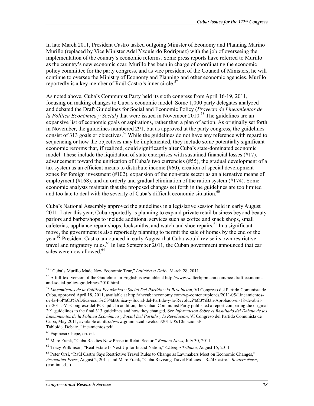In late March 2011, President Castro tasked outgoing Minister of Economy and Planning Marino Murillo (replaced by Vice Minister Adel Yzquierdo Rodriguez) with the job of overseeing the implementation of the country's economic reforms. Some press reports have referred to Murillo as the country's new economic czar. Murillo has been in charge of coordinating the economic policy committee for the party congress, and as vice president of the Council of Ministers, he will continue to oversee the Ministry of Economy and Planning and other economic agencies. Murillo reportedly is a key member of Raúl Castro's inner circle.<sup>57</sup>

As noted above, Cuba's Communist Party held its sixth congress from April 16-19, 2011, focusing on making changes to Cuba's economic model. Some 1,000 party delegates analyzed and debated the Draft Guidelines for Social and Economic Policy (*Proyecto de Lineamientos de la Política Económica y Social*) that were issued in November 2010.<sup>58</sup> The guidelines are an expansive list of economic goals or aspirations, rather than a plan of action. As originally set forth in November, the guidelines numbered 291, but as approved at the party congress, the guidelines consist of 313 goals or objectives.<sup>59</sup> While the guidelines do not have any reference with regard to sequencing or how the objectives may be implemented, they include some potentially significant economic reforms that, if realized, could significantly alter Cuba's state-dominated economic model. These include the liquidation of state enterprises with sustained financial losses  $(\#17)$ , advancement toward the unification of Cuba's two currencies (#55), the gradual development of a tax system as an efficient means to distribute income (#60), creation of special development zones for foreign investment (#102), expansion of the non-state sector as an alternative means of employment (#168), and an orderly and gradual elimination of the ration system (#174). Some economic analysts maintain that the proposed changes set forth in the guidelines are too limited and too late to deal with the severity of Cuba's difficult economic situation.<sup>60</sup>

Cuba's National Assembly approved the guidelines in a legislative session held in early August 2011. Later this year, Cuba reportedly is planning to expand private retail business beyond beauty parlors and barbershops to include additional services such as coffee and snack shops, small cafeterias, appliance repair shops, locksmiths, and watch and shoe repairs.<sup>61</sup> In a significant move, the government is also reportedly planning to permit the sale of homes by the end of the year.<sup>62</sup> President Castro announced in early August that Cuba would revise its own restrictive travel and migratory rules. $63$  In late September 2011, the Cuban government announced that car sales were now allowed.<sup>64</sup>

<u>.</u>

<sup>57 &</sup>quot;Cuba's Murillo Made New Economic Tzar," *LatinNews Daily*, March 28, 2011.

<sup>&</sup>lt;sup>58</sup> A full-text version of the Guidelines in English is available at http://www.walterlippmann.com/pcc-draft-economicand-social-policy-guidelines-2010.html.

*<sup>59</sup> Lineamientos de la Política Económica y Social Del Partido y la Revolución*, VI Congreso del Partido Comunista de Cuba, approved April 18, 2011, available at http://thecubaneconomy.com/wp-content/uploads/2011/05/Lineamientosde-la-Pol%C3%ADtica-econ%C3%B3mica-y-Social-del-Partido-y-la-Revoluci%C3%B3n-Aprobado-el-18-de-abrilde-2011.-VI-Congreso-del-PCC.pdf. In addition, the Cuban Communist Party published a report comparing the original 291 guidelines to the final 313 guidelines and how they changed. See *Información Sobre el Resultado del Debate de los Lineamientos de la Política Económica y Social Del Partido y la Revolución*, VI Congreso del Partido Comunista de Cuba, May 2011, available at http://www.granma.cubaweb.cu/2011/05/10/nacional/ Tabloide\_Debate\_Lineamientos.pdf.

<sup>60</sup> Espinosa Chepe, op. cit.

<sup>61</sup> Marc Frank, "Cuba Readies New Phase in Retail Sector," *Reuters News*, July 30, 2011.

<sup>62</sup> Tracy Wilkinson, "Real Estate Is Next Up for Island Nation," *Chicago Tribune*, August 15, 2011.

<sup>&</sup>lt;sup>63</sup> Peter Orsi. "Raúl Castro Savs Restrictive Travel Rules to Change as Lawmakers Meet on Economic Changes," *Associated Press*, August 2, 2011; and Marc Frank, "Cuba Revising Travel Policies—Raúl Castro," *Reuters News*, (continued...)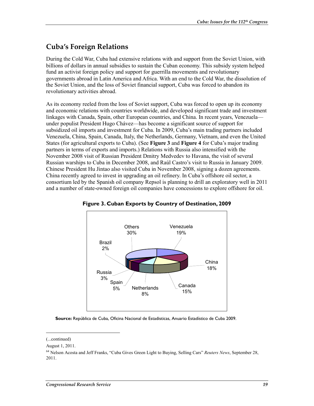## **Cuba's Foreign Relations**

During the Cold War, Cuba had extensive relations with and support from the Soviet Union, with billions of dollars in annual subsidies to sustain the Cuban economy. This subsidy system helped fund an activist foreign policy and support for guerrilla movements and revolutionary governments abroad in Latin America and Africa. With an end to the Cold War, the dissolution of the Soviet Union, and the loss of Soviet financial support, Cuba was forced to abandon its revolutionary activities abroad.

As its economy reeled from the loss of Soviet support, Cuba was forced to open up its economy and economic relations with countries worldwide, and developed significant trade and investment linkages with Canada, Spain, other European countries, and China. In recent years, Venezuela under populist President Hugo Chávez—has become a significant source of support for subsidized oil imports and investment for Cuba. In 2009, Cuba's main trading partners included Venezuela, China, Spain, Canada, Italy, the Netherlands, Germany, Vietnam, and even the United States (for agricultural exports to Cuba). (See **Figure 3** and **Figure 4** for Cuba's major trading partners in terms of exports and imports.) Relations with Russia also intensified with the November 2008 visit of Russian President Dmitry Medvedev to Havana, the visit of several Russian warships to Cuba in December 2008, and Raúl Castro's visit to Russia in January 2009. Chinese President Hu Jintao also visited Cuba in November 2008, signing a dozen agreements. China recently agreed to invest in upgrading an oil refinery. In Cuba's offshore oil sector, a consortium led by the Spanish oil company Repsol is planning to drill an exploratory well in 2011 and a number of state-owned foreign oil companies have concessions to explore offshore for oil.





**Source:** República de Cuba, Oficina Nacional de Estadisticas, Anuario Estadístico de Cuba 2009.

<sup>(...</sup>continued)

August 1, 2011.

<sup>64</sup> Nelson Acosta and Jeff Franks, "Cuba Gives Green Light to Buying, Selling Cars" *Reuters News*, September 28, 2011.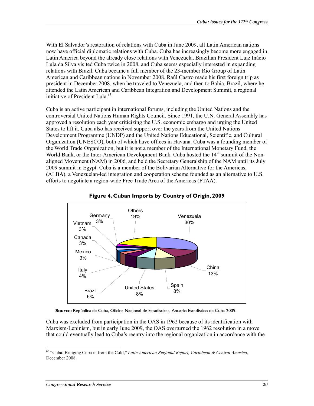With El Salvador's restoration of relations with Cuba in June 2009, all Latin American nations now have official diplomatic relations with Cuba. Cuba has increasingly become more engaged in Latin America beyond the already close relations with Venezuela. Brazilian President Luiz Inácio Lula da Silva visited Cuba twice in 2008, and Cuba seems especially interested in expanding relations with Brazil. Cuba became a full member of the 23-member Rio Group of Latin American and Caribbean nations in November 2008. Raúl Castro made his first foreign trip as president in December 2008, when he traveled to Venezuela, and then to Bahia, Brazil, where he attended the Latin American and Caribbean Integration and Development Summit, a regional initiative of President Lula.<sup>65</sup>

Cuba is an active participant in international forums, including the United Nations and the controversial United Nations Human Rights Council. Since 1991, the U.N. General Assembly has approved a resolution each year criticizing the U.S. economic embargo and urging the United States to lift it. Cuba also has received support over the years from the United Nations Development Programme (UNDP) and the United Nations Educational, Scientific, and Cultural Organization (UNESCO), both of which have offices in Havana. Cuba was a founding member of the World Trade Organization, but it is not a member of the International Monetary Fund, the World Bank, or the Inter-American Development Bank. Cuba hosted the 14<sup>th</sup> summit of the Nonaligned Movement (NAM) in 2006, and held the Secretary Generalship of the NAM until its July 2009 summit in Egypt. Cuba is a member of the Bolivarian Alternative for the Americas, (ALBA), a Venezuelan-led integration and cooperation scheme founded as an alternative to U.S. efforts to negotiate a region-wide Free Trade Area of the Americas (FTAA).



#### **Figure 4. Cuban Imports by Country of Origin, 2009**

**Source:** República de Cuba, Oficina Nacional de Estadisticas, Anuario Estadístico de Cuba 2009.

Cuba was excluded from participation in the OAS in 1962 because of its identification with Marxism-Leninism, but in early June 2009, the OAS overturned the 1962 resolution in a move that could eventually lead to Cuba's reentry into the regional organization in accordance with the

<sup>65 &</sup>quot;Cuba: Bringing Cuba in from the Cold," *Latin American Regional Report, Caribbean & Central America*, December 2008.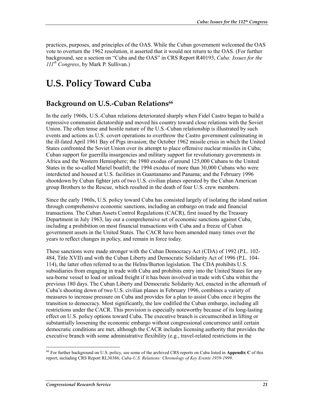practices, purposes, and principles of the OAS. While the Cuban government welcomed the OAS vote to overturn the 1962 resolution, it asserted that it would not return to the OAS. (For further background, see a section on "Cuba and the OAS" in CRS Report R40193, *Cuba: Issues for the 111th Congress*, by Mark P. Sullivan.)

# **U.S. Policy Toward Cuba**

### **Background on U.S.-Cuban Relations<sup>66</sup>**

In the early 1960s, U.S.-Cuban relations deteriorated sharply when Fidel Castro began to build a repressive communist dictatorship and moved his country toward close relations with the Soviet Union. The often tense and hostile nature of the U.S.-Cuban relationship is illustrated by such events and actions as U.S. covert operations to overthrow the Castro government culminating in the ill-fated April 1961 Bay of Pigs invasion; the October 1962 missile crisis in which the United States confronted the Soviet Union over its attempt to place offensive nuclear missiles in Cuba; Cuban support for guerrilla insurgencies and military support for revolutionary governments in Africa and the Western Hemisphere; the 1980 exodus of around 125,000 Cubans to the United States in the so-called Mariel boatlift; the 1994 exodus of more than 30,000 Cubans who were interdicted and housed at U.S. facilities in Guantanamo and Panama; and the February 1996 shootdown by Cuban fighter jets of two U.S. civilian planes operated by the Cuban American group Brothers to the Rescue, which resulted in the death of four U.S. crew members.

Since the early 1960s, U.S. policy toward Cuba has consisted largely of isolating the island nation through comprehensive economic sanctions, including an embargo on trade and financial transactions. The Cuban Assets Control Regulations (CACR), first issued by the Treasury Department in July 1963, lay out a comprehensive set of economic sanctions against Cuba, including a prohibition on most financial transactions with Cuba and a freeze of Cuban government assets in the United States. The CACR have been amended many times over the years to reflect changes in policy, and remain in force today.

These sanctions were made stronger with the Cuban Democracy Act (CDA) of 1992 (P.L. 102- 484, Title XVII) and with the Cuban Liberty and Democratic Solidarity Act of 1996 (P.L. 104- 114), the latter often referred to as the Helms/Burton legislation. The CDA prohibits U.S. subsidiaries from engaging in trade with Cuba and prohibits entry into the United States for any sea-borne vessel to load or unload freight if it has been involved in trade with Cuba within the previous 180 days. The Cuban Liberty and Democratic Solidarity Act, enacted in the aftermath of Cuba's shooting down of two U.S. civilian planes in February 1996, combines a variety of measures to increase pressure on Cuba and provides for a plan to assist Cuba once it begins the transition to democracy. Most significantly, the law codified the Cuban embargo, including all restrictions under the CACR. This provision is especially noteworthy because of its long-lasting effect on U.S. policy options toward Cuba. The executive branch is circumscribed in lifting or substantially loosening the economic embargo without congressional concurrence until certain democratic conditions are met, although the CACR includes licensing authority that provides the executive branch with some administrative flexibility (e.g., travel-related restrictions in the

<sup>66</sup> For further background on U.S. policy, see some of the archived CRS reports on Cuba listed in **Appendix C** of this report, including CRS Report RL30386, *Cuba-U.S. Relations: Chronology of Key Events 1959-1999*.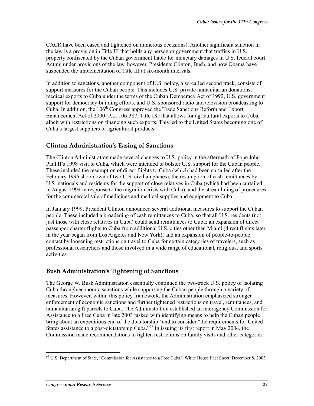CACR have been eased and tightened on numerous occasions). Another significant sanction in the law is a provision in Title III that holds any person or government that traffics in U.S. property confiscated by the Cuban government liable for monetary damages in U.S. federal court. Acting under provisions of the law, however, Presidents Clinton, Bush, and now Obama have suspended the implementation of Title III at six-month intervals.

In addition to sanctions, another component of U.S. policy, a so-called second track, consists of support measures for the Cuban people. This includes U.S. private humanitarian donations, medical exports to Cuba under the terms of the Cuban Democracy Act of 1992, U.S. government support for democracy-building efforts, and U.S.-sponsored radio and television broadcasting to Cuba. In addition, the  $106<sup>th</sup>$  Congress approved the Trade Sanctions Reform and Export Enhancement Act of 2000 (P.L. 106-387, Title IX) that allows for agricultural exports to Cuba, albeit with restrictions on financing such exports. This led to the United States becoming one of Cuba's largest suppliers of agricultural products.

### **Clinton Administration's Easing of Sanctions**

The Clinton Administration made several changes to U.S. policy in the aftermath of Pope John Paul II's 1998 visit to Cuba, which were intended to bolster U.S. support for the Cuban people. These included the resumption of direct flights to Cuba (which had been curtailed after the February 1996 shootdown of two U.S. civilian planes), the resumption of cash remittances by U.S. nationals and residents for the support of close relatives in Cuba (which had been curtailed in August 1994 in response to the migration crisis with Cuba), and the streamlining of procedures for the commercial sale of medicines and medical supplies and equipment to Cuba.

In January 1999, President Clinton announced several additional measures to support the Cuban people. These included a broadening of cash remittances to Cuba, so that all U.S. residents (not just those with close relatives in Cuba) could send remittances to Cuba; an expansion of direct passenger charter flights to Cuba from additional U.S. cities other than Miami (direct flights later in the year began from Los Angeles and New York); and an expansion of people-to-people contact by loosening restrictions on travel to Cuba for certain categories of travelers, such as professional researchers and those involved in a wide range of educational, religious, and sports activities.

### **Bush Administration's Tightening of Sanctions**

The George W. Bush Administration essentially continued the two-track U.S. policy of isolating Cuba through economic sanctions while supporting the Cuban people through a variety of measures. However, within this policy framework, the Administration emphasized stronger enforcement of economic sanctions and further tightened restrictions on travel, remittances, and humanitarian gift parcels to Cuba. The Administration established an interagency Commission for Assistance to a Free Cuba in late 2003 tasked with identifying means to help the Cuban people bring about an expeditious end of the dictatorship" and to consider "the requirements for United States assistance to a post-dictatorship Cuba."<sup>67</sup> In issuing its first report in May 2004, the Commission made recommendations to tighten restrictions on family visits and other categories

<sup>&</sup>lt;u>.</u>  $67$  U.S. Department of State, "Commission for Assistance to a Free Cuba," White House Fact Sheet, December 8, 2003.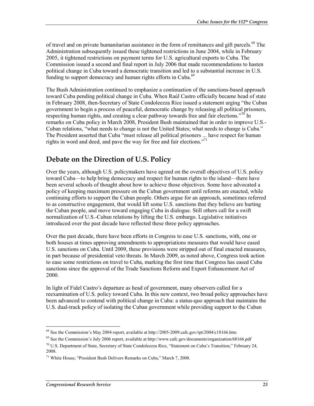of travel and on private humanitarian assistance in the form of remittances and gift parcels.<sup>68</sup> The Administration subsequently issued these tightened restrictions in June 2004, while in February 2005, it tightened restrictions on payment terms for U.S. agricultural exports to Cuba. The Commission issued a second and final report in July 2006 that made recommendations to hasten political change in Cuba toward a democratic transition and led to a substantial increase in U.S. funding to support democracy and human rights efforts in Cuba.<sup>69</sup>

The Bush Administration continued to emphasize a continuation of the sanctions-based approach toward Cuba pending political change in Cuba. When Raúl Castro officially became head of state in February 2008, then-Secretary of State Condoleezza Rice issued a statement urging "the Cuban government to begin a process of peaceful, democratic change by releasing all political prisoners, respecting human rights, and creating a clear pathway towards free and fair elections."<sup>70</sup> In remarks on Cuba policy in March 2008, President Bush maintained that in order to improve U.S.- Cuban relations, "what needs to change is not the United States; what needs to change is Cuba." The President asserted that Cuba "must release all political prisoners ... have respect for human rights in word and deed, and pave the way for free and fair elections."<sup>71</sup>

## **Debate on the Direction of U.S. Policy**

Over the years, although U.S. policymakers have agreed on the overall objectives of U.S. policy toward Cuba—to help bring democracy and respect for human rights to the island—there have been several schools of thought about how to achieve those objectives. Some have advocated a policy of keeping maximum pressure on the Cuban government until reforms are enacted, while continuing efforts to support the Cuban people. Others argue for an approach, sometimes referred to as constructive engagement, that would lift some U.S. sanctions that they believe are hurting the Cuban people, and move toward engaging Cuba in dialogue. Still others call for a swift normalization of U.S.-Cuban relations by lifting the U.S. embargo. Legislative initiatives introduced over the past decade have reflected these three policy approaches.

Over the past decade, there have been efforts in Congress to ease U.S. sanctions, with, one or both houses at times approving amendments to appropriations measures that would have eased U.S. sanctions on Cuba. Until 2009, these provisions were stripped out of final enacted measures, in part because of presidential veto threats. In March 2009, as noted above, Congress took action to ease some restrictions on travel to Cuba, marking the first time that Congress has eased Cuba sanctions since the approval of the Trade Sanctions Reform and Export Enhancement Act of 2000.

In light of Fidel Castro's departure as head of government, many observers called for a reexamination of U.S. policy toward Cuba. In this new context, two broad policy approaches have been advanced to contend with political change in Cuba: a status-quo approach that maintains the U.S. dual-track policy of isolating the Cuban government while providing support to the Cuban

<sup>1</sup> 68 See the Commission's May 2004 report, available at http://2005-2009.cafc.gov/rpt/2004/c18166.htm

 $^{69}$  See the Commission's July 2006 report, available at http://www.cafc.gov/documents/organization/68166.pdf

 $70$  U.S. Department of State, Secretary of State Condoleezza Rice, "Statement on Cuba's Transition," February 24, 2008.

 $71$  White House, "President Bush Delivers Remarks on Cuba," March 7, 2008.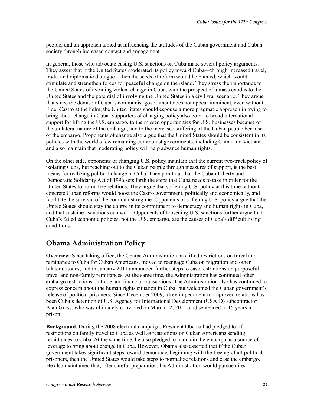people; and an approach aimed at influencing the attitudes of the Cuban government and Cuban society through increased contact and engagement.

In general, those who advocate easing U.S. sanctions on Cuba make several policy arguments. They assert that if the United States moderated its policy toward Cuba—through increased travel, trade, and diplomatic dialogue—then the seeds of reform would be planted, which would stimulate and strengthen forces for peaceful change on the island. They stress the importance to the United States of avoiding violent change in Cuba, with the prospect of a mass exodus to the United States and the potential of involving the United States in a civil war scenario. They argue that since the demise of Cuba's communist government does not appear imminent, even without Fidel Castro at the helm, the United States should espouse a more pragmatic approach in trying to bring about change in Cuba. Supporters of changing policy also point to broad international support for lifting the U.S. embargo, to the missed opportunities for U.S. businesses because of the unilateral nature of the embargo, and to the increased suffering of the Cuban people because of the embargo. Proponents of change also argue that the United States should be consistent in its policies with the world's few remaining communist governments, including China and Vietnam, and also maintain that moderating policy will help advance human rights.

On the other side, opponents of changing U.S. policy maintain that the current two-track policy of isolating Cuba, but reaching out to the Cuban people through measures of support, is the best means for realizing political change in Cuba. They point out that the Cuban Liberty and Democratic Solidarity Act of 1996 sets forth the steps that Cuba needs to take in order for the United States to normalize relations. They argue that softening U.S. policy at this time without concrete Cuban reforms would boost the Castro government, politically and economically, and facilitate the survival of the communist regime. Opponents of softening U.S. policy argue that the United States should stay the course in its commitment to democracy and human rights in Cuba, and that sustained sanctions can work. Opponents of loosening U.S. sanctions further argue that Cuba's failed economic policies, not the U.S. embargo, are the causes of Cuba's difficult living conditions.

## **Obama Administration Policy**

**Overview.** Since taking office, the Obama Administration has lifted restrictions on travel and remittance to Cuba for Cuban Americans, moved to reengage Cuba on migration and other bilateral issues, and in January 2011 announced further steps to ease restrictions on purposeful travel and non-family remittances. At the same time, the Administration has continued other embargo restrictions on trade and financial transactions. The Administration also has continued to express concern about the human rights situation in Cuba, but welcomed the Cuban government's release of political prisoners. Since December 2009, a key impediment to improved relations has been Cuba's detention of U.S. Agency for International Development (USAID) subcontractor Alan Gross, who was ultimately convicted on March 12, 2011, and sentenced to 15 years in prison.

**Background.** During the 2008 electoral campaign, President Obama had pledged to lift restrictions on family travel to Cuba as well as restrictions on Cuban Americans sending remittances to Cuba. At the same time, he also pledged to maintain the embargo as a source of leverage to bring about change in Cuba. However, Obama also asserted that if the Cuban government takes significant steps toward democracy, beginning with the freeing of all political prisoners, then the United States would take steps to normalize relations and ease the embargo. He also maintained that, after careful preparation, his Administration would pursue direct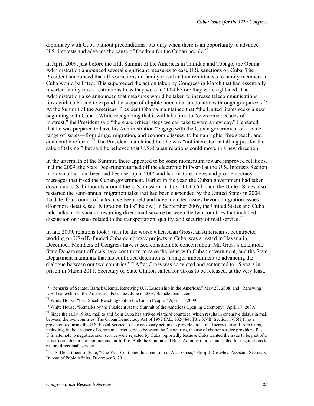diplomacy with Cuba without preconditions, but only when there is an opportunity to advance U.S. interests and advance the cause of freedom for the Cuban people.<sup>72</sup>

In April 2009, just before the fifth Summit of the Americas in Trinidad and Tobago, the Obama Administration announced several significant measures to ease U.S. sanctions on Cuba. The President announced that all restrictions on family travel and on remittances to family members in Cuba would be lifted. This superseded the action taken by Congress in March that had essentially reverted family travel restrictions to as they were in 2004 before they were tightened. The Administration also announced that measures would be taken to increase telecommunications links with Cuba and to expand the scope of eligible humanitarian donations through gift parcels.<sup>73</sup> At the Summit of the Americas, President Obama maintained that "the United States seeks a new beginning with Cuba." While recognizing that it will take time to "overcome decades of mistrust," the President said "there are critical steps we can take toward a new day." He stated that he was prepared to have his Administration "engage with the Cuban government on a wide range of issues—from drugs, migration, and economic issues, to human rights, free speech, and democratic reform."74 The President maintained that he was "not interested in talking just for the sake of talking," but said he believed that U.S.-Cuban relations could move in a new direction.

In the aftermath of the Summit, there appeared to be some momentum toward improved relations. In June 2009, the State Department turned off the electronic billboard at the U.S. Interests Section in Havana that had been had been set up in 2006 and had featured news and pro-democracy messages that irked the Cuban government. Earlier in the year, the Cuban government had taken down anti-U.S. billboards around the U.S. mission. In July 2009, Cuba and the United States also restarted the semi-annual migration talks that had been suspended by the United States in 2004. To date, four rounds of talks have been held and have included issues beyond migration issues (For more details, see "Migration Talks" below.) In September 2009, the United States and Cuba held talks in Havana on resuming direct mail service between the two countries that included discussion on issues related to the transportation, quality, and security of mail service.<sup>75</sup>

In late 2009, relations took a turn for the worse when Alan Gross, an American subcontractor working on USAID-funded Cuba democracy projects in Cuba, was arrested in Havana in December. Members of Congress have raised considerable concern about Mr. Gross's detention. State Department officials have continued to raise the issue with Cuban government, and the State Department maintains that his continued detention is "a major impediment to advancing the dialogue between our two countries."<sup>76</sup> After Gross was convicted and sentenced to 15 years in prison in March 2011, Secretary of State Clinton called for Gross to be released, at the very least,

<u>.</u>

 $72$  "Remarks of Senator Barack Obama, Renewing U.S. Leadership in the Americas," May 23, 2008, and "Renewing" U.S. Leadership in the Americas," Factsheet, June 6, 2008, BarackObama.com.

<sup>73</sup> White House, "Fact Sheet: Reaching Out to the Cuban People," April 13, 2009.

<sup>&</sup>lt;sup>74</sup> White House, "Remarks by the President At the Summit of the Americas Opening Ceremony," April 17, 2009.

 $75$  Since the early 1960s, mail to and from Cuba has arrived via third countries, which results in extensive delays in mail between the two countries. The Cuban Democracy Act of 1992 (P.L. 102-484, Title XVII, Section 1705(f)) has a provision requiring the U.S. Postal Service to take necessary actions to provide direct mail service to and from Cuba, including, in the absence of common carrier service between the 2 countries, the use of charter service providers. Past U.S. attempts to negotiate such service were rejected by Cuba, reportedly because Cuba wanted the issue to be part of a larger normalization of commercial air traffic. Both the Clinton and Bush Administrations had called for negotiations to restore direct mail service.

<sup>76</sup> U.S. Department of State, "One Year Continued Incarceration of Alan Gross," Philip J. Crowley, Assistant Secretary Bureau of Pubic Affairs, December 3, 2010.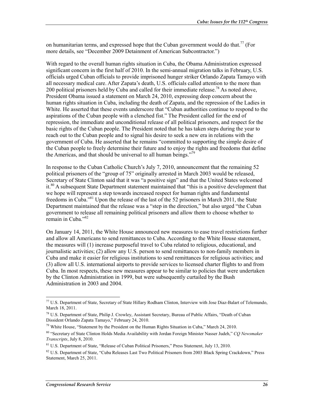on humanitarian terms, and expressed hope that the Cuban government would do that.<sup>77</sup> (For more details, see "December 2009 Detainment of American Subcontractor.")

With regard to the overall human rights situation in Cuba, the Obama Administration expressed significant concern in the first half of 2010. In the semi-annual migration talks in February, U.S. officials urged Cuban officials to provide imprisoned hunger striker Orlando Zapata Tamayo with all necessary medical care. After Zapata's death, U.S. officials called attention to the more than 200 political prisoners held by Cuba and called for their immediate release.<sup>78</sup> As noted above, President Obama issued a statement on March 24, 2010, expressing deep concern about the human rights situation in Cuba, including the death of Zapata, and the repression of the Ladies in White. He asserted that these events underscore that "Cuban authorities continue to respond to the aspirations of the Cuban people with a clenched fist." The President called for the end of repression, the immediate and unconditional release of all political prisoners, and respect for the basic rights of the Cuban people. The President noted that he has taken steps during the year to reach out to the Cuban people and to signal his desire to seek a new era in relations with the government of Cuba. He asserted that he remains "committed to supporting the simple desire of the Cuban people to freely determine their future and to enjoy the rights and freedoms that define the Americas, and that should be universal to all human beings.<sup> $779$ </sup>

In response to the Cuban Catholic Church's July 7, 2010, announcement that the remaining 52 political prisoners of the "group of 75" originally arrested in March 2003 would be released, Secretary of State Clinton said that it was "a positive sign" and that the United States welcomed it.<sup>80</sup> A subsequent State Department statement maintained that "this is a positive development that we hope will represent a step towards increased respect for human rights and fundamental freedoms in Cuba."81 Upon the release of the last of the 52 prisoners in March 2011, the State Department maintained that the release was a "step in the direction," but also urged "the Cuban government to release all remaining political prisoners and allow them to choose whether to remain in Cuba."<sup>82</sup>

On January 14, 2011, the White House announced new measures to ease travel restrictions further and allow all Americans to send remittances to Cuba. According to the White House statement, the measures will (1) increase purposeful travel to Cuba related to religious, educational, and journalistic activities; (2) allow any U.S. person to send remittances to non-family members in Cuba and make it easier for religious institutions to send remittances for religious activities; and (3) allow all U.S. international airports to provide services to licensed charter flights to and from Cuba. In most respects, these new measures appear to be similar to policies that were undertaken by the Clinton Administration in 1999, but were subsequently curtailed by the Bush Administration in 2003 and 2004.

<sup>77</sup> U.S. Department of State, Secretary of State Hillary Rodham Clinton, Interview with Jose Diaz-Balart of Telemundo, March 18, 2011.

<sup>78</sup> U.S. Department of State, Philip J. Crowley, Assistant Secretary, Bureau of Public Affairs, "Death of Cuban Dissident Orlando Zapata Tamayo," February 24, 2010.

<sup>&</sup>lt;sup>79</sup> White House, "Statement by the President on the Human Rights Situation in Cuba," March 24, 2010.

<sup>80 &</sup>quot;Secretary of State Clinton Holds Media Availability with Jordan Foreign Minister Nasser Judeh," *CQ Newsmaker Transcripts*, July 8, 2010.

<sup>81</sup> U.S. Department of State, "Release of Cuban Political Prisoners," Press Statement, July 13, 2010.

 $82$  U.S. Department of State, "Cuba Releases Last Two Political Prisoners from 2003 Black Spring Crackdown," Press Statement, March 25, 2011.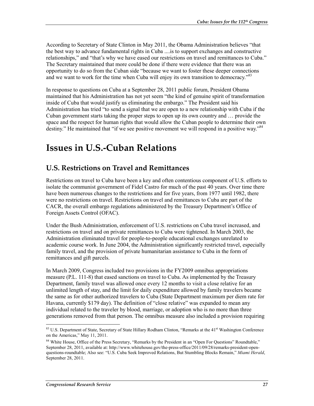According to Secretary of State Clinton in May 2011, the Obama Administration believes "that the best way to advance fundamental rights in Cuba ....is to support exchanges and constructive relationships," and "that's why we have eased our restrictions on travel and remittances to Cuba." The Secretary maintained that more could be done if there were evidence that there was an opportunity to do so from the Cuban side "because we want to foster these deeper connections and we want to work for the time when Cuba will enjoy its own transition to democracy."<sup>83</sup>

In response to questions on Cuba at a September 28, 2011 public forum, President Obama maintained that his Administration has not yet seem "the kind of genuine spirit of transformation inside of Cuba that would justify us eliminating the embargo." The President said his Administration has tried "to send a signal that we are open to a new relationship with Cuba if the Cuban government starts taking the proper steps to open up its own country and … provide the space and the respect for human rights that would allow the Cuban people to determine their own destiny." He maintained that "if we see positive movement we will respond in a positive way."<sup>84</sup>

# **Issues in U.S.-Cuban Relations**

## **U.S. Restrictions on Travel and Remittances**

Restrictions on travel to Cuba have been a key and often contentious component of U.S. efforts to isolate the communist government of Fidel Castro for much of the past 40 years. Over time there have been numerous changes to the restrictions and for five years, from 1977 until 1982, there were no restrictions on travel. Restrictions on travel and remittances to Cuba are part of the CACR, the overall embargo regulations administered by the Treasury Department's Office of Foreign Assets Control (OFAC).

Under the Bush Administration, enforcement of U.S. restrictions on Cuba travel increased, and restrictions on travel and on private remittances to Cuba were tightened. In March 2003, the Administration eliminated travel for people-to-people educational exchanges unrelated to academic course work. In June 2004, the Administration significantly restricted travel, especially family travel, and the provision of private humanitarian assistance to Cuba in the form of remittances and gift parcels.

In March 2009, Congress included two provisions in the FY2009 omnibus appropriations measure (P.L. 111-8) that eased sanctions on travel to Cuba. As implemented by the Treasury Department, family travel was allowed once every 12 months to visit a close relative for an unlimited length of stay, and the limit for daily expenditure allowed by family travelers became the same as for other authorized travelers to Cuba (State Department maximum per diem rate for Havana, currently \$179 day). The definition of "close relative" was expanded to mean any individual related to the traveler by blood, marriage, or adoption who is no more than three generations removed from that person. The omnibus measure also included a provision requiring

<sup>1</sup> <sup>83</sup> U.S. Department of State, Secretary of State Hillary Rodham Clinton, "Remarks at the 41<sup>st</sup> Washington Conference on the Americas," May 11, 2011.

<sup>&</sup>lt;sup>84</sup> White House, Office of the Press Secretary, "Remarks by the President in an "Open For Questions" Roundtable," September 28, 2011, available at: http://www.whitehouse.gov/the-press-office/2011/09/28/remarks-president-openquestions-roundtable; Also see: "U.S. Cuba Seek Improved Relations, But Stumbling Blocks Remain," *Miami Herald*, September 28, 2011.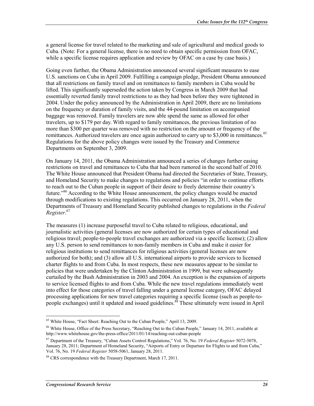a general license for travel related to the marketing and sale of agricultural and medical goods to Cuba. (Note: For a general license, there is no need to obtain specific permission from OFAC, while a specific license requires application and review by OFAC on a case by case basis.)

Going even further, the Obama Administration announced several significant measures to ease U.S. sanctions on Cuba in April 2009. Fulfilling a campaign pledge, President Obama announced that all restrictions on family travel and on remittances to family members in Cuba would be lifted. This significantly superseded the action taken by Congress in March 2009 that had essentially reverted family travel restrictions to as they had been before they were tightened in 2004. Under the policy announced by the Administration in April 2009, there are no limitations on the frequency or duration of family visits, and the 44-pound limitation on accompanied baggage was removed. Family travelers are now able spend the same as allowed for other travelers, up to \$179 per day. With regard to family remittances, the previous limitation of no more than \$300 per quarter was removed with no restriction on the amount or frequency of the remittances. Authorized travelers are once again authorized to carry up to \$3,000 in remittances.<sup>85</sup> Regulations for the above policy changes were issued by the Treasury and Commerce Departments on September 3, 2009.

On January 14, 2011, the Obama Administration announced a series of changes further easing restrictions on travel and remittances to Cuba that had been rumored in the second half of 2010. The White House announced that President Obama had directed the Secretaries of State, Treasury, and Homeland Security to make changes to regulations and policies "in order to continue efforts to reach out to the Cuban people in support of their desire to freely determine their country's future."86 According to the White House announcement, the policy changes would be enacted through modifications to existing regulations. This occurred on January 28, 2011, when the Departments of Treasury and Homeland Security published changes to regulations in the *Federal Register*. 87

The measures (1) increase purposeful travel to Cuba related to religious, educational, and journalistic activities (general licenses are now authorized for certain types of educational and religious travel; people-to-people travel exchanges are authorized via a specific license); (2) allow any U.S. person to send remittances to non-family members in Cuba and make it easier for religious institutions to send remittances for religious activities (general licenses are now authorized for both); and (3) allow all U.S. international airports to provide services to licensed charter flights to and from Cuba. In most respects, these new measures appear to be similar to policies that were undertaken by the Clinton Administration in 1999, but were subsequently curtailed by the Bush Administration in 2003 and 2004. An exception is the expansion of airports to service licensed flights to and from Cuba. While the new travel regulations immediately went into effect for those categories of travel falling under a general license category, OFAC delayed processing applications for new travel categories requiring a specific license (such as people-topeople exchanges) until it updated and issued guidelines.<sup>88</sup> These ultimately were issued in April

<sup>&</sup>lt;sup>85</sup> White House, "Fact Sheet: Reaching Out to the Cuban People," April 13, 2009.

<sup>&</sup>lt;sup>86</sup> White House, Office of the Press Secretary, "Reaching Out to the Cuban People," January 14, 2011, available at http://www.whitehouse.gov/the-press-office/2011/01/14/reaching-out-cuban-people

<sup>87</sup> Department of the Treasury, "Cuban Assets Control Regulations," Vol. 76, No. 19 *Federal Register* 5072-5078, January 28, 2011; Department of Homeland Security, "Airports of Entry or Departure for Flights to and from Cuba," Vol. 76, No. 19 *Federal Register* 5058-5061, January 28, 2011.

<sup>&</sup>lt;sup>88</sup> CRS correspondence with the Treasury Department, March 17, 2011.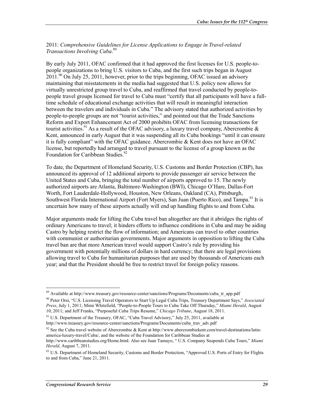2011: *Comprehensive Guidelines for License Applications to Engage in Travel-related Transactions Involving Cuba*. 89

By early July 2011, OFAC confirmed that it had approved the first licenses for U.S. people-topeople organizations to bring U.S. visitors to Cuba, and the first such trips began in August  $2011<sup>90</sup>$  On July 25, 2011, however, prior to the trips beginning, OFAC issued an advisory maintaining that misstatements in the media had suggested that U.S. policy now allows for virtually unrestricted group travel to Cuba, and reaffirmed that travel conducted by people-topeople travel groups licensed for travel to Cuba must "certify that all participants will have a fulltime schedule of educational exchange activities that will result in meaningful interaction between the travelers and individuals in Cuba." The advisory stated that authorized activities by people-to-people groups are not "tourist activities," and pointed out that the Trade Sanctions Reform and Export Enhancement Act of 2000 prohibits OFAC from licensing transactions for tourist activities.<sup>91</sup> As a result of the OFAC advisory, a luxury travel company, Abercrombie & Kent, announced in early August that it was suspending all its Cuba bookings "until it can ensure it is fully compliant" with the OFAC guidance. Abercrombie & Kent does not have an OFAC license, but reportedly had arranged to travel pursuant to the license of a group known as the Foundation for Caribbean Studies.<sup>92</sup>

To date, the Department of Homeland Security, U.S. Customs and Border Protection (CBP), has announced its approval of 12 additional airports to provide passenger air service between the United States and Cuba, bringing the total number of airports approved to 15. The newly authorized airports are Atlanta, Baltimore-Washington (BWI), Chicago O'Hare, Dallas-Fort Worth, Fort Lauderdale-Hollywood, Houston, New Orleans, Oakland (CA), Pittsburgh, Southwest Florida International Airport (Fort Myers), San Juan (Puerto Rico), and Tampa.<sup>93</sup> It is uncertain how many of these airports actually will end up handling flights to and from Cuba.

Major arguments made for lifting the Cuba travel ban altogether are that it abridges the rights of ordinary Americans to travel; it hinders efforts to influence conditions in Cuba and may be aiding Castro by helping restrict the flow of information; and Americans can travel to other countries with communist or authoritarian governments. Major arguments in opposition to lifting the Cuba travel ban are that more American travel would support Castro's rule by providing his government with potentially millions of dollars in hard currency; that there are legal provisions allowing travel to Cuba for humanitarian purposes that are used by thousands of Americans each year; and that the President should be free to restrict travel for foreign policy reasons.

<sup>&</sup>lt;sup>89</sup> Available at http://www.treasury.gov/resource-center/sanctions/Programs/Documents/cuba\_tr\_app.pdf

<sup>90</sup> Peter Orsi, "U.S. Licensing Travel Operators to Start Up Legal Cuba Trips, Treasury Department Says," *Associated Press*, July 1, 2011; Mimi Whitefield, "People-to-People Tours to Cuba Take Off Thursday," *Miami Herald*, August 10, 2011; and Jeff Franks, "Purposeful Cuba Trips Resume," *Chicago Tribune*, August 18, 2011.

<sup>&</sup>lt;sup>91</sup> U.S. Department of the Treasury, OFAC, "Cuba Travel Advisory," July 25, 2011, available at http://www.treasury.gov/resource-center/sanctions/Programs/Documents/cuba\_trav\_adv.pdf

<sup>&</sup>lt;sup>92</sup> See the Cuba travel website of Abercrombie & Kent at http://www.abercrombiekent.com/travel-destinations/latinamerica-luxury-travel/Cuba/, and the website of the Foundation for Caribbean Studies at

http://www.caribbeanstudies.org/Home.html. Also see Juan Tamayo, " U.S. Company Suspends Cuba Tours," *Miami Herald*, August 7, 2011.

<sup>&</sup>lt;sup>93</sup> U.S. Department of Homeland Security, Customs and Border Protection, "Approved U.S. Ports of Entry for Flights to and from Cuba," June 21, 2011.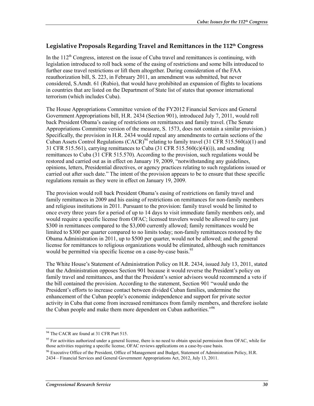### **Legislative Proposals Regarding Travel and Remittances in the 112th Congress**

In the  $112<sup>th</sup>$  Congress, interest on the issue of Cuba travel and remittances is continuing, with legislation introduced to roll back some of the easing of restrictions and some bills introduced to further ease travel restrictions or lift them altogether. During consideration of the FAA reauthorization bill, S. 223, in February 2011, an amendment was submitted, but never considered, S.Amdt. 61 (Rubio), that would have prohibited an expansion of flights to locations in countries that are listed on the Department of State list of states that sponsor international terrorism (which includes Cuba).

The House Appropriations Committee version of the FY2012 Financial Services and General Government Appropriations bill, H.R. 2434 (Section 901), introduced July 7, 2011, would roll back President Obama's easing of restrictions on remittances and family travel. (The Senate Appropriations Committee version of the measure, S. 1573, does not contain a similar provision.) Specifically, the provision in H.R. 2434 would repeal any amendments to certain sections of the Cuban Assets Control Regulations (CACR)<sup>94</sup> relating to family travel (31 CFR 515.560(a)(1) and 31 CFR 515.561), carrying remittances to Cuba (31 CFR 515.560(c)(4)(i)), and sending remittances to Cuba (31 CFR 515.570). According to the provision, such regulations would be restored and carried out as in effect on January 19, 2009, "notwithstanding any guidelines, opinions, letters, Presidential directives, or agency practices relating to such regulations issued or carried out after such date." The intent of the provision appears to be to ensure that these specific regulations remain as they were in effect on January 19, 2009.

The provision would roll back President Obama's easing of restrictions on family travel and family remittances in 2009 and his easing of restrictions on remittances for non-family members and religious institutions in 2011. Pursuant to the provision: family travel would be limited to once every three years for a period of up to 14 days to visit immediate family members only, and would require a specific license from OFAC; licensed travelers would be allowed to carry just \$300 in remittances compared to the \$3,000 currently allowed; family remittances would be limited to \$300 per quarter compared to no limits today; non-family remittances restored by the Obama Administration in 2011, up to \$500 per quarter, would not be allowed; and the general license for remittances to religious organizations would be eliminated, although such remittances would be permitted via specific license on a case-by-case basis.<sup>95</sup>

The White House's Statement of Administration Policy on H.R. 2434, issued July 13, 2011, stated that the Administration opposes Section 901 because it would reverse the President's policy on family travel and remittances, and that the President's senior advisors would recommend a veto if the bill contained the provision. According to the statement, Section 901 "would undo the President's efforts to increase contact between divided Cuban families, undermine the enhancement of the Cuban people's economic independence and support for private sector activity in Cuba that come from increased remittances from family members, and therefore isolate the Cuban people and make them more dependent on Cuban authorities.<sup>"96</sup>

<sup>1</sup> <sup>94</sup> The CACR are found at 31 CFR Part 515.

<sup>&</sup>lt;sup>95</sup> For activities authorized under a general license, there is no need to obtain special permission from OFAC, while for those activities requiring a specific license, OFAC reviews applications on a case-by-case basis.

 $96$  Executive Office of the President, Office of Management and Budget, Statement of Administration Policy, H.R. 2434 – Financial Services and General Government Appropriations Act, 2012, July 13, 2011.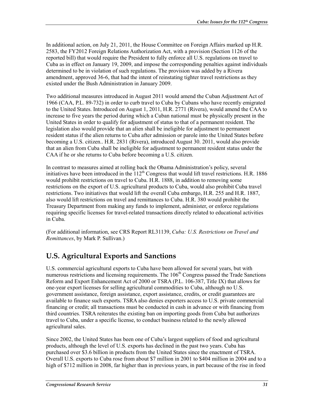In additional action, on July 21, 2011, the House Committee on Foreign Affairs marked up H.R. 2583, the FY2012 Foreign Relations Authorization Act, with a provision (Section 1126 of the reported bill) that would require the President to fully enforce all U.S. regulations on travel to Cuba as in effect on January 19, 2009, and impose the corresponding penalties against individuals determined to be in violation of such regulations. The provision was added by a Rivera amendment, approved 36-6, that had the intent of reinstating tighter travel restrictions as they existed under the Bush Administration in January 2009.

Two additional measures introduced in August 2011 would amend the Cuban Adjustment Act of 1966 (CAA, P.L. 89-732) in order to curb travel to Cuba by Cubans who have recently emigrated to the United States. Introduced on August 1, 2011, H.R. 2771 (Rivera), would amend the CAA to increase to five years the period during which a Cuban national must be physically present in the United States in order to qualify for adjustment of status to that of a permanent resident. The legislation also would provide that an alien shall be ineligible for adjustment to permanent resident status if the alien returns to Cuba after admission or parole into the United States before becoming a U.S. citizen.. H.R. 2831 (Rivera), introduced August 30. 2011, would also provide that an alien from Cuba shall be ineligible for adjustment to permanent resident status under the CAA if he or she returns to Cuba before becoming a U.S. citizen.

In contrast to measures aimed at rolling back the Obama Administration's policy, several initiatives have been introduced in the  $112<sup>th</sup>$  Congress that would lift travel restrictions. H.R. 1886 would prohibit restrictions on travel to Cuba. H.R. 1888, in addition to removing some restrictions on the export of U.S. agricultural products to Cuba, would also prohibit Cuba travel restrictions. Two initiatives that would lift the overall Cuba embargo, H.R. 255 and H.R. 1887, also would lift restrictions on travel and remittances to Cuba. H.R. 380 would prohibit the Treasury Department from making any funds to implement, administer, or enforce regulations requiring specific licenses for travel-related transactions directly related to educational activities in Cuba.

(For additional information, see CRS Report RL31139, *Cuba: U.S. Restrictions on Travel and Remittances*, by Mark P. Sullivan.)

## **U.S. Agricultural Exports and Sanctions**

U.S. commercial agricultural exports to Cuba have been allowed for several years, but with numerous restrictions and licensing requirements. The 106<sup>th</sup> Congress passed the Trade Sanctions Reform and Export Enhancement Act of 2000 or TSRA (P.L. 106-387, Title IX) that allows for one-year export licenses for selling agricultural commodities to Cuba, although no U.S. government assistance, foreign assistance, export assistance, credits, or credit guarantees are available to finance such exports. TSRA also denies exporters access to U.S. private commercial financing or credit; all transactions must be conducted in cash in advance or with financing from third countries. TSRA reiterates the existing ban on importing goods from Cuba but authorizes travel to Cuba, under a specific license, to conduct business related to the newly allowed agricultural sales.

Since 2002, the United States has been one of Cuba's largest suppliers of food and agricultural products, although the level of U.S. exports has declined in the past two years. Cuba has purchased over \$3.6 billion in products from the United States since the enactment of TSRA. Overall U.S. exports to Cuba rose from about \$7 million in 2001 to \$404 million in 2004 and to a high of \$712 million in 2008, far higher than in previous years, in part because of the rise in food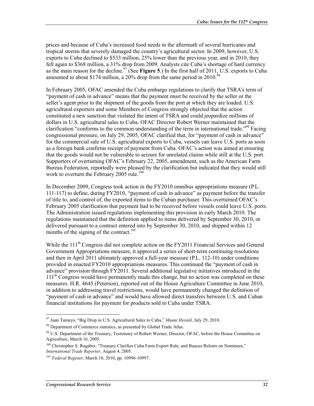prices and because of Cuba's increased food needs in the aftermath of several hurricanes and tropical storms that severely damaged the country's agricultural sector. In 2009, however, U.S. exports to Cuba declined to \$533 million, 25% lower than the previous year, and in 2010, they fell again to \$368 million, a 31% drop from 2009. Analysts cite Cuba's shortage of hard currency as the main reason for the decline.97 (See **Figure 5**.) In the first half of 2011, U.S. exports to Cuba amounted to about \$174 million, a  $20\%$  drop from the same period in  $2010^{98}$ 

In February 2005, OFAC amended the Cuba embargo regulations to clarify that TSRA's term of "payment of cash in advance" means that the payment must be received by the seller or the seller's agent prior to the shipment of the goods from the port at which they are loaded. U.S. agricultural exporters and some Members of Congress strongly objected that the action constituted a new sanction that violated the intent of TSRA and could jeopardize millions of dollars in U.S. agricultural sales to Cuba. OFAC Director Robert Werner maintained that the clarification "conforms to the common understanding of the term in international trade."99 Facing congressional pressure, on July 29, 2005, OFAC clarified that, for "payment of cash in advance" for the commercial sale of U.S. agricultural exports to Cuba, vessels can leave U.S. ports as soon as a foreign bank confirms receipt of payment from Cuba. OFAC's action was aimed at ensuring that the goods would not be vulnerable to seizure for unrelated claims while still at the U.S. port. Supporters of overturning OFAC's February 22, 2005, amendment, such as the American Farm Bureau Federation, reportedly were pleased by the clarification but indicated that they would still work to overturn the February 2005 rule.<sup>100</sup>

In December 2009, Congress took action in the FY2010 omnibus appropriations measure (P.L. 111-117) to define, during FY2010, "payment of cash in advance" as payment before the transfer of title to, and control of, the exported items to the Cuban purchaser. This overturned OFAC's February 2005 clarification that payment had to be received before vessels could leave U.S. ports. The Administration issued regulations implementing this provision in early March 2010. The regulations maintained that the definition applied to items delivered by September 30, 2010, or delivered pursuant to a contract entered into by September 30, 2010, and shipped within 12 months of the signing of the contract.<sup>101</sup>

While the 111<sup>th</sup> Congress did not complete action on the FY2011 Financial Services and General Government Appropriations measure, it approved a series of short-term continuing resolutions and then in April 2011 ultimately approved a full-year measure (P.L. 112-10) under conditions provided in enacted FY2010 appropriations measures. This continued the "payment of cash in advance" provision through FY2011. Several additional legislative initiatives introduced in the  $111<sup>th</sup>$  Congress would have permanently made this change, but no action was completed on these measures. H.R. 4645 (Peterson), reported out of the House Agriculture Committee in June 2010, in addition to addressing travel restrictions, would have permanently changed the definition of "payment of cash in advance" and would have allowed direct transfers between U.S. and Cuban financial institutions for payment for products sold to Cuba under TSRA.

<sup>97</sup> Juan Tamayo, "Big Drop in U.S. Agricultural Sales to Cuba," *Miami Herald*, July 29, 2010,

<sup>&</sup>lt;sup>98</sup> Department of Commerce statistics, as presented by Global Trade Atlas.

<sup>&</sup>lt;sup>99</sup> U.S. Department of the Treasury, Testimony of Robert Werner, Director, OFAC, before the House Committee on Agriculture, March 16, 2005.

<sup>&</sup>lt;sup>100</sup> Christopher S. Rugaber, "Treasury Clarifies Cuba Farm Export Rule, and Baucus Relents on Nominees," *International Trade Reporter*, August 4, 2005.

<sup>101</sup> *Federal Register*, March 10, 2010, pp. 10996-10997.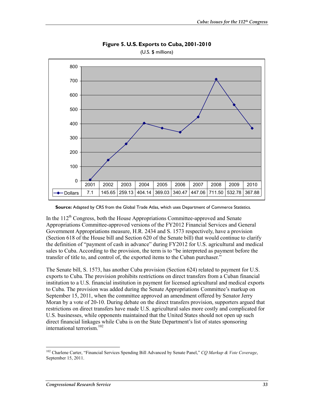

**Figure 5. U.S. Exports to Cuba, 2001-2010**  (U.S. \$ millions)

**Source:** Adapted by CRS from the Global Trade Atlas, which uses Department of Commerce Statistics.

In the 112<sup>th</sup> Congress, both the House Appropriations Committee-approved and Senate Appropriations Committee-approved versions of the FY2012 Financial Services and General Government Appropriations measure, H.R. 2434 and S. 1573 respectively, have a provision (Section 618 of the House bill and Section 620 of the Senate bill) that would continue to clarify the definition of "payment of cash in advance" during FY2012 for U.S. agricultural and medical sales to Cuba. According to the provision, the term is to "be interpreted as payment before the transfer of title to, and control of, the exported items to the Cuban purchaser."

The Senate bill, S. 1573, has another Cuba provision (Section 624) related to payment for U.S. exports to Cuba. The provision prohibits restrictions on direct transfers from a Cuban financial institution to a U.S. financial institution in payment for licensed agricultural and medical exports to Cuba. The provision was added during the Senate Appropriations Committee's markup on September 15, 2011, when the committee approved an amendment offered by Senator Jerry Moran by a vote of 20-10. During debate on the direct transfers provision, supporters argued that restrictions on direct transfers have made U.S. agricultural sales more costly and complicated for U.S. businesses, while opponents maintained that the United States should not open up such direct financial linkages while Cuba is on the State Department's list of states sponsoring international terrorism.102

<sup>102</sup> Charlene Carter, "Financial Services Spending Bill Advanced by Senate Panel," *CQ Markup & Vote Coverage*, September 15, 2011.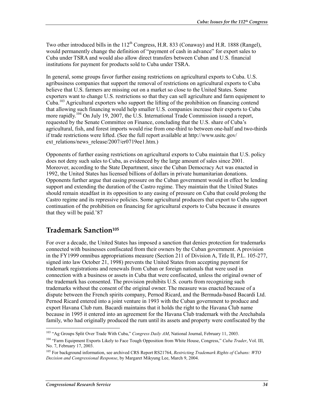Two other introduced bills in the  $112^{th}$  Congress, H.R. 833 (Conaway) and H.R. 1888 (Rangel), would permanently change the definition of "payment of cash in advance" for export sales to Cuba under TSRA and would also allow direct transfers between Cuban and U.S. financial institutions for payment for products sold to Cuba under TSRA.

In general, some groups favor further easing restrictions on agricultural exports to Cuba. U.S. agribusiness companies that support the removal of restrictions on agricultural exports to Cuba believe that U.S. farmers are missing out on a market so close to the United States. Some exporters want to change U.S. restrictions so that they can sell agriculture and farm equipment to Cuba.103 Agricultural exporters who support the lifting of the prohibition on financing contend that allowing such financing would help smaller U.S. companies increase their exports to Cuba more rapidly.<sup>104</sup> On July 19, 2007, the U.S. International Trade Commission issued a report, requested by the Senate Committee on Finance, concluding that the U.S. share of Cuba's agricultural, fish, and forest imports would rise from one-third to between one-half and two-thirds if trade restrictions were lifted. (See the full report available at http://www.usitc.gov/ ext\_relations/news\_release/2007/er0719ee1.htm.)

Opponents of further easing restrictions on agricultural exports to Cuba maintain that U.S. policy does not deny such sales to Cuba, as evidenced by the large amount of sales since 2001. Moreover, according to the State Department, since the Cuban Democracy Act was enacted in 1992, the United States has licensed billions of dollars in private humanitarian donations. Opponents further argue that easing pressure on the Cuban government would in effect be lending support and extending the duration of the Castro regime. They maintain that the United States should remain steadfast in its opposition to any easing of pressure on Cuba that could prolong the Castro regime and its repressive policies. Some agricultural producers that export to Cuba support continuation of the prohibition on financing for agricultural exports to Cuba because it ensures that they will be paid.'87

### **Trademark Sanction105**

For over a decade, the United States has imposed a sanction that denies protection for trademarks connected with businesses confiscated from their owners by the Cuban government. A provision in the FY1999 omnibus appropriations measure (Section 211 of Division A, Title II, P.L. 105-277, signed into law October 21, 1998) prevents the United States from accepting payment for trademark registrations and renewals from Cuban or foreign nationals that were used in connection with a business or assets in Cuba that were confiscated, unless the original owner of the trademark has consented. The provision prohibits U.S. courts from recognizing such trademarks without the consent of the original owner. The measure was enacted because of a dispute between the French spirits company, Pernod Ricard, and the Bermuda-based Bacardi Ltd. Pernod Ricard entered into a joint venture in 1993 with the Cuban government to produce and export Havana Club rum. Bacardi maintains that it holds the right to the Havana Club name because in 1995 it entered into an agreement for the Havana Club trademark with the Arechabala family, who had originally produced the rum until its assets and property were confiscated by the

<sup>1</sup> 103 "Ag Groups Split Over Trade With Cuba," *Congress Daily AM*, National Journal, February 11, 2003.

<sup>104 &</sup>quot;Farm Equipment Exports Likely to Face Tough Opposition from White House, Congress," *Cuba Trader*, Vol. III, No. 7, February 17, 2003.

<sup>105</sup> For background information, see archived CRS Report RS21764, *Restricting Trademark Rights of Cubans: WTO Decision and Congressional Response*, by Margaret Mikyung Lee, March 9, 2004.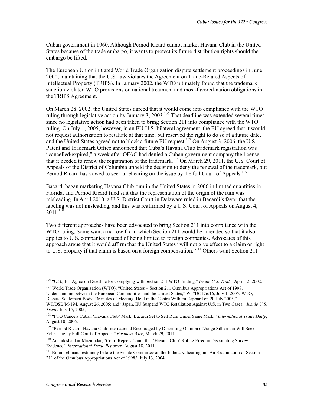Cuban government in 1960. Although Pernod Ricard cannot market Havana Club in the United States because of the trade embargo, it wants to protect its future distribution rights should the embargo be lifted.

The European Union initiated World Trade Organization dispute settlement proceedings in June 2000, maintaining that the U.S. law violates the Agreement on Trade-Related Aspects of Intellectual Property (TRIPS). In January 2002, the WTO ultimately found that the trademark sanction violated WTO provisions on national treatment and most-favored-nation obligations in the TRIPS Agreement.

On March 28, 2002, the United States agreed that it would come into compliance with the WTO ruling through legislative action by January 3, 2003.<sup>106</sup> That deadline was extended several times since no legislative action had been taken to bring Section 211 into compliance with the WTO ruling. On July 1, 2005, however, in an EU-U.S. bilateral agreement, the EU agreed that it would not request authorization to retaliate at that time, but reserved the right to do so at a future date, and the United States agreed not to block a future EU request.<sup>107</sup> On August 3, 2006, the U.S. Patent and Trademark Office announced that Cuba's Havana Club trademark registration was "cancelled/expired," a week after OFAC had denied a Cuban government company the license that it needed to renew the registration of the trademark.<sup>108</sup> On March 29, 2011, the U.S. Court of Appeals of the District of Columbia upheld the decision to deny the renewal of the trademark, but Pernod Ricard has vowed to seek a rehearing on the issue by the full Court of Appeals.<sup>109</sup>

Bacardi began marketing Havana Club rum in the United States in 2006 in limited quantities in Florida, and Pernod Ricard filed suit that the representation of the origin of the rum was misleading. In April 2010, a U.S. District Court in Delaware ruled in Bacardi's favor that the labeling was not misleading, and this was reaffirmed by a U.S. Court of Appeals on August 4,  $2011.^{110}$ 

Two different approaches have been advocated to bring Section 211 into compliance with the WTO ruling. Some want a narrow fix in which Section 211 would be amended so that it also applies to U.S. companies instead of being limited to foreign companies. Advocates of this approach argue that it would affirm that the United States "will not give effect to a claim or right to U.S. property if that claim is based on a foreign compensation."<sup>111</sup> Others want Section 211

<u>.</u>

<sup>106 &</sup>quot;U.S., EU Agree on Deadline for Complying with Section 211 WTO Finding," *Inside U.S. Trade,* April 12, 2002.

<sup>&</sup>lt;sup>107</sup> World Trade Organization (WTO), "United States – Section 211 Omnibus Appropriations Act of 1998, Understanding between the European Communities and the United States," WT/DC176/16, July 1, 2005; WTO, Dispute Settlement Body, "Minutes of Meeting, Held in the Centre William Rappard on 20 July 2005,"

WT/DSB/M/194, August 26, 2005; and "Japan, EU Suspend WTO Retaliation Against U.S. in Two Cases," *Inside U.S. Trade*, July 15, 2005;

<sup>108 &</sup>quot;PTO Cancels Cuban 'Havana Club' Mark; Bacardi Set to Sell Rum Under Same Mark," *International Trade Daily*, August 10, 2006.

<sup>&</sup>lt;sup>109</sup> "Pernod Ricard: Havana Club International Encouraged by Dissenting Opinion of Judge Silberman Will Seek Rehearing by Full Court of Appeals," *Business Wire*, March 29, 2011.

<sup>110</sup> Anandashankar Mazumdar, "Court Rejects Claim that 'Havana Club' Ruling Erred in Discounting Survey Evidence," *International Trade Reporter,* August 18, 2011.

<sup>&</sup>lt;sup>111</sup> Brian Lehman, testimony before the Senate Committee on the Judiciary, hearing on "An Examination of Section" 211 of the Omnibus Appropriations Act of 1998," July 13, 2004.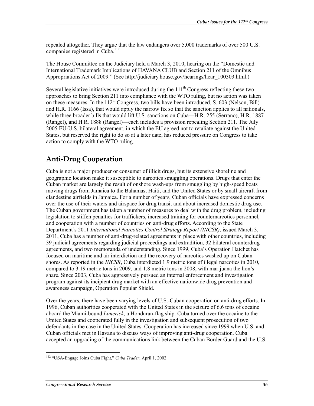repealed altogether. They argue that the law endangers over 5,000 trademarks of over 500 U.S. companies registered in Cuba.<sup>112</sup>

The House Committee on the Judiciary held a March 3, 2010, hearing on the "Domestic and International Trademark Implications of HAVANA CLUB and Section 211 of the Omnibus Appropriations Act of 2009." (See http://judiciary.house.gov/hearings/hear\_100303.html.)

Several legislative initiatives were introduced during the  $111<sup>th</sup>$  Congress reflecting these two approaches to bring Section 211 into compliance with the WTO ruling, but no action was taken on these measures. In the  $112<sup>th</sup>$  Congress, two bills have been introduced, S. 603 (Nelson, Bill) and H.R. 1166 (Issa), that would apply the narrow fix so that the sanction applies to all nationals, while three broader bills that would lift U.S. sanctions on Cuba—H.R. 255 (Serrano), H.R. 1887 (Rangel), and H.R. 1888 (Rangel)—each includes a provision repealing Section 211. The July 2005 EU-U.S. bilateral agreement, in which the EU agreed not to retaliate against the United States, but reserved the right to do so at a later date, has reduced pressure on Congress to take action to comply with the WTO ruling.

## **Anti-Drug Cooperation**

Cuba is not a major producer or consumer of illicit drugs, but its extensive shoreline and geographic location make it susceptible to narcotics smuggling operations. Drugs that enter the Cuban market are largely the result of onshore wash-ups from smuggling by high-speed boats moving drugs from Jamaica to the Bahamas, Haiti, and the United States or by small aircraft from clandestine airfields in Jamaica. For a number of years, Cuban officials have expressed concerns over the use of their waters and airspace for drug transit and about increased domestic drug use. The Cuban government has taken a number of measures to deal with the drug problem, including legislation to stiffen penalties for traffickers, increased training for counternarcotics personnel, and cooperation with a number of countries on anti-drug efforts. According to the State Department's 2011 *International Narcotics Control Strategy Report (INCSR)*, issued March 3, 2011, Cuba has a number of anti-drug-related agreements in place with other countries, including 39 judicial agreements regarding judicial proceedings and extradition, 32 bilateral counterdrug agreements, and two memoranda of understanding. Since 1999, Cuba's Operation Hatchet has focused on maritime and air interdiction and the recovery of narcotics washed up on Cuban shores. As reported in the *INCSR*, Cuba interdicted 1.9 metric tons of illegal narcotics in 2010, compared to 3.19 metric tons in 2009, and 1.8 metric tons in 2008, with marijuana the lion's share. Since 2003, Cuba has aggressively pursued an internal enforcement and investigation program against its incipient drug market with an effective nationwide drug prevention and awareness campaign, Operation Popular Shield.

Over the years, there have been varying levels of U.S.-Cuban cooperation on anti-drug efforts. In 1996, Cuban authorities cooperated with the United States in the seizure of 6.6 tons of cocaine aboard the Miami-bound *Limerick*, a Honduran-flag ship. Cuba turned over the cocaine to the United States and cooperated fully in the investigation and subsequent prosecution of two defendants in the case in the United States. Cooperation has increased since 1999 when U.S. and Cuban officials met in Havana to discuss ways of improving anti-drug cooperation. Cuba accepted an upgrading of the communications link between the Cuban Border Guard and the U.S.

<sup>&</sup>lt;u>.</u> 112 "USA-Engage Joins Cuba Fight," *Cuba Trader*, April 1, 2002.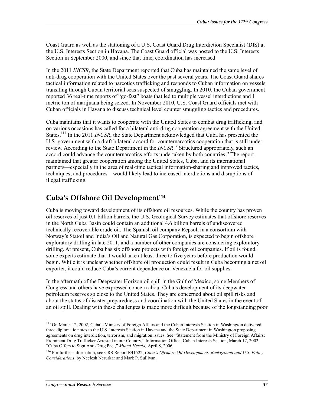Coast Guard as well as the stationing of a U.S. Coast Guard Drug Interdiction Specialist (DIS) at the U.S. Interests Section in Havana. The Coast Guard official was posted to the U.S. Interests Section in September 2000, and since that time, coordination has increased.

In the 2011 *INCSR*, the State Department reported that Cuba has maintained the same level of anti-drug cooperation with the United States over the past several years. The Coast Guard shares tactical information related to narcotics trafficking and responds to Cuban information on vessels transiting through Cuban territorial seas suspected of smuggling. In 2010, the Cuban government reported 36 real-time reports of "go-fast" boats that led to multiple vessel interdictions and 1 metric ton of marijuana being seized. In November 2010, U.S. Coast Guard officials met with Cuban officials in Havana to discuss technical level counter smuggling tactics and procedures.

Cuba maintains that it wants to cooperate with the United States to combat drug trafficking, and on various occasions has called for a bilateral anti-drug cooperation agreement with the United States.113 In the 2011 *INCSR*, the State Department acknowledged that Cuba has presented the U.S. government with a draft bilateral accord for counternarcotics cooperation that is still under review. According to the State Department in the *INCSR*: "Structured appropriately, such an accord could advance the counternarcotics efforts undertaken by both countries." The report maintained that greater cooperation among the United States, Cuba, and its international partners—especially in the area of real-time tactical information-sharing and improved tactics, techniques, and procedures—would likely lead to increased interdictions and disruptions of illegal trafficking.

### **Cuba's Offshore Oil Development114**

Cuba is moving toward development of its offshore oil resources. While the country has proven oil reserves of just 0.1 billion barrels, the U.S. Geological Survey estimates that offshore reserves in the North Cuba Basin could contain an additional 4.6 billion barrels of undiscovered technically recoverable crude oil. The Spanish oil company Repsol, in a consortium with Norway's Statoil and India's Oil and Natural Gas Corporation, is expected to begin offshore exploratory drilling in late 2011, and a number of other companies are considering exploratory drilling. At present, Cuba has six offshore projects with foreign oil companies. If oil is found, some experts estimate that it would take at least three to five years before production would begin. While it is unclear whether offshore oil production could result in Cuba becoming a net oil exporter, it could reduce Cuba's current dependence on Venezuela for oil supplies.

In the aftermath of the Deepwater Horizon oil spill in the Gulf of Mexico, some Members of Congress and others have expressed concern about Cuba's development of its deepwater petroleum reserves so close to the United States. They are concerned about oil spill risks and about the status of disaster preparedness and coordination with the United States in the event of an oil spill. Dealing with these challenges is made more difficult because of the longstanding poor

<sup>&</sup>lt;sup>113</sup> On March 12, 2002, Cuba's Ministry of Foreign Affairs and the Cuban Interests Section in Washington delivered three diplomatic notes to the U.S. Interests Section in Havana and the State Department in Washington proposing agreements on drug interdiction, terrorism, and migration issues. See "Statement from the Ministry of Foreign Affairs: Prominent Drug Trafficker Arrested in our Country," Information Office, Cuban Interests Section, March 17, 2002; "Cuba Offers to Sign Anti-Drug Pact," *Miami Herald,* April 8, 2006.

<sup>114</sup> For further information, see CRS Report R41522, *Cuba's Offshore Oil Development: Background and U.S. Policy Considerations*, by Neelesh Nerurkar and Mark P. Sullivan.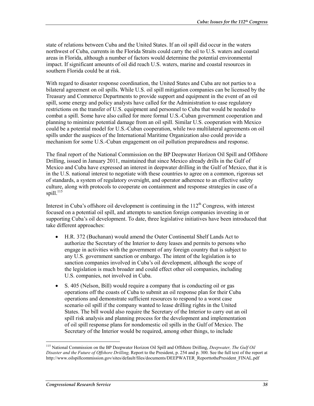state of relations between Cuba and the United States. If an oil spill did occur in the waters northwest of Cuba, currents in the Florida Straits could carry the oil to U.S. waters and coastal areas in Florida, although a number of factors would determine the potential environmental impact. If significant amounts of oil did reach U.S. waters, marine and coastal resources in southern Florida could be at risk.

With regard to disaster response coordination, the United States and Cuba are not parties to a bilateral agreement on oil spills. While U.S. oil spill mitigation companies can be licensed by the Treasury and Commerce Departments to provide support and equipment in the event of an oil spill, some energy and policy analysts have called for the Administration to ease regulatory restrictions on the transfer of U.S. equipment and personnel to Cuba that would be needed to combat a spill. Some have also called for more formal U.S.-Cuban government cooperation and planning to minimize potential damage from an oil spill. Similar U.S. cooperation with Mexico could be a potential model for U.S.-Cuban cooperation, while two multilateral agreements on oil spills under the auspices of the International Maritime Organization also could provide a mechanism for some U.S.-Cuban engagement on oil pollution preparedness and response.

The final report of the National Commission on the BP Deepwater Horizon Oil Spill and Offshore Drilling, issued in January 2011, maintained that since Mexico already drills in the Gulf of Mexico and Cuba have expressed an interest in deepwater drilling in the Gulf of Mexico, that it is in the U.S. national interest to negotiate with these countries to agree on a common, rigorous set of standards, a system of regulatory oversight, and operator adherence to an effective safety culture, along with protocols to cooperate on containment and response strategies in case of a spill. $^{115}$ 

Interest in Cuba's offshore oil development is continuing in the  $112<sup>th</sup>$  Congress, with interest focused on a potential oil spill, and attempts to sanction foreign companies investing in or supporting Cuba's oil development. To date, three legislative initiatives have been introduced that take different approaches:

- H.R. 372 (Buchanan) would amend the Outer Continental Shelf Lands Act to authorize the Secretary of the Interior to deny leases and permits to persons who engage in activities with the government of any foreign country that is subject to any U.S. government sanction or embargo. The intent of the legislation is to sanction companies involved in Cuba's oil development, although the scope of the legislation is much broader and could effect other oil companies, including U.S. companies, not involved in Cuba.
- S. 405 (Nelson, Bill) would require a company that is conducting oil or gas operations off the coasts of Cuba to submit an oil response plan for their Cuba operations and demonstrate sufficient resources to respond to a worst case scenario oil spill if the company wanted to lease drilling rights in the United States. The bill would also require the Secretary of the Interior to carry out an oil spill risk analysis and planning process for the development and implementation of oil spill response plans for nondomestic oil spills in the Gulf of Mexico. The Secretary of the Interior would be required, among other things, to include

<sup>115</sup> National Commission on the BP Deepwater Horizon Oil Spill and Offshore Drilling, *Deepwater, The Gulf Oil Disaster and the Future of Offshore Drilling,* Report to the President, p. 254 and p. 300. See the full text of the report at http://www.oilspillcommission.gov/sites/default/files/documents/DEEPWATER\_ReporttothePresident\_FINAL.pdf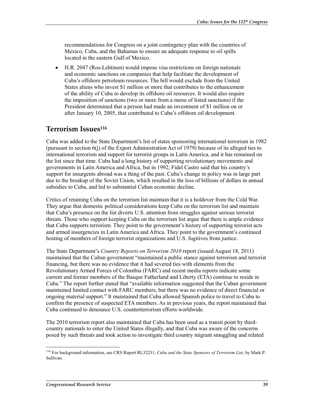recommendations for Congress on a joint contingency plan with the countries of Mexico, Cuba, and the Bahamas to ensure an adequate response to oil spills located in the eastern Gulf of Mexico.

• H.R. 2047 (Ros-Lehtinen) would impose visa restrictions on foreign nationals and economic sanctions on companies that help facilitate the development of Cuba's offshore petroleum resources. The bill would exclude from the United States aliens who invest \$1 million or more that contributes to the enhancement of the ability of Cuba to develop its offshore oil resources. It would also require the imposition of sanctions (two or more from a menu of listed sanctions) if the President determined that a person had made an investment of \$1 million on or after January 10, 2005, that contributed to Cuba's offshore oil development.

#### **Terrorism Issues116**

Cuba was added to the State Department's list of states sponsoring international terrorism in 1982 (pursuant to section 6(j) of the Export Administration Act of 1979) because of its alleged ties to international terrorism and support for terrorist groups in Latin America, and it has remained on the list since that time. Cuba had a long history of supporting revolutionary movements and governments in Latin America and Africa, but in 1992, Fidel Castro said that his country's support for insurgents abroad was a thing of the past. Cuba's change in policy was in large part due to the breakup of the Soviet Union, which resulted in the loss of billions of dollars in annual subsidies to Cuba, and led to substantial Cuban economic decline.

Critics of retaining Cuba on the terrorism list maintain that it is a holdover from the Cold War. They argue that domestic political considerations keep Cuba on the terrorism list and maintain that Cuba's presence on the list diverts U.S. attention from struggles against serious terrorist threats. Those who support keeping Cuba on the terrorism list argue that there is ample evidence that Cuba supports terrorism. They point to the government's history of supporting terrorist acts and armed insurgencies in Latin America and Africa. They point to the government's continued hosting of members of foreign terrorist organizations and U.S. fugitives from justice.

The State Department's *Country Reports on Terrorism 2010* report (issued August 18, 2011) maintained that the Cuban government "maintained a public stance against terrorism and terrorist financing, but there was no evidence that it had severed ties with elements from the Revolutionary Armed Forces of Colombia (FARC) and recent media reports indicate some current and former members of the Basque Fatherland and Liberty (ETA) continue to reside in Cuba." The report further stated that "available information suggested that the Cuban government maintained limited contact with FARC members, but there was no evidence of direct financial or ongoing material support." It maintained that Cuba allowed Spanish police to travel to Cuba to confirm the presence of suspected ETA members. As in previous years, the report maintained that Cuba continued to denounce U.S. counterterrorism efforts worldwide.

The 2010 terrorism report also maintained that Cuba has been used as a transit point by thirdcountry nationals to enter the United States illegally, and that Cuba was aware of the concerns posed by such threats and took action to investigate third country migrant smuggling and related

<sup>116</sup> For background information, see CRS Report RL32251, *Cuba and the State Sponsors of Terrorism List*, by Mark P. Sullivan.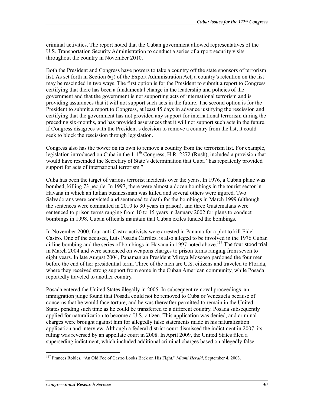criminal activities. The report noted that the Cuban government allowed representatives of the U.S. Transportation Security Administration to conduct a series of airport security visits throughout the country in November 2010.

Both the President and Congress have powers to take a country off the state sponsors of terrorism list. As set forth in Section 6(j) of the Export Administration Act, a country's retention on the list may be rescinded in two ways. The first option is for the President to submit a report to Congress certifying that there has been a fundamental change in the leadership and policies of the government and that the government is not supporting acts of international terrorism and is providing assurances that it will not support such acts in the future. The second option is for the President to submit a report to Congress, at least 45 days in advance justifying the rescission and certifying that the government has not provided any support for international terrorism during the preceding six-months, and has provided assurances that it will not support such acts in the future. If Congress disagrees with the President's decision to remove a country from the list, it could seek to block the rescission through legislation.

Congress also has the power on its own to remove a country from the terrorism list. For example, legislation introduced on Cuba in the  $111<sup>th</sup>$  Congress, H.R. 2272 (Rush), included a provision that would have rescinded the Secretary of State's determination that Cuba "has repeatedly provided support for acts of international terrorism."

Cuba has been the target of various terrorist incidents over the years. In 1976, a Cuban plane was bombed, killing 73 people. In 1997, there were almost a dozen bombings in the tourist sector in Havana in which an Italian businessman was killed and several others were injured. Two Salvadorans were convicted and sentenced to death for the bombings in March 1999 (although the sentences were commuted in 2010 to 30 years in prison), and three Guatemalans were sentenced to prison terms ranging from 10 to 15 years in January 2002 for plans to conduct bombings in 1998. Cuban officials maintain that Cuban exiles funded the bombings.

In November 2000, four anti-Castro activists were arrested in Panama for a plot to kill Fidel Castro. One of the accused, Luis Posada Carriles, is also alleged to be involved in the 1976 Cuban airline bombing and the series of bombings in Havana in 1997 noted above.<sup>117</sup> The four stood trial in March 2004 and were sentenced on weapons charges to prison terms ranging from seven to eight years. In late August 2004, Panamanian President Mireya Moscoso pardoned the four men before the end of her presidential term. Three of the men are U.S. citizens and traveled to Florida, where they received strong support from some in the Cuban American community, while Posada reportedly traveled to another country.

Posada entered the United States illegally in 2005. In subsequent removal proceedings, an immigration judge found that Posada could not be removed to Cuba or Venezuela because of concerns that he would face torture, and he was thereafter permitted to remain in the United States pending such time as he could be transferred to a different country. Posada subsequently applied for naturalization to become a U.S. citizen. This application was denied, and criminal charges were brought against him for allegedly false statements made in his naturalization application and interview. Although a federal district court dismissed the indictment in 2007, its ruling was reversed by an appellate court in 2008. In April 2009, the United States filed a superseding indictment, which included additional criminal charges based on allegedly false

<sup>&</sup>lt;u>.</u> 117 Frances Robles, "An Old Foe of Castro Looks Back on His Fight," *Miami Herald*, September 4, 2003.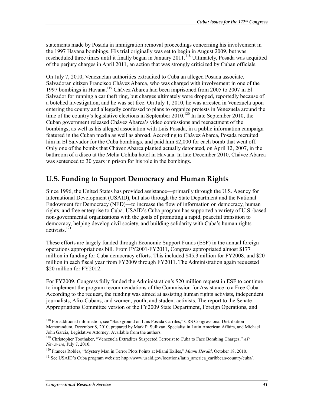statements made by Posada in immigration removal proceedings concerning his involvement in the 1997 Havana bombings. His trial originally was set to begin in August 2009, but was rescheduled three times until it finally began in January 2011.<sup>118</sup> Ultimately, Posada was acquitted of the perjury charges in April 2011, an action that was strongly criticized by Cuban officials.

On July 7, 2010, Venezuelan authorities extradited to Cuba an alleged Posada associate, Salvadoran citizen Francisco Chávez Abarca, who was charged with involvement in one of the 1997 bombings in Havana.119 Chávez Abarca had been imprisoned from 2005 to 2007 in El Salvador for running a car theft ring, but charges ultimately were dropped, reportedly because of a botched investigation, and he was set free. On July 1, 2010, he was arrested in Venezuela upon entering the county and allegedly confessed to plans to organize protests in Venezuela around the time of the country's legislative elections in September 2010.<sup>120</sup> In late September 2010, the Cuban government released Chávez Abarca's video confessions and reenactment of the bombings, as well as his alleged association with Luis Posada, in a public information campaign featured in the Cuban media as well as abroad. According to Chávez Abarca, Posada recruited him in El Salvador for the Cuba bombings, and paid him \$2,000 for each bomb that went off. Only one of the bombs that Chávez Abarca planted actually detonated, on April 12, 2007, in the bathroom of a disco at the Melia Cohiba hotel in Havana. In late December 2010, Chávez Abarca was sentenced to 30 years in prison for his role in the bombings.

### **U.S. Funding to Support Democracy and Human Rights**

Since 1996, the United States has provided assistance—primarily through the U.S. Agency for International Development (USAID), but also through the State Department and the National Endowment for Democracy (NED)—to increase the flow of information on democracy, human rights, and free enterprise to Cuba. USAID's Cuba program has supported a variety of U.S.-based non-governmental organizations with the goals of promoting a rapid, peaceful transition to democracy, helping develop civil society, and building solidarity with Cuba's human rights activists. $121$ 

These efforts are largely funded through Economic Support Funds (ESF) in the annual foreign operations appropriations bill. From FY2001-FY2011, Congress appropriated almost \$177 million in funding for Cuba democracy efforts. This included \$45.3 million for FY2008, and \$20 million in each fiscal year from FY2009 through FY2011. The Administration again requested \$20 million for FY2012.

For FY2009, Congress fully funded the Administration's \$20 million request in ESF to continue to implement the program recommendations of the Commission for Assistance to a Free Cuba. According to the request, the funding was aimed at assisting human rights activists, independent journalists, Afro-Cubans, and women, youth, and student activists. The report to the Senate Appropriations Committee version of the FY2009 State Department, Foreign Operations, and

<sup>1</sup> <sup>118</sup> For additional information, see "Background on Luis Posada Carriles," CRS Congressional Distribution Memorandum, December 8, 2010, prepared by Mark P. Sullivan, Specialist in Latin American Affairs, and Michael John Garcia, Legislative Attorney. Available from the authors.

<sup>119</sup> Christopher Toothaker, "Venezuela Extradites Suspected Terrorist to Cuba to Face Bombing Charges," *AP Newswire*, July 7, 2010.

<sup>120</sup> Frances Robles, "Mystery Man in Terror Plots Points at Miami Exiles," *Miami Herald*, October 18, 2010.

<sup>&</sup>lt;sup>121</sup>See USAID's Cuba program website: http://www.usaid.gov/locations/latin\_america\_caribbean/country/cuba/.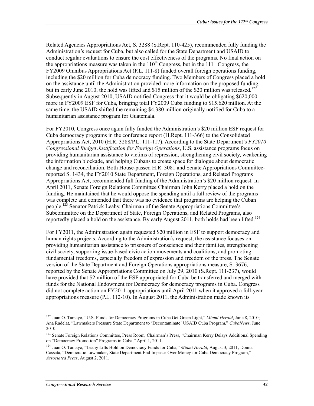Related Agencies Appropriations Act, S. 3288 (S.Rept. 110-425), recommended fully funding the Administration's request for Cuba, but also called for the State Department and USAID to conduct regular evaluations to ensure the cost effectiveness of the programs. No final action on the appropriations measure was taken in the  $110^{th}$  Congress, but in the  $111^{th}$  Congress, the FY2009 Omnibus Appropriations Act (P.L. 111-8) funded overall foreign operations funding, including the \$20 million for Cuba democracy funding. Two Members of Congress placed a hold on the assistance until the Administration provided more information on the proposed funding, but in early June 2010, the hold was lifted and \$15 million of the \$20 million was released.<sup>122</sup> Subsequently in August 2010, USAID notified Congress that it would be obligating \$620,000 more in FY2009 ESF for Cuba, bringing total FY2009 Cuba funding to \$15.620 million. At the same time, the USAID shifted the remaining \$4.380 million originally notified for Cuba to a humanitarian assistance program for Guatemala.

For FY2010, Congress once again fully funded the Administration's \$20 million ESF request for Cuba democracy programs in the conference report (H.Rept. 111-366) to the Consolidated Appropriations Act, 2010 (H.R. 3288/P.L. 111-117). According to the State Department's *FY2010 Congressional Budget Justification for Foreign Operations*, U.S. assistance programs focus on providing humanitarian assistance to victims of repression, strengthening civil society, weakening the information blockade, and helping Cubans to create space for dialogue about democratic change and reconciliation. Both House-passed H.R. 3081 and Senate Appropriations Committeereported S. 1434, the FY2010 State Department, Foreign Operations, and Related Programs Appropriations Act, recommended full funding of the Administration's \$20 million request. In April 2011, Senate Foreign Relations Committee Chairman John Kerry placed a hold on the funding. He maintained that he would oppose the spending until a full review of the programs was complete and contended that there was no evidence that programs are helping the Cuban people.<sup>123</sup> Senator Patrick Leahy, Chairman of the Senate Appropriations Committee's Subcommittee on the Department of State, Foreign Operations, and Related Programs, also reportedly placed a hold on the assistance. By early August 2011, both holds had been lifted.<sup>124</sup>

For FY2011, the Administration again requested \$20 million in ESF to support democracy and human rights projects. According to the Administration's request, the assistance focuses on providing humanitarian assistance to prisoners of conscience and their families, strengthening civil society, supporting issue-based civic action movements and coalitions, and promoting fundamental freedoms, especially freedom of expression and freedom of the press. The Senate version of the State Department and Foreign Operations appropriations measure, S. 3676, reported by the Senate Appropriations Committee on July 29, 2010 (S.Rept. 111-237), would have provided that \$2 million of the ESF appropriated for Cuba be transferred and merged with funds for the National Endowment for Democracy for democracy programs in Cuba. Congress did not complete action on FY2011 appropriations until April 2011 when it approved a full-year appropriations measure (P.L. 112-10). In August 2011, the Administration made known its

<sup>122</sup> Juan O. Tamayo, "U.S. Funds for Democracy Programs in Cuba Get Green Light," *Miami Herald*, June 8, 2010; Ana Radelat, "Lawmakers Pressure State Department to 'Decontaminate' USAID Cuba Program," *CubaNews*, June 2010.

<sup>&</sup>lt;sup>123</sup> Senate Foreign Relations Committee, Press Room, Chairman's Press, "Chairman Kerry Delays Additional Spending on "Democracy Promotion" Programs in Cuba," April 1, 2011.

<sup>124</sup> Juan O. Tamayo, "Leahy Lifts Hold on Democracy Funds for Cuba," *Miami Herald*, August 3, 2011; Donna Cassata, "Democratic Lawmaker, State Department End Impasse Over Money for Cuba Democracy Program," *Associated Press*, August 2, 2011.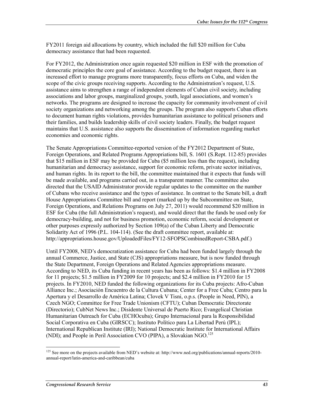FY2011 foreign aid allocations by country, which included the full \$20 million for Cuba democracy assistance that had been requested.

For FY2012, the Administration once again requested \$20 million in ESF with the promotion of democratic principles the core goal of assistance. According to the budget request, there is an increased effort to manage programs more transparently, focus efforts on Cuba, and widen the scope of the civic groups receiving supports. According to the Administration's request, U.S. assistance aims to strengthen a range of independent elements of Cuban civil society, including associations and labor groups, marginalized groups, youth, legal associations, and women's networks. The programs are designed to increase the capacity for community involvement of civil society organizations and networking among the groups. The program also supports Cuban efforts to document human rights violations, provides humanitarian assistance to political prisoners and their families, and builds leadership skills of civil society leaders. Finally, the budget request maintains that U.S. assistance also supports the dissemination of information regarding market economies and economic rights.

The Senate Appropriations Committee-reported version of the FY2012 Department of State, Foreign Operations, and Related Programs Appropriations bill, S. 1601 (S.Rept. 112-85) provides that \$15 million in ESF may be provided for Cuba (\$5 million less than the request), including humanitarian and democracy assistance, support for economic reform, private sector initiatives, and human rights. In its report to the bill, the committee maintained that it expects that funds will be made available, and programs carried out, in a transparent manner. The committee also directed that the USAID Administrator provide regular updates to the committee on the number of Cubans who receive assistance and the types of assistance. In contrast to the Senate bill, a draft House Appropriations Committee bill and report (marked up by the Subcommittee on State, Foreign Operations, and Relations Programs on July 27, 2011) would recommend \$20 million in ESF for Cuba (the full Administration's request), and would direct that the funds be used only for democracy-building, and not for business promotion, economic reform, social development or other purposes expressly authorized by Section 109(a) of the Cuban Liberty and Democratic Solidarity Act of 1996 (P.L. 104-114). (See the draft committee report, available at: http://appropriations.house.gov/UploadedFiles/FY12-SFOPSCombinedReport-CSBA.pdf.)

Until FY2008, NED's democratization assistance for Cuba had been funded largely through the annual Commerce, Justice, and State (CJS) appropriations measure, but is now funded through the State Department, Foreign Operations and Related Agencies appropriations measure. According to NED, its Cuba funding in recent years has been as follows: \$1.4 million in FY2008 for 11 projects; \$1.5 million in FY2009 for 10 projects; and \$2.4 million in FY2010 for 15 projects. In FY2010, NED funded the following organizations for its Cuba projects: Afro-Cuban Alliance Inc.; Asociación Encuentro de la Cultura Cubana; Center for a Free Cuba; Centro para la Apertura y el Desarrollo de América Latina; Clovek V Tisni, o.p.s. (People in Need, PIN), a Czech NGO; Committee for Free Trade Unionism (CFTU); Cuban Democratic Directorate (Directorio); CubNet News Inc.; Disidente Universal de Puerto Rico; Evangelical Christian Humanitarian Outreach for Cuba (ECHOcuba); Grupo Internacional para la Responsibilidad Social Corporativa en Cuba (GIRSCC); Instituto Político para La Libertad Perú (IPL); International Republican Institute (IRI); National Democratic Institute for International Affairs (NDI); and People in Peril Association CVO (PIPA), a Slovakian NGO.<sup>125</sup>

<sup>&</sup>lt;sup>125</sup> See more on the projects available from NED's website at: http://www.ned.org/publications/annual-reports/2010annual-report/latin-america-and-caribbean/cuba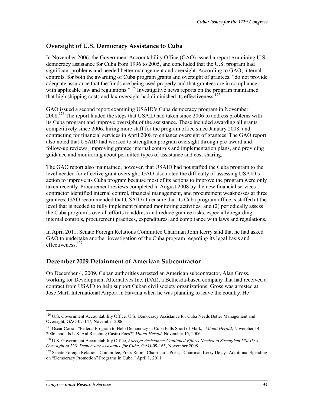#### **Oversight of U.S. Democracy Assistance to Cuba**

In November 2006, the Government Accountability Office (GAO) issued a report examining U.S. democracy assistance for Cuba from 1996 to 2005, and concluded that the U.S. program had significant problems and needed better management and oversight. According to GAO, internal controls, for both the awarding of Cuba program grants and oversight of grantees, "do not provide adequate assurance that the funds are being used properly and that grantees are in compliance with applicable law and regulations."<sup>126</sup> Investigative news reports on the program maintained that high shipping costs and lax oversight had diminished its effectiveness.<sup>127</sup>

GAO issued a second report examining USAID's Cuba democracy program in November 2008.<sup>128</sup> The report lauded the steps that USAID had taken since 2006 to address problems with its Cuba program and improve oversight of the assistance. These included awarding all grants competitively since 2006, hiring more staff for the program office since January 2008, and contracting for financial services in April 2008 to enhance oversight of grantees. The GAO report also noted that USAID had worked to strengthen program oversight through pre-award and follow-up reviews, improving grantee internal controls and implementation plans, and providing guidance and monitoring about permitted types of assistance and cost sharing.

The GAO report also maintained, however, that USAID had not staffed the Cuba program to the level needed for effective grant oversight. GAO also noted the difficulty of assessing USAID's action to improve its Cuba program because most of its actions to improve the program were only taken recently. Procurement reviews completed in August 2008 by the new financial services contractor identified internal control, financial management, and procurement weaknesses at three grantees. GAO recommended that USAID (1) ensure that its Cuba program office is staffed at the level that is needed to fully implement planned monitoring activities; and (2) periodically assess the Cuba program's overall efforts to address and reduce grantee risks, especially regarding internal controls, procurement practices, expenditures, and compliance with laws and regulations.

In April 2011, Senate Foreign Relations Committee Chairman John Kerry said that he had asked GAO to undertake another investigation of the Cuba program regarding its legal basis and effectiveness.<sup>129</sup>

#### **December 2009 Detainment of American Subcontractor**

On December 4, 2009, Cuban authorities arrested an American subcontractor, Alan Gross, working for Development Alternatives Inc. (DAI), a Bethesda-based company that had received a contract from USAID to help support Cuban civil society organizations. Gross was arrested at Jose Martí International Airport in Havana when he was planning to leave the country. He

<sup>&</sup>lt;sup>126</sup> U.S. Government Accountability Office, U.S. Democracy Assistance for Cuba Needs Better Management and Oversight, GAO-07-147, November 2006.

<sup>127</sup> Oscar Corral, "Federal Program to Help Democracy in Cuba Falls Short of Mark," *Miami Herald*, November 14, 2006, and "Is U.S. Aid Reaching Castro Foes?" *Miami Herald*, November 15, 2006.

<sup>128</sup> U.S. Government Accountability Office, *Foreign Assistance: Continued Efforts Needed to Strengthen USAID's Oversight of U.S. Democracy Assistance for Cuba*, GAO-09-165, November 2008.

<sup>&</sup>lt;sup>129</sup> Senate Foreign Relations Committee, Press Room, Chairman's Press, "Chairman Kerry Delays Additional Spending on "Democracy Promotion" Programs in Cuba," April 1, 2011.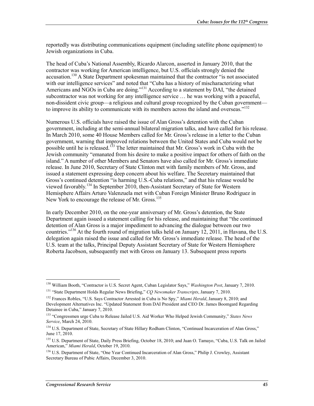reportedly was distributing communications equipment (including satellite phone equipment) to Jewish organizations in Cuba.

The head of Cuba's National Assembly, Ricardo Alarcon, asserted in January 2010, that the contractor was working for American intelligence, but U.S. officials strongly denied the accusation.<sup>130</sup> A State Department spokesman maintained that the contractor "is not associated with our intelligence services" and noted that "Cuba has a history of mischaracterizing what Americans and NGOs in Cuba are doing."<sup>131</sup> According to a statement by DAI, "the detained subcontractor was not working for any intelligence service … he was working with a peaceful, non-dissident civic group—a religious and cultural group recognized by the Cuban government to improve its ability to communicate with its members across the island and overseas." $132$ 

Numerous U.S. officials have raised the issue of Alan Gross's detention with the Cuban government, including at the semi-annual bilateral migration talks, and have called for his release. In March 2010, some 40 House Members called for Mr. Gross's release in a letter to the Cuban government, warning that improved relations between the United States and Cuba would not be possible until he is released.<sup>133</sup> The letter maintained that Mr. Gross's work in Cuba with the Jewish community "emanated from his desire to make a positive impact for others of faith on the island." A number of other Members and Senators have also called for Mr. Gross's immediate release. In June 2010, Secretary of State Clinton met with family members of Mr. Gross, and issued a statement expressing deep concern about his welfare. The Secretary maintained that Gross's continued detention "is harming U.S.-Cuba relations," and that his release would be viewed favorably.134 In September 2010, then-Assistant Secretary of State for Western Hemisphere Affairs Arturo Valenzuela met with Cuban Foreign Minister Bruno Rodriguez in New York to encourage the release of Mr. Gross.<sup>135</sup>

In early December 2010, on the one-year anniversary of Mr. Gross's detention, the State Department again issued a statement calling for his release, and maintaining that "the continued detention of Alan Gross is a major impediment to advancing the dialogue between our two countries."136 At the fourth round of migration talks held on January 12, 2011, in Havana, the U.S. delegation again raised the issue and called for Mr. Gross's immediate release. The head of the U.S. team at the talks, Principal Deputy Assistant Secretary of State for Western Hemisphere Roberta Jacobson, subsequently met with Gross on January 13. Subsequent press reports

<u>.</u>

<sup>130</sup> William Booth, "Contractor is U.S. Secret Agent, Cuban Legislator Says," *Washington Post*, January 7, 2010.

<sup>131 &</sup>quot;State Department Holds Regular News Briefing," *CQ Newsmaker Transcripts*, January 7, 2010.

<sup>132</sup> Frances Robles, "U.S. Says Contractor Arrested in Cuba is No Spy," *Miami Herald*, January 8, 2010; and Development Alternatives Inc. "Updated Statement from DAI President and CEO Dr. James Boomgard Regarding Detainee in Cuba," January 7, 2010.

<sup>133 &</sup>quot;Congressmen urge Cuba to Release Jailed U.S. Aid Worker Who Helped Jewish Community," *States News Service*, March 24, 2010.

<sup>&</sup>lt;sup>134</sup> U.S. Department of State, Secretary of State Hillary Rodham Clinton, "Continued Incarceration of Alan Gross," June 17, 2010.

<sup>&</sup>lt;sup>135</sup> U.S. Department of State, Daily Press Briefing, October 18, 2010; and Juan O. Tamayo, "Cuba, U.S. Talk on Jailed American," *Miami Herald*, October 19, 2010.

<sup>136</sup> U.S. Department of State, "One Year Continued Incarceration of Alan Gross," Philip J. Crowley, Assistant Secretary Bureau of Pubic Affairs, December 3, 2010.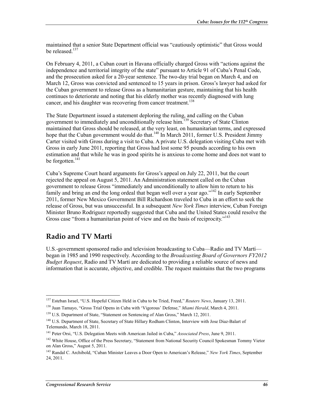maintained that a senior State Department official was "cautiously optimistic" that Gross would be released.<sup>137</sup>

On February 4, 2011, a Cuban court in Havana officially charged Gross with "actions against the independence and territorial integrity of the state" pursuant to Article 91 of Cuba's Penal Code, and the prosecution asked for a 20-year sentence. The two-day trial began on March 4, and on March 12, Gross was convicted and sentenced to 15 years in prison. Gross's lawyer had asked for the Cuban government to release Gross as a humanitarian gesture, maintaining that his health continues to deteriorate and noting that his elderly mother was recently diagnosed with lung cancer, and his daughter was recovering from cancer treatment.<sup>138</sup>

The State Department issued a statement deploring the ruling, and calling on the Cuban government to immediately and unconditionally release him.<sup>139</sup> Secretary of State Clinton maintained that Gross should be released, at the very least, on humanitarian terms, and expressed hope that the Cuban government would do that.<sup>140</sup> In March 2011, former U.S. President Jimmy Carter visited with Gross during a visit to Cuba. A private U.S. delegation visiting Cuba met with Gross in early June 2011, reporting that Gross had lost some 95 pounds according to his own estimation and that while he was in good spirits he is anxious to come home and does not want to be forgotten.<sup>141</sup>

Cuba's Supreme Court heard arguments for Gross's appeal on July 22, 2011, but the court rejected the appeal on August 5, 2011. An Administration statement called on the Cuban government to release Gross "immediately and unconditionally to allow him to return to his family and bring an end the long ordeal that began well over a year ago."142 In early September 2011, former New Mexico Government Bill Richardson traveled to Cuba in an effort to seek the release of Gross, but was unsuccessful. In a subsequent *New York Times* interview, Cuban Foreign Minister Bruno Rodriguez reportedly suggested that Cuba and the United States could resolve the Gross case "from a humanitarian point of view and on the basis of reciprocity."<sup>143</sup>

## **Radio and TV Marti**

1

U.S.-government sponsored radio and television broadcasting to Cuba—Radio and TV Martí began in 1985 and 1990 respectively. According to the *Broadcasting Board of Governors FY2012 Budget Request*, Radio and TV Martí are dedicated to providing a reliable source of news and information that is accurate, objective, and credible. The request maintains that the two programs

<sup>137</sup> Esteban Israel, "U.S. Hopeful Citizen Held in Cuba to be Tried, Freed," *Reuters News*, January 13, 2011.

<sup>138</sup> Juan Tamayo, "Gross Trial Opens in Cuba with 'Vigorous' Defense," *Miami Herald*, March 4, 2011.

<sup>&</sup>lt;sup>139</sup> U.S. Department of State, "Statement on Sentencing of Alan Gross," March 12, 2011.

<sup>&</sup>lt;sup>140</sup> U.S. Department of State, Secretary of State Hillary Rodham Clinton, Interview with Jose Diaz-Balart of Telemundo, March 18, 2011.

<sup>141</sup> Peter Orsi, "U.S. Delegation Meets with American Jailed in Cuba," *Associated Press*, June 9, 2011.

<sup>&</sup>lt;sup>142</sup> White House, Office of the Press Secretary, "Statement from National Security Council Spokesman Tommy Vietor on Alan Gross," August 5, 2011.

<sup>143</sup> Randal C. Archibold, "Cuban Minister Leaves a Door Open to American's Release," *New York Times*, September 24, 2011.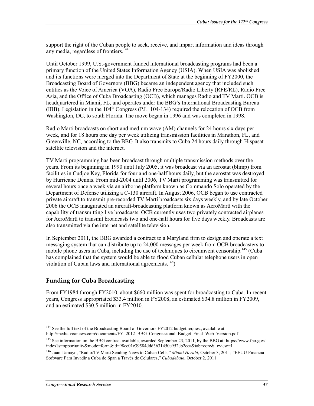support the right of the Cuban people to seek, receive, and impart information and ideas through any media, regardless of frontiers.<sup>144</sup>

Until October 1999, U.S.-government funded international broadcasting programs had been a primary function of the United States Information Agency (USIA). When USIA was abolished and its functions were merged into the Department of State at the beginning of FY2000, the Broadcasting Board of Governors (BBG) became an independent agency that included such entities as the Voice of America (VOA), Radio Free Europe/Radio Liberty (RFE/RL), Radio Free Asia, and the Office of Cuba Broadcasting (OCB), which manages Radio and TV Marti. OCB is headquartered in Miami, FL, and operates under the BBG's International Broadcasting Bureau (IBB). Legislation in the  $104<sup>th</sup>$  Congress (P.L. 104-134) required the relocation of OCB from Washington, DC, to south Florida. The move began in 1996 and was completed in 1998.

Radio Martí broadcasts on short and medium wave (AM) channels for 24 hours six days per week, and for 18 hours one day per week utilizing transmission facilities in Marathon, FL, and Greenville, NC, according to the BBG. It also transmits to Cuba 24 hours daily through Hispasat satellite television and the internet.

TV Martí programming has been broadcast through multiple transmission methods over the years. From its beginning in 1990 until July 2005, it was broadcast via an aerostat (blimp) from facilities in Cudjoe Key, Florida for four and one-half hours daily, but the aerostat was destroyed by Hurricane Dennis. From mid-2004 until 2006, TV Martí programming was transmitted for several hours once a week via an airborne platform known as Commando Solo operated by the Department of Defense utilizing a C-130 aircraft. In August 2006, OCB began to use contracted private aircraft to transmit pre-recorded TV Martí broadcasts six days weekly, and by late October 2006 the OCB inaugurated an aircraft-broadcasting platform known as AeroMartí with the capability of transmitting live broadcasts. OCB currently uses two privately contracted airplanes for AeroMartí to transmit broadcasts two and one-half hours for five days weekly. Broadcasts are also transmitted via the internet and satellite television.

In September 2011, the BBG awarded a contract to a Maryland firm to design and operate a text messaging system that can distribute up to 24,000 messages per week from OCB broadcasters to mobile phone users in Cuba, including the use of techniques to circumvent censorship.<sup>145</sup> (Cuba has complained that the system would be able to flood Cuban cellular telephone users in open violation of Cuban laws and international agreements.<sup>146</sup>)

#### **Funding for Cuba Broadcasting**

From FY1984 through FY2010, about \$660 million was spent for broadcasting to Cuba. In recent years, Congress appropriated \$33.4 million in FY2008, an estimated \$34.8 million in FY2009, and an estimated \$30.5 million in FY2010.

<sup>1</sup> <sup>144</sup> See the full text of the Broadcasting Board of Governors FY2012 budget request, available at http://media.voanews.com/documents/FY\_2012\_BBG\_Congressional\_Budget\_Final\_Web\_Version.pdf

<sup>&</sup>lt;sup>145</sup> See information on the BBG contract available, awarded September 23, 2011, by the BBG at: https://www.fbo.gov/ index?s=opportunity&mode=form&id=98ec01c39584ddd3631450c952eb2eea&tab=core&\_cview=1

<sup>146</sup> Juan Tamayo, "Radio/TV Martí Sending News to Cuban Cells," *Miami Herald*, October 3, 2011; "EEUU Financia Software Para Invadir a Cuba de Span a Través de Celulares," *Cubadebate*, October 2, 2011.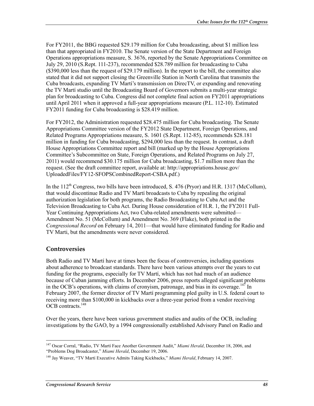For FY2011, the BBG requested \$29.179 million for Cuba broadcasting, about \$1 million less than that appropriated in FY2010. The Senate version of the State Department and Foreign Operations appropriations measure, S. 3676, reported by the Senate Appropriations Committee on July 29, 2010 (S.Rept. 111-237), recommended \$28.789 million for broadcasting to Cuba (\$390,000 less than the request of \$29.179 million). In the report to the bill, the committee also stated that it did not support closing the Greenville Station in North Carolina that transmits the Cuba broadcasts, expanding TV Martí's transmission on DirecTV, or expanding and renovating the TV Martí studio until the Broadcasting Board of Governors submits a multi-year strategic plan for broadcasting to Cuba. Congress did not complete final action on FY2011 appropriations until April 2011 when it approved a full-year appropriations measure (P.L. 112-10). Estimated FY2011 funding for Cuba broadcasting is \$28.419 million.

For FY2012, the Administration requested \$28.475 million for Cuba broadcasting. The Senate Appropriations Committee version of the FY2012 State Department, Foreign Operations, and Related Programs Appropriations measure, S. 1601 (S.Rept. 112-85), recommends \$28.181 million in funding for Cuba broadcasting, \$294,000 less than the request. In contrast, a draft House Appropriations Committee report and bill (marked up by the House Appropriations Committee's Subcommittee on State, Foreign Operations, and Related Programs on July 27, 2011) would recommend \$30.175 million for Cuba broadcasting, \$1.7 million more than the request. (See the draft committee report, available at: http://appropriations.house.gov/ UploadedFiles/FY12-SFOPSCombinedReport-CSBA.pdf.)

In the  $112^{th}$  Congress, two bills have been introduced, S. 476 (Pryor) and H.R. 1317 (McCollum), that would discontinue Radio and TV Martí broadcasts to Cuba by repealing the original authorization legislation for both programs, the Radio Broadcasting to Cuba Act and the Television Broadcasting to Cuba Act. During House consideration of H.R. 1, the FY2011 Full-Year Continuing Appropriations Act, two Cuba-related amendments were submitted— Amendment No. 51 (McCollum) and Amendment No. 369 (Flake), both printed in the *Congressional Record* on February 14, 2011—that would have eliminated funding for Radio and TV Marti, but the amendments were never considered.

#### **Controversies**

1

Both Radio and TV Martí have at times been the focus of controversies, including questions about adherence to broadcast standards. There have been various attempts over the years to cut funding for the programs, especially for TV Martí, which has not had much of an audience because of Cuban jamming efforts. In December 2006, press reports alleged significant problems in the OCB's operations, with claims of cronyism, patronage, and bias in its coverage.<sup>147</sup> In February 2007, the former director of TV Martí programming pled guilty in U.S. federal court to receiving more than \$100,000 in kickbacks over a three-year period from a vendor receiving OCB contracts<sup>148</sup>

Over the years, there have been various government studies and audits of the OCB, including investigations by the GAO, by a 1994 congressionally established Advisory Panel on Radio and

<sup>147</sup> Oscar Corral, "Radio, TV Martí Face Another Government Audit," *Miami Herald*, December 18, 2006, and "Problems Dog Broadcaster," *Miami Herald*, December 19, 2006.

<sup>148</sup> Jay Weaver, "TV Martí Executive Admits Taking Kickbacks," *Miami Herald*, February 14, 2007.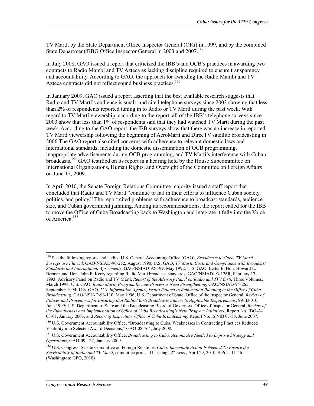TV Martí, by the State Department Office Inspector General (OIG) in 1999, and by the combined State Department/BBG Office Inspector General in 2003 and 2007.<sup>149</sup>

In July 2008, GAO issued a report that criticized the IBB's and OCB's practices in awarding two contracts to Radio Mambí and TV Azteca as lacking discipline required to ensure transparency and accountability. According to GAO, the approach for awarding the Radio Mambí and TV Azteca contracts did not reflect sound business practices.<sup>150</sup>

In January 2009, GAO issued a report asserting that the best available research suggests that Radio and TV Martí's audience is small, and cited telephone surveys since 2003 showing that less than 2% of respondents reported tuning in to Radio or TV Martí during the past week. With regard to TV Martí viewership, according to the report, all of the IBB's telephone surveys since 2003 show that less than 1% of respondents said that they had watched TV Martí during the past week. According to the GAO report, the IBB surveys show that there was no increase in reported TV Martí viewership following the beginning of AeroMartí and DirecTV satellite broadcasting in 2006.The GAO report also cited concerns with adherence to relevant domestic laws and international standards, including the domestic dissemination of OCB programming, inappropriate advertisements during OCB programming, and TV Martí's interference with Cuban broadcasts.151 GAO testified on its report in a hearing held by the House Subcommittee on International Organizations, Human Rights, and Oversight of the Committee on Foreign Affairs on June 17, 2009.

In April 2010, the Senate Foreign Relations Committee majority issued a staff report that concluded that Radio and TV Martí "continue to fail in their efforts to influence Cuban society, politics, and policy." The report cited problems with adherence to broadcast standards, audience size, and Cuban government jamming. Among its recommendations, the report called for the IBB to move the Office of Cuba Broadcasting back to Washington and integrate it fully into the Voice of America<sup>152</sup>

<u>.</u>

<sup>149</sup> See the following reports and audits: U.S. General Accounting Office (GAO), *Broadcasts to Cuba, TV Marti Surveys are Flawed*, GAO/NSIAD-90-252, August 1990; U.S. GAO, *TV Marti, Costs and Compliance with Broadcast Standards and International Agreements*, GAO/NSIAD-92-199, May 1992; U.S. GAO, Letter to Hon. Howard L. Berman and Hon. John F. Kerry regarding Radio Marti broadcast standards, GAO/NSIAD-93-126R, February 17, 1993; Advisory Panel on Radio and TV Marti, *Report of the Advisory Panel on Radio and TV Marti*, Three Volumes, March 1994; U.S. GAO, *Radio Marti, Program Review Processes Need Strengthening*, GAO/NSIAD-94-265, September 1994; U.S. GAO, *U.S. Information Agency, Issues Related to Reinvention Planning in the Office of Cuba Broadcasting*, GAO/NSIAD-96-110, May 1996; U.S. Department of State, Office of the Inspector General, *Review of Polices and Procedures for Ensuring that Radio Marti Broadcasts Adhere to Applicable Requirements*, 99-IB-010, June 1999; U.S. Department of State and the Broadcasting Board of Governors, Office of Inspector General, *Review of the Effectiveness and Implementation of Office of Cuba Broadcasting's New Program Initiatives*, Report No. IBO-A-03-01, January 2003, and *Report of Inspection, Office of Cuba Broadcasting,* Report No. ISP-IB 07-35, June 2007.

<sup>&</sup>lt;sup>150</sup> U.S. Government Accountability Office, "Broadcasting to Cuba, Weaknesses in Contracting Practices Reduced Visibility into Selected Award Decisions," GAO-08-764, July 2008.

<sup>151</sup> U.S. Government Accountability Office, *Broadcasting to Cuba, Actions Are Needed to Improve Strategy and Operations*, GAO-09-127, January 2009.

<sup>152</sup> U.S. Congress, Senate Committee on Foreign Relations, *Cuba: Immediate Action Is Needed To Ensure the Survivability of Radio and TV Marti*, committee print, 111<sup>th</sup> Cong., 2<sup>nd</sup> sess., April 29, 2010, S.Prt. 111-46 (Washington: GPO, 2010).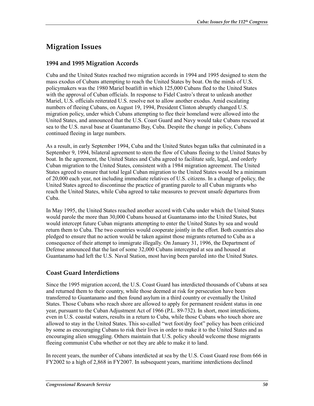## **Migration Issues**

#### **1994 and 1995 Migration Accords**

Cuba and the United States reached two migration accords in 1994 and 1995 designed to stem the mass exodus of Cubans attempting to reach the United States by boat. On the minds of U.S. policymakers was the 1980 Mariel boatlift in which 125,000 Cubans fled to the United States with the approval of Cuban officials. In response to Fidel Castro's threat to unleash another Mariel, U.S. officials reiterated U.S. resolve not to allow another exodus. Amid escalating numbers of fleeing Cubans, on August 19, 1994, President Clinton abruptly changed U.S. migration policy, under which Cubans attempting to flee their homeland were allowed into the United States, and announced that the U.S. Coast Guard and Navy would take Cubans rescued at sea to the U.S. naval base at Guantanamo Bay, Cuba. Despite the change in policy, Cubans continued fleeing in large numbers.

As a result, in early September 1994, Cuba and the United States began talks that culminated in a September 9, 1994, bilateral agreement to stem the flow of Cubans fleeing to the United States by boat. In the agreement, the United States and Cuba agreed to facilitate safe, legal, and orderly Cuban migration to the United States, consistent with a 1984 migration agreement. The United States agreed to ensure that total legal Cuban migration to the United States would be a minimum of 20,000 each year, not including immediate relatives of U.S. citizens. In a change of policy, the United States agreed to discontinue the practice of granting parole to all Cuban migrants who reach the United States, while Cuba agreed to take measures to prevent unsafe departures from Cuba.

In May 1995, the United States reached another accord with Cuba under which the United States would parole the more than 30,000 Cubans housed at Guantanamo into the United States, but would intercept future Cuban migrants attempting to enter the United States by sea and would return them to Cuba. The two countries would cooperate jointly in the effort. Both countries also pledged to ensure that no action would be taken against those migrants returned to Cuba as a consequence of their attempt to immigrate illegally. On January 31, 1996, the Department of Defense announced that the last of some 32,000 Cubans intercepted at sea and housed at Guantanamo had left the U.S. Naval Station, most having been paroled into the United States.

#### **Coast Guard Interdictions**

Since the 1995 migration accord, the U.S. Coast Guard has interdicted thousands of Cubans at sea and returned them to their country, while those deemed at risk for persecution have been transferred to Guantanamo and then found asylum in a third country or eventually the United States. Those Cubans who reach shore are allowed to apply for permanent resident status in one year, pursuant to the Cuban Adjustment Act of 1966 (P.L. 89-732). In short, most interdictions, even in U.S. coastal waters, results in a return to Cuba, while those Cubans who touch shore are allowed to stay in the United States. This so-called "wet foot/dry foot" policy has been criticized by some as encouraging Cubans to risk their lives in order to make it to the United States and as encouraging alien smuggling. Others maintain that U.S. policy should welcome those migrants fleeing communist Cuba whether or not they are able to make it to land.

In recent years, the number of Cubans interdicted at sea by the U.S. Coast Guard rose from 666 in FY2002 to a high of 2,868 in FY2007. In subsequent years, maritime interdictions declined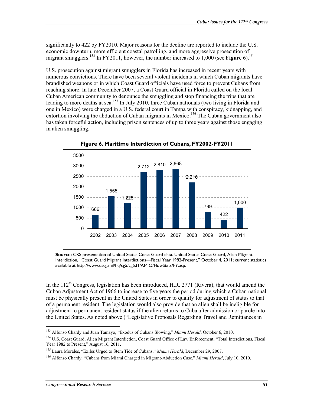significantly to 422 by FY2010. Major reasons for the decline are reported to include the U.S. economic downturn, more efficient coastal patrolling, and more aggressive prosecution of migrant smugglers.<sup>153</sup> In FY2011, however, the number increased to 1,000 (see **Figure 6**).<sup>154</sup>

U.S. prosecution against migrant smugglers in Florida has increased in recent years with numerous convictions. There have been several violent incidents in which Cuban migrants have brandished weapons or in which Coast Guard officials have used force to prevent Cubans from reaching shore. In late December 2007, a Coast Guard official in Florida called on the local Cuban American community to denounce the smuggling and stop financing the trips that are leading to more deaths at sea.<sup>155</sup> In July 2010, three Cuban nationals (two living in Florida and one in Mexico) were charged in a U.S. federal court in Tampa with conspiracy, kidnapping, and extortion involving the abduction of Cuban migrants in Mexico.<sup>156</sup> The Cuban government also has taken forceful action, including prison sentences of up to three years against those engaging in alien smuggling.



**Figure 6. Maritime Interdiction of Cubans, FY2002-FY2011** 

**Source:** CRS presentation of United States Coast Guard data. United States Coast Guard, Alien Migrant Interdiction, "Coast Guard Migrant Interdictions—Fiscal Year 1982-Present," October 4, 2011; current statistics available at http://www.uscg.mil/hq/cg5/cg531/AMIO/FlowStats/FY.asp.

In the  $112<sup>th</sup>$  Congress, legislation has been introduced, H.R. 2771 (Rivera), that would amend the Cuban Adjustment Act of 1966 to increase to five years the period during which a Cuban national must be physically present in the United States in order to qualify for adjustment of status to that of a permanent resident. The legislation would also provide that an alien shall be ineligible for adjustment to permanent resident status if the alien returns to Cuba after admission or parole into the United States. As noted above ("Legislative Proposals Regarding Travel and Remittances in

<sup>153</sup> Alfonso Chardy and Juan Tamayo, "Exodus of Cubans Slowing," *Miami Herald*, October 6, 2010.

<sup>154</sup> U.S. Coast Guard, Alien Migrant Interdiction, Coast Guard Office of Law Enforcement, "Total Interdictions, Fiscal Year 1982 to Present," August 16, 2011.

<sup>155</sup> Laura Morales, "Exiles Urged to Stem Tide of Cubans," *Miami Herald*, December 29, 2007.

<sup>156</sup> Alfonso Chardy, "Cubans from Miami Charged in Migrant-Abduction Case," *Miami Herald*, July 10, 2010.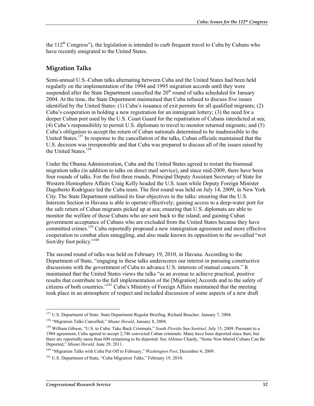the  $112<sup>th</sup>$  Congress"), the legislation is intended to curb frequent travel to Cuba by Cubans who have recently emigrated to the United States.

#### **Migration Talks**

Semi-annual U.S.-Cuban talks alternating between Cuba and the United States had been held regularly on the implementation of the 1994 and 1995 migration accords until they were suspended after the State Department cancelled the 20<sup>th</sup> round of talks scheduled for January 2004. At the time, the State Department maintained that Cuba refused to discuss five issues identified by the United States: (1) Cuba's issuance of exit permits for all qualified migrants; (2) Cuba's cooperation in holding a new registration for an immigrant lottery; (3) the need for a deeper Cuban port used by the U.S. Coast Guard for the repatriation of Cubans interdicted at sea; (4) Cuba's responsibility to permit U.S. diplomats to travel to monitor returned migrants; and (5) Cuba's obligation to accept the return of Cuban nationals determined to be inadmissible to the United States.<sup>157</sup> In response to the cancellation of the talks, Cuban officials maintained that the U.S. decision was irresponsible and that Cuba was prepared to discuss all of the issues raised by the United States.<sup>158</sup>

Under the Obama Administration, Cuba and the United States agreed to restart the biannual migration talks (in addition to talks on direct mail service), and since mid-2009, there have been four rounds of talks. For the first three rounds, Principal Deputy Assistant Secretary of State for Western Hemisphere Affairs Craig Kelly headed the U.S. team while Deputy Foreign Minister Dagoberto Rodriguez led the Cuba team. The first round was held on July 14, 2009, in New York City. The State Department outlined its four objectives in the talks: ensuring that the U.S. Interests Section in Havana is able to operate effectively; gaining access to a deep-water port for the safe return of Cuban migrants picked up at sea; ensuring that U.S. diplomats are able to monitor the welfare of those Cubans who are sent back to the island; and gaining Cuban government acceptance of Cubans who are excluded from the United States because they have committed crimes.<sup>159</sup> Cuba reportedly proposed a new immigration agreement and more effective cooperation to combat alien smuggling, and also made known its opposition to the so-called "wet foot/dry foot policy."<sup>160</sup>

The second round of talks was held on February 19, 2010, in Havana. According to the Department of State, "engaging in these talks underscores our interest in pursuing constructive discussions with the government of Cuba to advance U.S. interests of mutual concern." It maintained that the United States views the talks "as an avenue to achieve practical, positive results that contribute to the full implementation of the [Migration] Accords and to the safety of citizens of both countries."161 Cuba's Ministry of Foreign Affairs maintained that the meeting took place in an atmosphere of respect and included discussion of some aspects of a new draft

<sup>&</sup>lt;sup>157</sup> U.S. Department of State. State Department Regular Briefing, Richard Boucher. January 7, 2004.

<sup>158 &</sup>quot;Migration Talks Cancelled," *Miami Herald*, January 8, 2004.

<sup>159</sup> William Gibson, "U.S. to Cuba: Take Back Criminals," *South Florida Sun-Sentinel*, July 15, 2009. Pursuant to a 1984 agreement, Cuba agreed to accept 2,746 convicted Cuban criminals. Many have been deported since then, but there are reportedly more than 600 remaining to be deported. See Alfonso Chardy, "Some Non-Mariel Cubans Can Be Deported," *Miami Herald,* June 29, 2011.

<sup>160 &</sup>quot;Migration Talks with Cuba Put Off to February," *Washington Post*, December 4, 2009.

<sup>&</sup>lt;sup>161</sup> U.S. Department of State, "Cuba Migration Talks," February 19, 2010.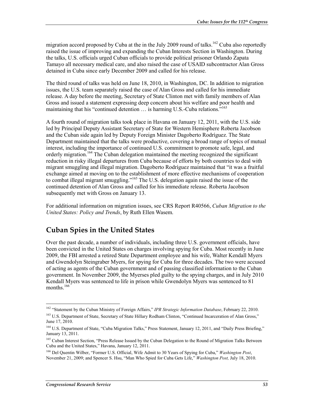migration accord proposed by Cuba at the in the July 2009 round of talks.<sup>162</sup> Cuba also reportedly raised the issue of improving and expanding the Cuban Interests Section in Washington. During the talks, U.S. officials urged Cuban officials to provide political prisoner Orlando Zapata Tamayo all necessary medical care, and also raised the case of USAID subcontractor Alan Gross detained in Cuba since early December 2009 and called for his release.

The third round of talks was held on June 18, 2010, in Washington, DC. In addition to migration issues, the U.S. team separately raised the case of Alan Gross and called for his immediate release. A day before the meeting, Secretary of State Clinton met with family members of Alan Gross and issued a statement expressing deep concern about his welfare and poor health and maintaining that his "continued detention  $\ldots$  is harming U.S.-Cuba relations."<sup>163</sup>

A fourth round of migration talks took place in Havana on January 12, 2011, with the U.S. side led by Principal Deputy Assistant Secretary of State for Western Hemisphere Roberta Jacobson and the Cuban side again led by Deputy Foreign Minister Dagoberto Rodríguez. The State Department maintained that the talks were productive, covering a broad range of topics of mutual interest, including the importance of continued U.S. commitment to promote safe, legal, and orderly migration.<sup>164</sup> The Cuban delegation maintained the meeting recognized the significant reduction in risky illegal departures from Cuba because of efforts by both countries to deal with migrant smuggling and illegal migration. Dagoberto Rodríguez maintained that "it was a fruitful exchange aimed at moving on to the establishment of more effective mechanisms of cooperation to combat illegal migrant smuggling."<sup>165</sup> The U.S. delegation again raised the issue of the continued detention of Alan Gross and called for his immediate release. Roberta Jacobson subsequently met with Gross on January 13.

For additional information on migration issues, see CRS Report R40566, *Cuban Migration to the United States: Policy and Trends*, by Ruth Ellen Wasem.

## **Cuban Spies in the United States**

Over the past decade, a number of individuals, including three U.S. government officials, have been convicted in the United States on charges involving spying for Cuba. Most recently in June 2009, the FBI arrested a retired State Department employee and his wife, Walter Kendall Myers and Gwendolyn Steingraber Myers, for spying for Cuba for three decades. The two were accused of acting as agents of the Cuban government and of passing classified information to the Cuban government. In November 2009, the Myerses pled guilty to the spying charges, and in July 2010 Kendall Myers was sentenced to life in prison while Gwendolyn Myers was sentenced to 81 months. $166$ 

<sup>1</sup> 162 "Statement by the Cuban Ministry of Foreign Affairs," *IPR Strategic Information Database*, February 22, 2010.

<sup>&</sup>lt;sup>163</sup> U.S. Department of State, Secretary of State Hillary Rodham Clinton, "Continued Incarceration of Alan Gross," June 17, 2010.

<sup>&</sup>lt;sup>164</sup> U.S. Department of State, "Cuba Migration Talks," Press Statement, January 12, 2011, and "Daily Press Briefing," January 13, 2011.

<sup>&</sup>lt;sup>165</sup> Cuban Interest Section, "Press Release Issued by the Cuban Delegation to the Round of Migration Talks Between Cuba and the United States," Havana, January 12, 2011.

<sup>166</sup> Del Quentin Wilber, "Former U.S. Official, Wife Admit to 30 Years of Spying for Cuba," *Washington Post*, November 21, 2009; and Spencer S. Hsu, "Man Who Spied for Cuba Gets Life," *Washington Post,* July 18, 2010.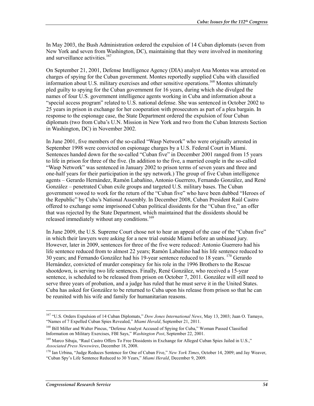In May 2003, the Bush Administration ordered the expulsion of 14 Cuban diplomats (seven from New York and seven from Washington, DC), maintaining that they were involved in monitoring and surveillance activities.<sup>167</sup>

On September 21, 2001, Defense Intelligence Agency (DIA) analyst Ana Montes was arrested on charges of spying for the Cuban government. Montes reportedly supplied Cuba with classified information about U.S. military exercises and other sensitive operations.<sup>168</sup> Montes ultimately pled guilty to spying for the Cuban government for 16 years, during which she divulged the names of four U.S. government intelligence agents working in Cuba and information about a "special access program" related to U.S. national defense. She was sentenced in October 2002 to 25 years in prison in exchange for her cooperation with prosecutors as part of a plea bargain. In response to the espionage case, the State Department ordered the expulsion of four Cuban diplomats (two from Cuba's U.N. Mission in New York and two from the Cuban Interests Section in Washington, DC) in November 2002.

In June 2001, five members of the so-called "Wasp Network" who were originally arrested in September 1998 were convicted on espionage charges by a U.S. Federal Court in Miami. Sentences handed down for the so-called "Cuban five" in December 2001 ranged from 15 years to life in prison for three of the five. (In addition to the five, a married couple in the so-called "Wasp Network" was sentenced in January 2002 to prison terms of seven years and three and one-half years for their participation in the spy network.) The group of five Cuban intelligence agents – Gerardo Hernández, Ramón Labañino, Antonio Guerrero, Fernando González, and René González – penetrated Cuban exile groups and targeted U.S. military bases. The Cuban government vowed to work for the return of the "Cuban five" who have been dubbed "Heroes of the Republic" by Cuba's National Assembly. In December 2008, Cuban President Raúl Castro offered to exchange some imprisoned Cuban political dissidents for the "Cuban five," an offer that was rejected by the State Department, which maintained that the dissidents should be released immediately without any conditions.<sup>169</sup>

In June 2009, the U.S. Supreme Court chose not to hear an appeal of the case of the "Cuban five" in which their lawyers were asking for a new trial outside Miami before an unbiased jury. However, later in 2009, sentences for three of the five were reduced: Antonio Guerrero had his life sentence reduced from to almost 22 years; Ramón Labañino had his life sentence reduced to 30 years; and Fernando González had his 19-year sentence reduced to 18 years. 170 Gerardo Hernández, convicted of murder conspiracy for his role in the 1996 Brothers to the Rescue shootdown, is serving two life sentences. Finally, René González, who received a 15-year sentence, is scheduled to be released from prison on October 7, 2011. González will still need to serve three years of probation, and a judge has ruled that he must serve it in the United States. Cuba has asked for González to be returned to Cuba upon his release from prison so that he can be reunited with his wife and family for humanitarian reasons.

<sup>167 &</sup>quot;U.S. Orders Expulsion of 14 Cuban Diplomats," *Dow Jones International News*, May 13, 2003; Juan O. Tamayo, "Names of 7 Expelled Cuban Spies Revealed," *Miami Herald*, September 21, 2011.

<sup>&</sup>lt;sup>168</sup> Bill Miller and Walter Pincus, "Defense Analyst Accused of Spying for Cuba," Woman Passed Classified Information on Military Exercises, FBI Says," *Washington Post*, September 22, 2001.

<sup>&</sup>lt;sup>169</sup> Marco Sibaja, "Raul Castro Offers To Free Dissidents in Exchange for Alleged Cuban Spies Jailed in U.S.," *Associated Press Newswires*, December 18, 2008.

<sup>&</sup>lt;sup>170</sup> Ian Urbina, "Judge Reduces Sentence for One of Cuban Five," *New York Times*, October 14, 2009; and Jay Weaver, "Cuban Spy's Life Sentence Reduced to 30 Years," *Miami Herald*, December 9, 2009.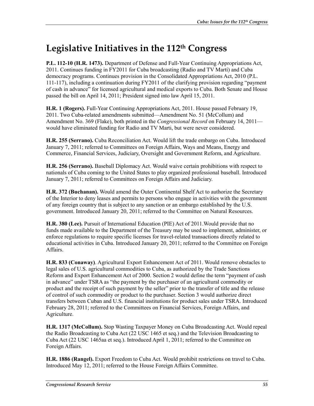## **Legislative Initiatives in the 112th Congress**

**P.L. 112-10 (H.R. 1473).** Department of Defense and Full-Year Continuing Appropriations Act, 2011. Continues funding in FY2011 for Cuba broadcasting (Radio and TV Martí) and Cuba democracy programs. Continues provision in the Consolidated Appropriations Act, 2010 (P.L. 111-117), including a continuation during FY2011 of the clarifying provision regarding "payment of cash in advance" for licensed agricultural and medical exports to Cuba. Both Senate and House passed the bill on April 14, 2011; President signed into law April 15, 2011.

**H.R. 1 (Rogers).** Full-Year Continuing Appropriations Act, 2011. House passed February 19, 2011. Two Cuba-related amendments submitted—Amendment No. 51 (McCollum) and Amendment No. 369 (Flake), both printed in the *Congressional Record* on February 14, 2011 would have eliminated funding for Radio and TV Marti, but were never considered.

**H.R. 255 (Serrano).** Cuba Reconciliation Act. Would lift the trade embargo on Cuba. Introduced January 7, 2011; referred to Committees on Foreign Affairs, Ways and Means, Energy and Commerce, Financial Services, Judiciary, Oversight and Government Reform, and Agriculture.

**H.R. 256 (Serrano).** Baseball Diplomacy Act. Would waive certain prohibitions with respect to nationals of Cuba coming to the United States to play organized professional baseball. Introduced January 7, 2011; referred to Committees on Foreign Affairs and Judiciary.

**H.R. 372 (Buchanan).** Would amend the Outer Continental Shelf Act to authorize the Secretary of the Interior to deny leases and permits to persons who engage in activities with the government of any foreign country that is subject to any sanction or an embargo established by the U.S. government. Introduced January 20, 2011; referred to the Committee on Natural Resources.

**H.R. 380 (Lee).** Pursuit of International Education (PIE) Act of 2011.Would provide that no funds made available to the Department of the Treasury may be used to implement, administer, or enforce regulations to require specific licenses for travel-related transactions directly related to educational activities in Cuba. Introduced January 20, 2011; referred to the Committee on Foreign Affairs.

**H.R. 833 (Conaway)**. Agricultural Export Enhancement Act of 2011. Would remove obstacles to legal sales of U.S. agricultural commodities to Cuba, as authorized by the Trade Sanctions Reform and Export Enhancement Act of 2000. Section 2 would define the term "payment of cash in advance" under TSRA as "the payment by the purchaser of an agricultural commodity or product and the receipt of such payment by the seller" prior to the transfer of title and the release of control of such commodity or product to the purchaser. Section 3 would authorize direct transfers between Cuban and U.S. financial institutions for product sales under TSRA. Introduced February 28, 2011; referred to the Committees on Financial Services, Foreign Affairs, and Agriculture.

**H.R. 1317 (McCollum).** Stop Wasting Taxpayer Money on Cuba Broadcasting Act. Would repeal the Radio Broadcasting to Cuba Act (22 USC 1465 et seq.) and the Television Broadcasting to Cuba Act (22 USC 1465aa et seq.). Introduced April 1, 2011; referred to the Committee on Foreign Affairs.

**H.R. 1886 (Rangel).** Export Freedom to Cuba Act. Would prohibit restrictions on travel to Cuba. Introduced May 12, 2011; referred to the House Foreign Affairs Committee.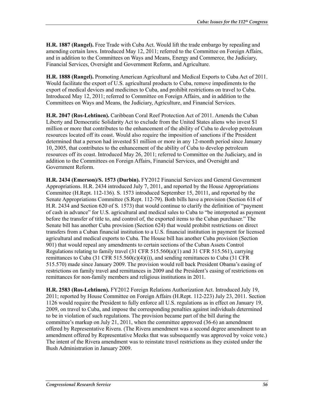**H.R. 1887 (Rangel).** Free Trade with Cuba Act. Would lift the trade embargo by repealing and amending certain laws. Introduced May 12, 2011; referred to the Committee on Foreign Affairs, and in addition to the Committees on Ways and Means, Energy and Commerce, the Judiciary, Financial Services, Oversight and Government Reform, and Agriculture.

**H.R. 1888 (Rangel).** Promoting American Agricultural and Medical Exports to Cuba Act of 2011. Would facilitate the export of U.S. agricultural products to Cuba, remove impediments to the export of medical devices and medicines to Cuba, and prohibit restrictions on travel to Cuba. Introduced May 12, 2011; referred to Committee on Foreign Affairs, and in addition to the Committees on Ways and Means, the Judiciary, Agriculture, and Financial Services.

**H.R. 2047 (Ros-Lehtinen).** Caribbean Coral Reef Protection Act of 2011. Amends the Cuban Liberty and Democratic Solidarity Act to exclude from the United States aliens who invest \$1 million or more that contributes to the enhancement of the ability of Cuba to develop petroleum resources located off its coast. Would also require the imposition of sanctions if the President determined that a person had invested \$1 million or more in any 12-month period since January 10, 2005, that contributes to the enhancement of the ability of Cuba to develop petroleum resources off its coast. Introduced May 26, 2011; referred to Committee on the Judiciary, and in addition to the Committees on Foreign Affairs, Financial Services, and Oversight and Government Reform.

**H.R. 2434 (Emerson)/S. 1573 (Durbin).** FY2012 Financial Services and General Government Appropriations. H.R. 2434 introduced July 7, 2011, and reported by the House Appropriations Committee (H.Rept. 112-136). S. 1573 introduced September 15, 20111, and reported by the Senate Appropriations Committee (S.Rept. 112-79). Both bills have a provision (Section 618 of H.R. 2434 and Section 620 of S. 1573) that would continue to clarify the definition of "payment of cash in advance" for U.S. agricultural and medical sales to Cuba to "be interpreted as payment before the transfer of title to, and control of, the exported items to the Cuban purchaser." The Senate bill has another Cuba provision (Section 624) that would prohibit restrictions on direct transfers from a Cuban financial institution to a U.S. financial institution in payment for licensed agricultural and medical exports to Cuba. The House bill has another Cuba provision (Section 901) that would repeal any amendments to certain sections of the Cuban Assets Control Regulations relating to family travel  $(31 \text{ CFR } 515.560(a)(1)$  and  $31 \text{ CFR } 515.561$ ), carrying remittances to Cuba (31 CFR 515.560(c)(4)(i)), and sending remittances to Cuba (31 CFR 515.570) made since January 2009. The provision would roll back President Obama's easing of restrictions on family travel and remittances in 2009 and the President's easing of restrictions on remittances for non-family members and religious institutions in 2011.

**H.R. 2583 (Ros-Lehtinen).** FY2012 Foreign Relations Authorization Act. Introduced July 19, 2011; reported by House Committee on Foreign Affairs (H.Rept. 112-223) July 23, 2011. Section 1126 would require the President to fully enforce all U.S. regulations as in effect on January 19, 2009, on travel to Cuba, and impose the corresponding penalties against individuals determined to be in violation of such regulations. The provision became part of the bill during the committee's markup on July 21, 2011, when the committee approved (36-6) an amendment offered by Representative Rivera. (The Rivera amendment was a second degree amendment to an amendment offered by Representative Meeks that was subsequently was approved by voice vote.) The intent of the Rivera amendment was to reinstate travel restrictions as they existed under the Bush Administration in January 2009.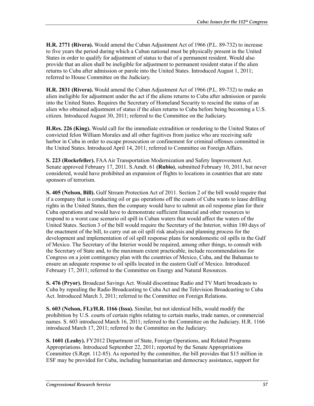**H.R. 2771 (Rivera).** Would amend the Cuban Adjustment Act of 1966 (P.L. 89-732) to increase to five years the period during which a Cuban national must be physically present in the United States in order to qualify for adjustment of status to that of a permanent resident. Would also provide that an alien shall be ineligible for adjustment to permanent resident status if the alien returns to Cuba after admission or parole into the United States. Introduced August 1, 2011; referred to House Committee on the Judiciary.

**H.R. 2831 (Rivera).** Would amend the Cuban Adjustment Act of 1966 (P.L. 89-732) to make an alien ineligible for adjustment under the act if the aliens returns to Cuba after admission or parole into the United States. Requires the Secretary of Homeland Security to rescind the status of an alien who obtained adjustment of status if the alien returns to Cuba before being becoming a U.S. citizen. Introduced August 30, 2011; referred to the Committee on the Judiciary.

**H.Res. 226 (King).** Would call for the immediate extradition or rendering to the United States of convicted felon William Morales and all other fugitives from justice who are receiving safe harbor in Cuba in order to escape prosecution or confinement for criminal offenses committed in the United States. Introduced April 14, 2011; referred to Committee on Foreign Affairs.

**S. 223 (Rockefeller).** FAA Air Transportation Modernization and Safety Improvement Act. Senate approved February 17, 2011. S.Amdt. 61 **(Rubio)**, submitted February 10, 2011, but never considered, would have prohibited an expansion of flights to locations in countries that are state sponsors of terrorism.

**S. 405 (Nelson, Bill).** Gulf Stream Protection Act of 2011. Section 2 of the bill would require that if a company that is conducting oil or gas operations off the coasts of Cuba wants to lease drilling rights in the United States, then the company would have to submit an oil response plan for their Cuba operations and would have to demonstrate sufficient financial and other resources to respond to a worst case scenario oil spill in Cuban waters that would affect the waters of the United States. Section 3 of the bill would require the Secretary of the Interior, within 180 days of the enactment of the bill, to carry out an oil spill risk analysis and planning process for the development and implementation of oil spill response plans for nondomestic oil spills in the Gulf of Mexico. The Secretary of the Interior would be required, among other things, to consult with the Secretary of State and, to the maximum extent practicable, include recommendations for Congress on a joint contingency plan with the countries of Mexico, Cuba, and the Bahamas to ensure an adequate response to oil spills located in the eastern Gulf of Mexico. Introduced February 17, 2011; referred to the Committee on Energy and Natural Resources.

**S. 476 (Pryor).** Broadcast Savings Act. Would discontinue Radio and TV Martí broadcasts to Cuba by repealing the Radio Broadcasting to Cuba Act and the Television Broadcasting to Cuba Act. Introduced March 3, 2011; referred to the Committee on Foreign Relations.

**S. 603 (Nelson, FL)/H.R. 1166 (Issa).** Similar, but not identical bills, would modify the prohibition by U.S. courts of certain rights relating to certain marks, trade names, or commercial names. S. 603 introduced March 16, 2011; referred to the Committee on the Judiciary. H.R. 1166 introduced March 17, 2011; referred to the Committee on the Judiciary.

**S. 1601 (Leahy).** FY2012 Department of State, Foreign Operations, and Related Programs Appropriations. Introduced September 22, 2011; reported by the Senate Appropriations Committee (S.Rept. 112-85). As reported by the committee, the bill provides that \$15 million in ESF may be provided for Cuba, including humanitarian and democracy assistance, support for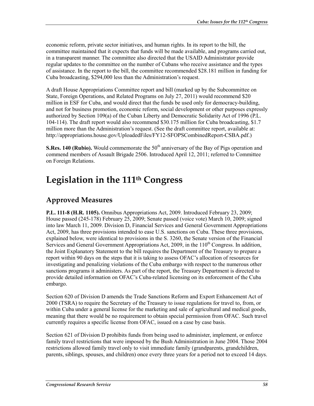economic reform, private sector initiatives, and human rights. In its report to the bill, the committee maintained that it expects that funds will be made available, and programs carried out, in a transparent manner. The committee also directed that the USAID Administrator provide regular updates to the committee on the number of Cubans who receive assistance and the types of assistance. In the report to the bill, the committee recommended \$28.181 million in funding for Cuba broadcasting, \$294,000 less than the Administration's request.

A draft House Appropriations Committee report and bill (marked up by the Subcommittee on State, Foreign Operations, and Related Programs on July 27, 2011) would recommend \$20 million in ESF for Cuba, and would direct that the funds be used only for democracy-building, and not for business promotion, economic reform, social development or other purposes expressly authorized by Section 109(a) of the Cuban Liberty and Democratic Solidarity Act of 1996 (P.L. 104-114). The draft report would also recommend \$30.175 million for Cuba broadcasting, \$1.7 million more than the Administration's request. (See the draft committee report, available at: http://appropriations.house.gov/UploadedFiles/FY12-SFOPSCombinedReport-CSBA.pdf.)

**S.Res. 140 (Rubio).** Would commemorate the 50<sup>th</sup> anniversary of the Bay of Pigs operation and commend members of Assault Brigade 2506. Introduced April 12, 2011; referred to Committee on Foreign Relations.

## **Legislation in the 111th Congress**

## **Approved Measures**

**P.L. 111-8 (H.R. 1105).** Omnibus Appropriations Act, 2009. Introduced February 23, 2009; House passed (245-178) February 25, 2009; Senate passed (voice vote) March 10, 2009; signed into law March 11, 2009. Division D, Financial Services and General Government Appropriations Act, 2009, has three provisions intended to ease U.S. sanctions on Cuba. These three provisions, explained below, were identical to provisions in the S. 3260, the Senate version of the Financial Services and General Government Appropriations Act, 2009, in the  $110<sup>th</sup>$  Congress. In addition, the Joint Explanatory Statement to the bill requires the Department of the Treasury to prepare a report within 90 days on the steps that it is taking to assess OFAC's allocation of resources for investigating and penalizing violations of the Cuba embargo with respect to the numerous other sanctions programs it administers. As part of the report, the Treasury Department is directed to provide detailed information on OFAC's Cuba-related licensing on its enforcement of the Cuba embargo.

Section 620 of Division D amends the Trade Sanctions Reform and Export Enhancement Act of 2000 (TSRA) to require the Secretary of the Treasury to issue regulations for travel to, from, or within Cuba under a general license for the marketing and sale of agricultural and medical goods, meaning that there would be no requirement to obtain special permission from OFAC. Such travel currently requires a specific license from OFAC, issued on a case by case basis.

Section 621 of Division D prohibits funds from being used to administer, implement, or enforce family travel restrictions that were imposed by the Bush Administration in June 2004. Those 2004 restrictions allowed family travel only to visit immediate family (grandparents, grandchildren, parents, siblings, spouses, and children) once every three years for a period not to exceed 14 days.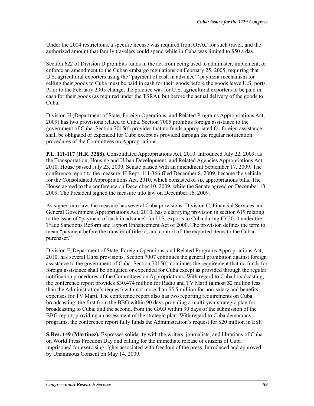Under the 2004 restrictions, a specific license was required from OFAC for such travel, and the authorized amount that family travelers could spend while in Cuba was limited to \$50 a day.

Section 622 of Division D prohibits funds in the act from being used to administer, implement, or enforce an amendment to the Cuban embargo regulations on February 25, 2005, requiring that U.S. agricultural exporters using the "payment of cash in advance'" payment mechanism for selling their goods to Cuba must be paid in cash for their goods before the goods leave U.S. ports. Prior to the February 2005 change, the practice was for U.S. agricultural exporters to be paid in cash for their goods (as required under the TSRA), but before the actual delivery of the goods to Cuba.

Division H (Department of State, Foreign Operations, and Related Programs Appropriations Act, 2009) has two provisions related to Cuba. Section 7005 prohibits foreign assistance to the government of Cuba. Section 7015(f) provides that no funds appropriated for foreign assistance shall be obligated or expended for Cuba except as provided through the regular notification procedures of the Committees on Appropriations.

**P.L. 111-117 (H.R. 3288).** Consolidated Appropriations Act, 2010. Introduced July 22, 2009, as the Transportation, Housing and Urban Development, and Related Agencies Appropriations Act, 2010. House passed July 23, 2009. Senate passed with an amendment September 17, 2009. The conference report to the measure, H.Rept. 111-366 filed December 8, 2009, became the vehicle for the Consolidated Appropriations Act, 2010, which consisted of six appropriations bills. The House agreed to the conference on December 10, 2009, while the Senate agreed on December 13, 2009. The President signed the measure into law on December 16, 2009.

As signed into law, the measure has several Cuba provisions. Division C, Financial Services and General Government Appropriations Act, 2010, has a clarifying provision in section 619 relating to the issue of "payment of cash in advance" for U.S. exports to Cuba during FY2010 under the Trade Sanctions Reform and Export Enhancement Act of 2000. The provision defines the term to mean "payment before the transfer of title to, and control of, the exported items to the Cuban purchaser."

Division F, Department of State, Foreign Operations, and Related Programs Appropriations Act, 2010, has several Cuba provisions. Section 7007 continues the general prohibition against foreign assistance to the government of Cuba. Section 7015(f) continues the requirement that no funds for foreign assistance shall be obligated or expended for Cuba except as provided through the regular notification procedures of the Committees on Appropriations. With regard to Cuba broadcasting, the conference report provides \$30.474 million for Radio and TV Martí (almost \$2 million less than the Administration's request) with not more than \$5.5 million for non-salary and benefits expenses for TV Martí. The conference report also has two reporting requirements on Cuba broadcasting: the first from the BBG within 90 days providing a multi-year strategic plan for broadcasting to Cuba; and the second, from the GAO within 90 days of the submission of the BBG report, providing an assessment of the strategic plan. With regard to Cuba democracy programs, the conference report fully funds the Administration's request for \$20 million in ESF.

**S.Res. 149 (Martinez).** Expresses solidarity with the writers, journalists, and librarians of Cuba on World Press Freedom Day and calling for the immediate release of citizens of Cuba imprisoned for exercising rights associated with freedom of the press. Introduced and approved by Unanimous Consent on May 14, 2009.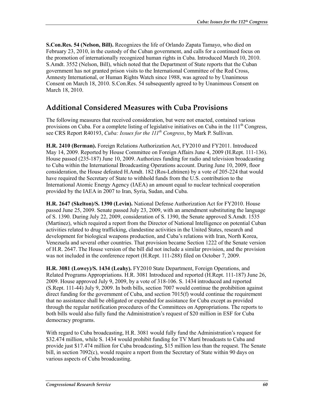**S.Con.Res. 54 (Nelson, Bill).** Recognizes the life of Orlando Zapata Tamayo, who died on February 23, 2010, in the custody of the Cuban government, and calls for a continued focus on the promotion of internationally recognized human rights in Cuba. Introduced March 10, 2010. S.Amdt. 3552 (Nelson, Bill), which noted that the Department of State reports that the Cuban government has not granted prison visits to the International Committee of the Red Cross, Amnesty International, or Human Rights Watch since 1988, was agreed to by Unanimous Consent on March 18, 2010. S.Con.Res. 54 subsequently agreed to by Unanimous Consent on March 18, 2010.

#### **Additional Considered Measures with Cuba Provisions**

The following measures that received consideration, but were not enacted, contained various provisions on Cuba. For a complete listing of legislative initiatives on Cuba in the  $111<sup>th</sup>$  Congress, see CRS Report R40193, *Cuba: Issues for the 111th Congress*, by Mark P. Sullivan.

**H.R. 2410 (Berman).** Foreign Relations Authorization Act, FY2010 and FY2011. Introduced May 14, 2009. Reported by House Committee on Foreign Affairs June 4, 2009 (H.Rept. 111-136). House passed (235-187) June 10, 2009. Authorizes funding for radio and television broadcasting to Cuba within the International Broadcasting Operations account. During June 10, 2009, floor consideration, the House defeated H.Amdt. 182 (Ros-Lehtinen) by a vote of 205-224 that would have required the Secretary of State to withhold funds from the U.S. contribution to the International Atomic Energy Agency (IAEA) an amount equal to nuclear technical cooperation provided by the IAEA in 2007 to Iran, Syria, Sudan, and Cuba.

**H.R. 2647 (Skelton)/S. 1390 (Levin).** National Defense Authorization Act for FY2010. House passed June 25, 2009. Senate passed July 23, 2009, with an amendment substituting the language of S. 1390. During July 22, 2009, consideration of S. 1390, the Senate approved S.Amdt. 1535 (Martinez), which required a report from the Director of National Intelligence on potential Cuban activities related to drug trafficking, clandestine activities in the United States, research and development for biological weapons production, and Cuba's relations with Iran, North Korea, Venezuela and several other countries. That provision became Section 1222 of the Senate version of H.R. 2647. The House version of the bill did not include a similar provision, and the provision was not included in the conference report (H.Rept. 111-288) filed on October 7, 2009.

**H.R. 3081 (Lowey)/S. 1434 (Leahy).** FY2010 State Department, Foreign Operations, and Related Programs Appropriations. H.R. 3081 Introduced and reported (H.Rept. 111-187) June 26, 2009. House approved July 9, 2009, by a vote of 318-106. S. 1434 introduced and reported (S.Rept. 111-44) July 9, 2009. In both bills, section 7007 would continue the prohibition against direct funding for the government of Cuba, and section 7015(f) would continue the requirement that no assistance shall be obligated or expended for assistance for Cuba except as provided through the regular notification procedures of the Committees on Appropriations. The reports to both bills would also fully fund the Administration's request of \$20 million in ESF for Cuba democracy programs.

With regard to Cuba broadcasting, H.R. 3081 would fully fund the Administration's request for \$32.474 million, while S. 1434 would prohibit funding for TV Martí broadcasts to Cuba and provide just \$17.474 million for Cuba broadcasting, \$15 million less than the request. The Senate bill, in section 7092(c), would require a report from the Secretary of State within 90 days on various aspects of Cuba broadcasting.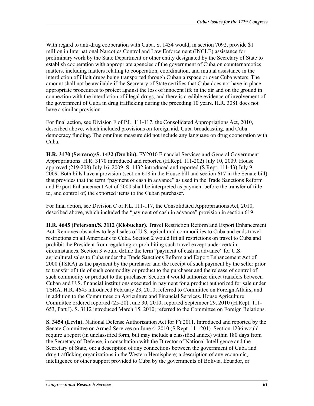With regard to anti-drug cooperation with Cuba, S. 1434 would, in section 7092, provide \$1 million in International Narcotics Control and Law Enforcement (INCLE) assistance for preliminary work by the State Department or other entity designated by the Secretary of State to establish cooperation with appropriate agencies of the government of Cuba on counternarcotics matters, including matters relating to cooperation, coordination, and mutual assistance in the interdiction of illicit drugs being transported through Cuban airspace or over Cuba waters. The amount shall not be available if the Secretary of State certifies that Cuba does not have in place appropriate procedures to protect against the loss of innocent life in the air and on the ground in connection with the interdiction of illegal drugs, and there is credible evidence of involvement of the government of Cuba in drug trafficking during the preceding 10 years. H.R. 3081 does not have a similar provision.

For final action, see Division F of P.L. 111-117, the Consolidated Appropriations Act, 2010, described above, which included provisions on foreign aid, Cuba broadcasting, and Cuba democracy funding. The omnibus measure did not include any language on drug cooperation with Cuba.

**H.R. 3170 (Serrano)/S. 1432 (Durbin).** FY2010 Financial Services and General Government Appropriations. H.R. 3170 introduced and reported (H.Rept. 111-202) July 10, 2009. House approved (219-208) July 16, 2009. S. 1432 introduced and reported (S.Rept. 111-43) July 9, 2009. Both bills have a provision (section 618 in the House bill and section 617 in the Senate bill) that provides that the term "payment of cash in advance" as used in the Trade Sanctions Reform and Export Enhancement Act of 2000 shall be interpreted as payment before the transfer of title to, and control of, the exported items to the Cuban purchaser.

For final action, see Division C of P.L. 111-117, the Consolidated Appropriations Act, 2010, described above, which included the "payment of cash in advance" provision in section 619.

**H.R. 4645 (Peterson)/S. 3112 (Klobuchar).** Travel Restriction Reform and Export Enhancement Act. Removes obstacles to legal sales of U.S. agricultural commodities to Cuba and ends travel restrictions on all Americans to Cuba. Section 2 would lift all restrictions on travel to Cuba and prohibit the President from regulating or prohibiting such travel except under certain circumstances. Section 3 would define the term "payment of cash in advance" for U.S. agricultural sales to Cuba under the Trade Sanctions Reform and Export Enhancement Act of 2000 (TSRA) as the payment by the purchaser and the receipt of such payment by the seller prior to transfer of title of such commodity or product to the purchaser and the release of control of such commodity or product to the purchaser. Section 4 would authorize direct transfers between Cuban and U.S. financial institutions executed in payment for a product authorized for sale under TSRA. H.R. 4645 introduced February 23, 2010; referred to Committee on Foreign Affairs, and in addition to the Committees on Agriculture and Financial Services. House Agriculture Committee ordered reported (25-20) June 30, 2010; reported September 29, 2010 (H.Rept. 111- 653, Part I). S. 3112 introduced March 15, 2010; referred to the Committee on Foreign Relations.

**S. 3454 (Levin).** National Defense Authorization Act for FY2011. Introduced and reported by the Senate Committee on Armed Services on June 4, 2010 (S.Rept. 111-201). Section 1236 would require a report (in unclassified form, but may include a classified annex) within 180 days from the Secretary of Defense, in consultation with the Director of National Intelligence and the Secretary of State, on: a description of any connections between the government of Cuba and drug trafficking organizations in the Western Hemisphere; a description of any economic, intelligence or other support provided to Cuba by the governments of Bolivia, Ecuador, or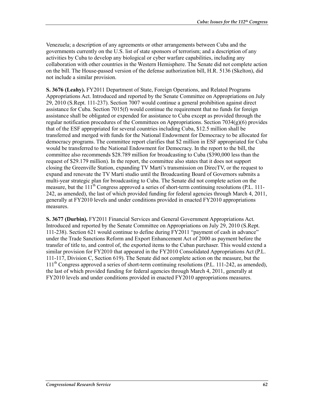Venezuela; a description of any agreements or other arrangements between Cuba and the governments currently on the U.S. list of state sponsors of terrorism; and a description of any activities by Cuba to develop any biological or cyber warfare capabilities, including any collaboration with other countries in the Western Hemisphere. The Senate did not complete action on the bill. The House-passed version of the defense authorization bill, H.R. 5136 (Skelton), did not include a similar provision.

**S. 3676 (Leahy).** FY2011 Department of State, Foreign Operations, and Related Programs Appropriations Act. Introduced and reported by the Senate Committee on Appropriations on July 29, 2010 (S.Rept. 111-237). Section 7007 would continue a general prohibition against direct assistance for Cuba. Section 7015(f) would continue the requirement that no funds for foreign assistance shall be obligated or expended for assistance to Cuba except as provided through the regular notification procedures of the Committees on Appropriations. Section  $7034(g)(6)$  provides that of the ESF appropriated for several countries including Cuba, \$12.5 million shall be transferred and merged with funds for the National Endowment for Democracy to be allocated for democracy programs. The committee report clarifies that \$2 million in ESF appropriated for Cuba would be transferred to the National Endowment for Democracy. In the report to the bill, the committee also recommends \$28.789 million for broadcasting to Cuba (\$390,000 less than the request of \$29.179 million). In the report, the committee also states that it does not support closing the Greenville Station, expanding TV Martí's transmission on DirecTV, or the request to expand and renovate the TV Martí studio until the Broadcasting Board of Governors submits a multi-year strategic plan for broadcasting to Cuba. The Senate did not complete action on the measure, but the 111<sup>th</sup> Congress approved a series of short-term continuing resolutions (P.L. 111-242, as amended), the last of which provided funding for federal agencies through March 4, 2011, generally at FY2010 levels and under conditions provided in enacted FY2010 appropriations measures.

**S. 3677 (Durbin).** FY2011 Financial Services and General Government Appropriations Act. Introduced and reported by the Senate Committee on Appropriations on July 29, 2010 (S.Rept. 111-238). Section 621 would continue to define during FY2011 "payment of cash in advance" under the Trade Sanctions Reform and Export Enhancement Act of 2000 as payment before the transfer of title to, and control of, the exported items to the Cuban purchaser. This would extend a similar provision for FY2010 that appeared in the FY2010 Consolidated Appropriations Act (P.L. 111-117, Division C, Section 619). The Senate did not complete action on the measure, but the  $111<sup>th</sup>$  Congress approved a series of short-term continuing resolutions (P.L. 111-242, as amended), the last of which provided funding for federal agencies through March 4, 2011, generally at FY2010 levels and under conditions provided in enacted FY2010 appropriations measures.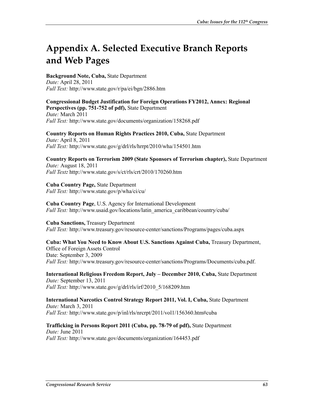# **Appendix A. Selected Executive Branch Reports and Web Pages**

**Background Note, Cuba,** State Department *Date:* April 28, 2011 *Full Text:* http://www.state.gov/r/pa/ei/bgn/2886.htm

**Congressional Budget Justification for Foreign Operations FY2012, Annex: Regional Perspectives (pp. 751-752 of pdf),** State Department *Date:* March 2011 *Full Text:* http://www.state.gov/documents/organization/158268.pdf

**Country Reports on Human Rights Practices 2010, Cuba,** State Department *Date:* April 8, 2011 *Full Text:* http://www.state.gov/g/drl/rls/hrrpt/2010/wha/154501.htm

**Country Reports on Terrorism 2009 (State Sponsors of Terrorism chapter),** State Department *Date:* August 18, 2011 *Full Text:* http://www.state.gov/s/ct/rls/crt/2010/170260.htm

**Cuba Country Page,** State Department *Full Text:* http://www.state.gov/p/wha/ci/cu/

**Cuba Country Page**, U.S. Agency for International Development *Full Text:* http://www.usaid.gov/locations/latin\_america\_caribbean/country/cuba/

**Cuba Sanctions,** Treasury Department *Full Text:* http://www.treasury.gov/resource-center/sanctions/Programs/pages/cuba.aspx

**Cuba: What You Need to Know About U.S. Sanctions Against Cuba,** Treasury Department, Office of Foreign Assets Control Date: September 3, 2009 *Full Text:* http://www.treasury.gov/resource-center/sanctions/Programs/Documents/cuba.pdf.

**International Religious Freedom Report, July – December 2010, Cuba,** State Department *Date:* September 13, 2011 *Full Text:* http://www.state.gov/g/drl/rls/irf/2010\_5/168209.htm

**International Narcotics Control Strategy Report 2011, Vol. I, Cuba,** State Department *Date:* March 3, 2011 *Full Text:* http://www.state.gov/p/inl/rls/nrcrpt/2011/vol1/156360.htm#cuba

**Trafficking in Persons Report 2011 (Cuba, pp. 78-79 of pdf),** State Department *Date:* June 2011 *Full Text:* http://www.state.gov/documents/organization/164453.pdf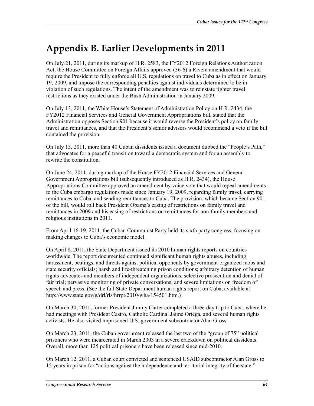## **Appendix B. Earlier Developments in 2011**

On July 21, 2011, during its markup of H.R. 2583, the FY2012 Foreign Relations Authorization Act, the House Committee on Foreign Affairs approved (36-6) a Rivera amendment that would require the President to fully enforce all U.S. regulations on travel to Cuba as in effect on January 19, 2009, and impose the corresponding penalties against individuals determined to be in violation of such regulations. The intent of the amendment was to reinstate tighter travel restrictions as they existed under the Bush Administration in January 2009.

On July 13, 2011, the White House's Statement of Administration Policy on H.R. 2434, the FY2012 Financial Services and General Government Appropriations bill, stated that the Administration opposes Section 901 because it would reverse the President's policy on family travel and remittances, and that the President's senior advisors would recommend a veto if the bill contained the provision.

On July 13, 2011, more than 40 Cuban dissidents issued a document dubbed the "People's Path," that advocates for a peaceful transition toward a democratic system and for an assembly to rewrite the constitution.

On June 24, 2011, during markup of the House FY2012 Financial Services and General Government Appropriations bill (subsequently introduced as H.R. 2434), the House Appropriations Committee approved an amendment by voice vote that would repeal amendments to the Cuba embargo regulations made since January 19, 2009, regarding family travel, carrying remittances to Cuba, and sending remittances to Cuba. The provision, which became Section 901 of the bill, would roll back President Obama's easing of restrictions on family travel and remittances in 2009 and his easing of restrictions on remittances for non-family members and religious institutions in 2011.

From April 16-19, 2011, the Cuban Communist Party held its sixth party congress, focusing on making changes to Cuba's economic model.

On April 8, 2011, the State Department issued its 2010 human rights reports on countries worldwide. The report documented continued significant human rights abuses, including harassment, beatings, and threats against political opponents by government-organized mobs and state security officials; harsh and life-threatening prison conditions; arbitrary detention of human rights advocates and members of independent organizations; selective prosecution and denial of fair trial; pervasive monitoring of private conversations; and severe limitations on freedom of speech and press. (See the full State Department human rights report on Cuba, available at http://www.state.gov/g/drl/rls/hrrpt/2010/wha/154501.htm.)

On March 30, 2011, former President Jimmy Carter completed a three-day trip to Cuba, where he had meetings with President Castro, Catholic Cardinal Jaime Ortega, and several human rights activists. He also visited imprisoned U.S. government subcontractor Alan Gross.

On March 23, 2011, the Cuban government released the last two of the "group of 75" political prisoners who were incarcerated in March 2003 in a severe crackdown on political dissidents. Overall, more than 125 political prisoners have been released since mid-2010.

On March 12, 2011, a Cuban court convicted and sentenced USAID subcontractor Alan Gross to 15 years in prison for "actions against the independence and territorial integrity of the state."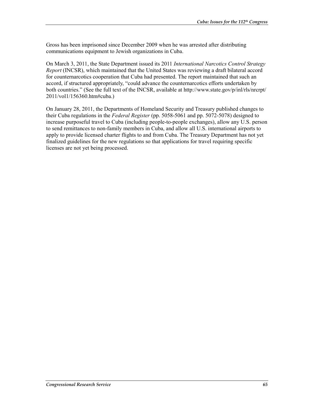Gross has been imprisoned since December 2009 when he was arrested after distributing communications equipment to Jewish organizations in Cuba.

On March 3, 2011, the State Department issued its 2011 *International Narcotics Control Strategy Report* (INCSR), which maintained that the United States was reviewing a draft bilateral accord for counternarcotics cooperation that Cuba had presented. The report maintained that such an accord, if structured appropriately, "could advance the counternarcotics efforts undertaken by both countries." (See the full text of the INCSR, available at http://www.state.gov/p/inl/rls/nrcrpt/ 2011/vol1/156360.htm#cuba.)

On January 28, 2011, the Departments of Homeland Security and Treasury published changes to their Cuba regulations in the *Federal Register* (pp. 5058-5061 and pp. 5072-5078) designed to increase purposeful travel to Cuba (including people-to-people exchanges), allow any U.S. person to send remittances to non-family members in Cuba, and allow all U.S. international airports to apply to provide licensed charter flights to and from Cuba. The Treasury Department has not yet finalized guidelines for the new regulations so that applications for travel requiring specific licenses are not yet being processed.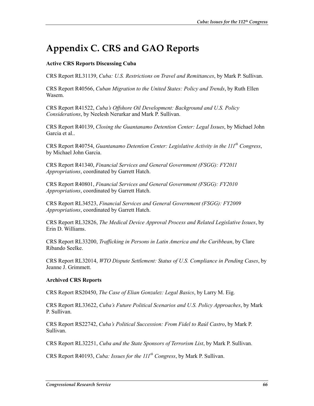# **Appendix C. CRS and GAO Reports**

#### **Active CRS Reports Discussing Cuba**

CRS Report RL31139, *Cuba: U.S. Restrictions on Travel and Remittances*, by Mark P. Sullivan.

CRS Report R40566, *Cuban Migration to the United States: Policy and Trends*, by Ruth Ellen Wasem.

CRS Report R41522, *Cuba's Offshore Oil Development: Background and U.S. Policy Considerations*, by Neelesh Nerurkar and Mark P. Sullivan.

CRS Report R40139, *Closing the Guantanamo Detention Center: Legal Issues*, by Michael John Garcia et al..

CRS Report R40754, *Guantanamo Detention Center: Legislative Activity in the 111<sup>th</sup> Congress*, by Michael John Garcia.

CRS Report R41340, *Financial Services and General Government (FSGG): FY2011 Appropriations*, coordinated by Garrett Hatch.

CRS Report R40801, *Financial Services and General Government (FSGG): FY2010 Appropriations*, coordinated by Garrett Hatch.

CRS Report RL34523, *Financial Services and General Government (FSGG): FY2009 Appropriations*, coordinated by Garrett Hatch.

CRS Report RL32826, *The Medical Device Approval Process and Related Legislative Issues*, by Erin D. Williams.

CRS Report RL33200, *Trafficking in Persons in Latin America and the Caribbean*, by Clare Ribando Seelke.

CRS Report RL32014, *WTO Dispute Settlement: Status of U.S. Compliance in Pending Cases*, by Jeanne J. Grimmett.

#### **Archived CRS Reports**

CRS Report RS20450, *The Case of Elian Gonzalez: Legal Basics*, by Larry M. Eig.

CRS Report RL33622, *Cuba's Future Political Scenarios and U.S. Policy Approaches*, by Mark P. Sullivan.

CRS Report RS22742, *Cuba's Political Succession: From Fidel to Raúl Castro*, by Mark P. Sullivan.

CRS Report RL32251, *Cuba and the State Sponsors of Terrorism List*, by Mark P. Sullivan.

CRS Report R40193, *Cuba: Issues for the 111th Congress*, by Mark P. Sullivan.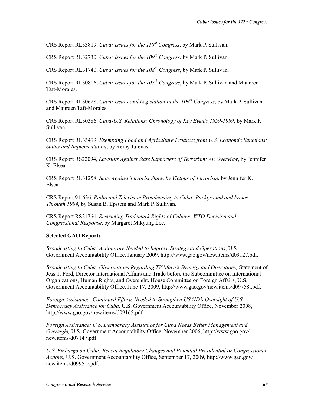CRS Report RL33819, *Cuba: Issues for the*  $110^{th}$  *Congress*, by Mark P. Sullivan.

CRS Report RL32730, *Cuba: Issues for the 109<sup>th</sup> Congress*, by Mark P. Sullivan.

CRS Report RL31740, *Cuba: Issues for the 108th Congress*, by Mark P. Sullivan.

CRS Report RL30806, *Cuba: Issues for the 107<sup>th</sup> Congress*, by Mark P. Sullivan and Maureen Taft-Morales.

CRS Report RL30628, *Cuba: Issues and Legislation In the 106th Congress*, by Mark P. Sullivan and Maureen Taft-Morales.

CRS Report RL30386, *Cuba-U.S. Relations: Chronology of Key Events 1959-1999*, by Mark P. Sullivan.

CRS Report RL33499, *Exempting Food and Agriculture Products from U.S. Economic Sanctions: Status and Implementation*, by Remy Jurenas.

CRS Report RS22094, *Lawsuits Against State Supporters of Terrorism: An Overview*, by Jennifer K. Elsea.

CRS Report RL31258, *Suits Against Terrorist States by Victims of Terrorism*, by Jennifer K. Elsea.

CRS Report 94-636, *Radio and Television Broadcasting to Cuba: Background and Issues Through 1994*, by Susan B. Epstein and Mark P. Sullivan.

CRS Report RS21764, *Restricting Trademark Rights of Cubans: WTO Decision and Congressional Response*, by Margaret Mikyung Lee.

#### **Selected GAO Reports**

*Broadcasting to Cuba: Actions are Needed to Improve Strategy and Operations*, U.S. Government Accountability Office, January 2009, http://www.gao.gov/new.items/d09127.pdf.

*Broadcasting to Cuba: Observations Regarding TV Martí's Strategy and Operations,* Statement of Jess T. Ford, Director International Affairs and Trade before the Subcommittee on International Organizations, Human Rights, and Oversight, House Committee on Foreign Affairs, U.S. Government Accountability Office, June 17, 2009, http://www.gao.gov/new.items/d09758t.pdf.

*Foreign Assistance: Continued Efforts Needed to Strengthen USAID's Oversight of U.S. Democracy Assistance for Cuba,* U.S. Government Accountability Office, November 2008, http://www.gao.gov/new.items/d09165.pdf.

*Foreign Assistance: U.S. Democracy Assistance for Cuba Needs Better Management and Oversight,* U.S. Government Accountability Office, November 2006, http://www.gao.gov/ new.items/d07147.pdf.

*U.S. Embargo on Cuba: Recent Regulatory Changes and Potential Presidential or Congressional Actions*, U.S. Government Accountability Office, September 17, 2009, http://www.gao.gov/ new.items/d09951r.pdf.